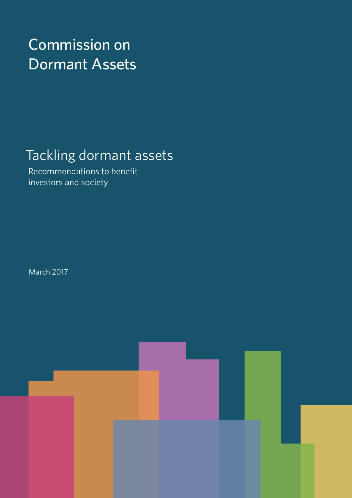# Commission on Dormant Assets

# Tackling dormant assets

Recommendations to benefit investors and society

March 2017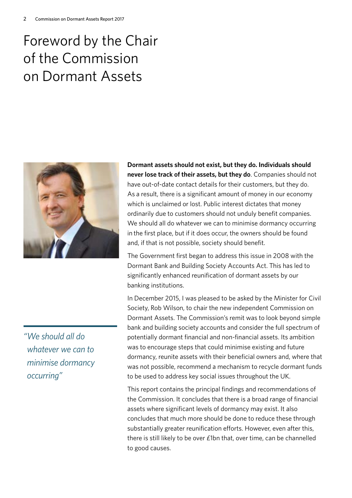# Foreword by the Chair of the Commission on Dormant Assets



**Dormant assets should not exist, but they do. Individuals should never lose track of their assets, but they do**. Companies should not have out-of-date contact details for their customers, but they do. As a result, there is a significant amount of money in our economy which is unclaimed or lost. Public interest dictates that money ordinarily due to customers should not unduly benefit companies. We should all do whatever we can to minimise dormancy occurring in the first place, but if it does occur, the owners should be found and, if that is not possible, society should benefit.

The Government first began to address this issue in 2008 with the Dormant Bank and Building Society Accounts Act. This has led to significantly enhanced reunification of dormant assets by our banking institutions.

In December 2015, I was pleased to be asked by the Minister for Civil Society, Rob Wilson, to chair the new independent Commission on Dormant Assets. The Commission's remit was to look beyond simple bank and building society accounts and consider the full spectrum of potentially dormant financial and non-financial assets. Its ambition was to encourage steps that could minimise existing and future dormancy, reunite assets with their beneficial owners and, where that was not possible, recommend a mechanism to recycle dormant funds to be used to address key social issues throughout the UK.

This report contains the principal findings and recommendations of the Commission. It concludes that there is a broad range of financial assets where significant levels of dormancy may exist. It also concludes that much more should be done to reduce these through substantially greater reunification efforts. However, even after this, there is still likely to be over £1bn that, over time, can be channelled to good causes.

*"We should all do whatever we can to minimise dormancy occurring"*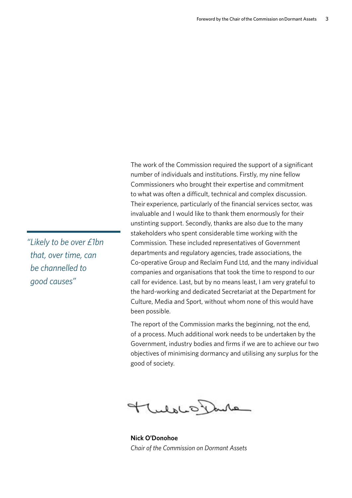The work of the Commission required the support of a significant number of individuals and institutions. Firstly, my nine fellow Commissioners who brought their expertise and commitment to what was often a difficult, technical and complex discussion. Their experience, particularly of the financial services sector, was invaluable and I would like to thank them enormously for their unstinting support. Secondly, thanks are also due to the many stakeholders who spent considerable time working with the Commission. These included representatives of Government departments and regulatory agencies, trade associations, the Co-operative Group and Reclaim Fund Ltd, and the many individual companies and organisations that took the time to respond to our call for evidence. Last, but by no means least, I am very grateful to the hard-working and dedicated Secretariat at the Department for Culture, Media and Sport, without whom none of this would have been possible.

The report of the Commission marks the beginning, not the end, of a process. Much additional work needs to be undertaken by the Government, industry bodies and firms if we are to achieve our two objectives of minimising dormancy and utilising any surplus for the good of society.

TuloLO Dure

**Nick O'Donohoe** *Chair of the Commission on Dormant Assets*

*"Likely to be over £1bn that, over time, can be channelled to good causes"*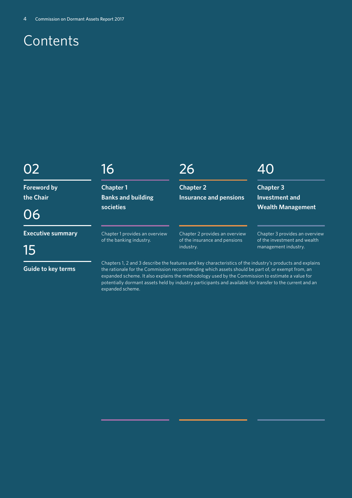# **Contents**

# 02

**Foreword by the Chair**

06

**Executive summary**

15

# 16

**Chapter 1 Banks and building societies**

Chapter 1 provides an overview of the banking industry.

# 26

**Chapter 2 Insurance and pensions**

# 40

**Chapter 3 Investment and Wealth Management**

Chapter 3 provides an overview of the investment and wealth management industry.

Chapter 2 provides an overview of the insurance and pensions industry.

**Guide to key terms**

Chapters 1, 2 and 3 describe the features and key characteristics of the industry's products and explains the rationale for the Commission recommending which assets should be part of, or exempt from, an expanded scheme. It also explains the methodology used by the Commission to estimate a value for potentially dormant assets held by industry participants and available for transfer to the current and an expanded scheme.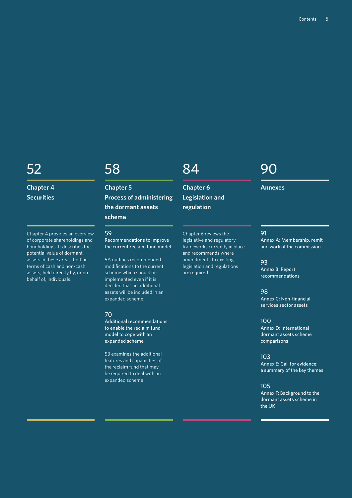# 52

**Chapter 4 Securities**

Chapter 4 provides an overview of corporate shareholdings and bondholdings. It describes the potential value of dormant assets in these areas, both in terms of cash and non-cash assets, held directly by, or on behalf of, individuals.

# 58

**Chapter 5 Process of administering the dormant assets scheme**

# 59

Recommendations to improve the current reclaim fund model

5A outlines recommended modifications to the current scheme which should be implemented even if it is decided that no additional assets will be included in an expanded scheme.

#### 70

Additional recommendations to enable the reclaim fund model to cope with an expanded scheme

5B examines the additional features and capabilities of the reclaim fund that may be required to deal with an expanded scheme.

# 84

**Chapter 6 Legislation and regulation**

legislative and regulatory frameworks currently in place and recommends where amendments to existing legislation and regulations are required.

# Chapter 6 reviews the

93

100

Annex D: International dormant assets scheme comparisons

103 Annex E: Call for evidence: a summary of the key themes

105

Annex F: Background to the dormant assets scheme in the UK

#### **Annexes**

90

#### 91

Annex A: Membership, remit and work of the commission

Annex B: Report recommendations

#### 98

Annex C: Non-financial services sector assets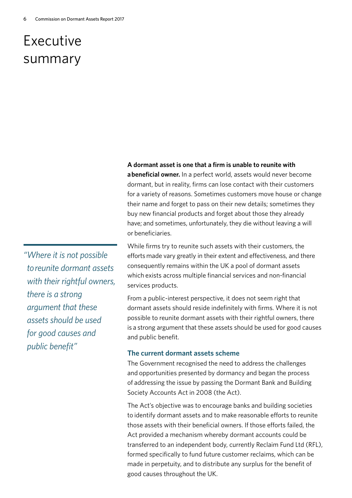# Executive summary

**A dormant asset is one that a firm is unable to reunite with** 

**a beneficial owner.** In a perfect world, assets would never become dormant, but in reality, firms can lose contact with their customers for a variety of reasons. Sometimes customers move house or change their name and forget to pass on their new details; sometimes they buy new financial products and forget about those they already have; and sometimes, unfortunately, they die without leaving a will or beneficiaries.

While firms try to reunite such assets with their customers, the efforts made vary greatly in their extent and effectiveness, and there consequently remains within the UK a pool of dormant assets which exists across multiple financial services and non-financial services products.

From a public-interest perspective, it does not seem right that dormant assets should reside indefinitely with firms. Where it is not possible to reunite dormant assets with their rightful owners, there is a strong argument that these assets should be used for good causes and public benefit.

# **The current dormant assets scheme**

The Government recognised the need to address the challenges and opportunities presented by dormancy and began the process of addressing the issue by passing the Dormant Bank and Building Society Accounts Act in 2008 (the Act).

The Act's objective was to encourage banks and building societies to identify dormant assets and to make reasonable efforts to reunite those assets with their beneficial owners. If those efforts failed, the Act provided a mechanism whereby dormant accounts could be transferred to an independent body, currently Reclaim Fund Ltd (RFL), formed specifically to fund future customer reclaims, which can be made in perpetuity, and to distribute any surplus for the benefit of good causes throughout the UK.

*"Where it is not possible to reunite dormant assets with their rightful owners, there is a strong argument that these assets should be used for good causes and public benefit"*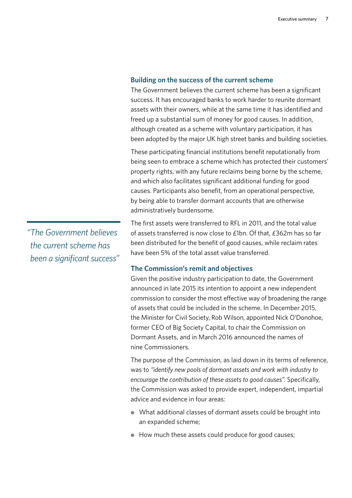# **Building on the success of the current scheme**

The Government believes the current scheme has been a significant success. It has encouraged banks to work harder to reunite dormant assets with their owners, while at the same time it has identified and freed up a substantial sum of money for good causes. In addition, although created as a scheme with voluntary participation, it has been adopted by the major UK high street banks and building societies.

These participating financial institutions benefit reputationally from being seen to embrace a scheme which has protected their customers' property rights, with any future reclaims being borne by the scheme, and which also facilitates significant additional funding for good causes. Participants also benefit, from an operational perspective, by being able to transfer dormant accounts that are otherwise administratively burdensome.

The first assets were transferred to RFL in 2011, and the total value of assets transferred is now close to £1bn. Of that, £362m has so far been distributed for the benefit of good causes, while reclaim rates have been 5% of the total asset value transferred.

# **The Commission's remit and objectives**

Given the positive industry participation to date, the Government announced in late 2015 its intention to appoint a new independent commission to consider the most effective way of broadening the range of assets that could be included in the scheme. In December 2015, the Minister for Civil Society, Rob Wilson, appointed Nick O'Donohoe, former CEO of Big Society Capital, to chair the Commission on Dormant Assets, and in March 2016 announced the names of nine Commissioners.

The purpose of the Commission, as laid down in its terms of reference, was to *"identify new pools of dormant assets and work with industry to encourage the contribution of these assets to good causes".* Specifically, the Commission was asked to provide expert, independent, impartial advice and evidence in four areas:

- What additional classes of dormant assets could be brought into an expanded scheme;
- How much these assets could produce for good causes;

*"The Government believes the current scheme has been a significant success"*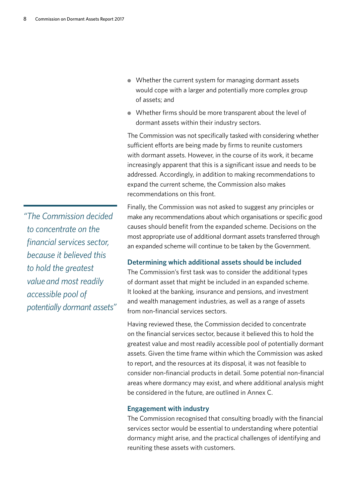- Whether the current system for managing dormant assets would cope with a larger and potentially more complex group of assets; and
- Whether firms should be more transparent about the level of dormant assets within their industry sectors.

The Commission was not specifically tasked with considering whether sufficient efforts are being made by firms to reunite customers with dormant assets. However, in the course of its work, it became increasingly apparent that this is a significant issue and needs to be addressed. Accordingly, in addition to making recommendations to expand the current scheme, the Commission also makes recommendations on this front.

Finally, the Commission was not asked to suggest any principles or make any recommendations about which organisations or specific good causes should benefit from the expanded scheme. Decisions on the most appropriate use of additional dormant assets transferred through an expanded scheme will continue to be taken by the Government.

# **Determining which additional assets should be included**

The Commission's first task was to consider the additional types of dormant asset that might be included in an expanded scheme. It looked at the banking, insurance and pensions, and investment and wealth management industries, as well as a range of assets from non-financial services sectors.

Having reviewed these, the Commission decided to concentrate on the financial services sector, because it believed this to hold the greatest value and most readily accessible pool of potentially dormant assets. Given the time frame within which the Commission was asked to report, and the resources at its disposal, it was not feasible to consider non-financial products in detail. Some potential non-financial areas where dormancy may exist, and where additional analysis might be considered in the future, are outlined in Annex C.

# **Engagement with industry**

The Commission recognised that consulting broadly with the financial services sector would be essential to understanding where potential dormancy might arise, and the practical challenges of identifying and reuniting these assets with customers.

*"The Commission decided to concentrate on the financial services sector, because it believed this to hold the greatest value and most readily accessible pool of potentially dormant assets"*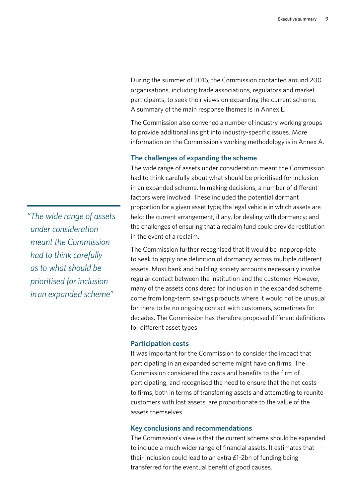During the summer of 2016, the Commission contacted around 200 organisations, including trade associations, regulators and market participants, to seek their views on expanding the current scheme. A summary of the main response themes is in Annex E.

The Commission also convened a number of industry working groups to provide additional insight into industry-specific issues. More information on the Commission's working methodology is in Annex A.

### **The challenges of expanding the scheme**

The wide range of assets under consideration meant the Commission had to think carefully about what should be prioritised for inclusion in an expanded scheme. In making decisions, a number of different factors were involved. These included the potential dormant proportion for a given asset type; the legal vehicle in which assets are held; the current arrangement, if any, for dealing with dormancy; and the challenges of ensuring that a reclaim fund could provide restitution in the event of a reclaim.

The Commission further recognised that it would be inappropriate to seek to apply one definition of dormancy across multiple different assets. Most bank and building society accounts necessarily involve regular contact between the institution and the customer. However, many of the assets considered for inclusion in the expanded scheme come from long-term savings products where it would not be unusual for there to be no ongoing contact with customers, sometimes for decades. The Commission has therefore proposed different definitions for different asset types.

### **Participation costs**

It was important for the Commission to consider the impact that participating in an expanded scheme might have on firms. The Commission considered the costs and benefits to the firm of participating, and recognised the need to ensure that the net costs to firms, both in terms of transferring assets and attempting to reunite customers with lost assets, are proportionate to the value of the assets themselves.

## **Key conclusions and recommendations**

The Commission's view is that the current scheme should be expanded to include a much wider range of financial assets. It estimates that their inclusion could lead to an extra £1-2bn of funding being transferred for the eventual benefit of good causes.

*"The wide range of assets under consideration meant the Commission had to think carefully as to what should be prioritised for inclusion in an expanded scheme"*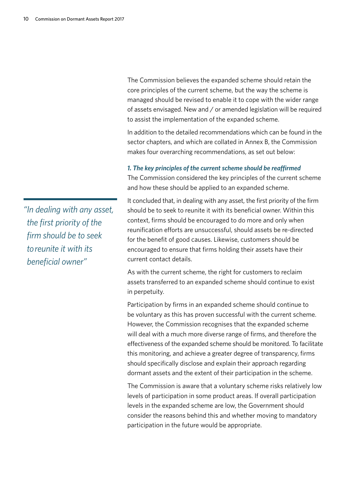The Commission believes the expanded scheme should retain the core principles of the current scheme, but the way the scheme is managed should be revised to enable it to cope with the wider range of assets envisaged. New and / or amended legislation will be required to assist the implementation of the expanded scheme.

In addition to the detailed recommendations which can be found in the sector chapters, and which are collated in Annex B, the Commission makes four overarching recommendations, as set out below:

#### *1. The key principles of the current scheme should be reaffirmed*

The Commission considered the key principles of the current scheme and how these should be applied to an expanded scheme.

It concluded that, in dealing with any asset, the first priority of the firm should be to seek to reunite it with its beneficial owner. Within this context, firms should be encouraged to do more and only when reunification efforts are unsuccessful, should assets be re-directed for the benefit of good causes. Likewise, customers should be encouraged to ensure that firms holding their assets have their current contact details.

As with the current scheme, the right for customers to reclaim assets transferred to an expanded scheme should continue to exist in perpetuity.

Participation by firms in an expanded scheme should continue to be voluntary as this has proven successful with the current scheme. However, the Commission recognises that the expanded scheme will deal with a much more diverse range of firms, and therefore the effectiveness of the expanded scheme should be monitored. To facilitate this monitoring, and achieve a greater degree of transparency, firms should specifically disclose and explain their approach regarding dormant assets and the extent of their participation in the scheme.

The Commission is aware that a voluntary scheme risks relatively low levels of participation in some product areas. If overall participation levels in the expanded scheme are low, the Government should consider the reasons behind this and whether moving to mandatory participation in the future would be appropriate.

*"In dealing with any asset, the first priority of the firm should be to seek to reunite it with its beneficial owner"*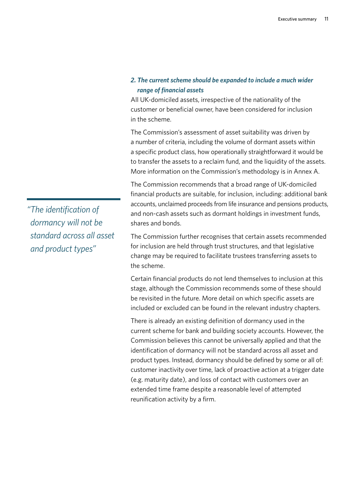# *2. The current scheme should be expanded to include a much wider range of financial assets*

All UK-domiciled assets, irrespective of the nationality of the customer or beneficial owner, have been considered for inclusion in the scheme.

The Commission's assessment of asset suitability was driven by a number of criteria, including the volume of dormant assets within a specific product class, how operationally straightforward it would be to transfer the assets to a reclaim fund, and the liquidity of the assets. More information on the Commission's methodology is in Annex A.

The Commission recommends that a broad range of UK-domiciled financial products are suitable, for inclusion, including: additional bank accounts, unclaimed proceeds from life insurance and pensions products, and non-cash assets such as dormant holdings in investment funds, shares and bonds.

The Commission further recognises that certain assets recommended for inclusion are held through trust structures, and that legislative change may be required to facilitate trustees transferring assets to the scheme.

Certain financial products do not lend themselves to inclusion at this stage, although the Commission recommends some of these should be revisited in the future. More detail on which specific assets are included or excluded can be found in the relevant industry chapters.

There is already an existing definition of dormancy used in the current scheme for bank and building society accounts. However, the Commission believes this cannot be universally applied and that the identification of dormancy will not be standard across all asset and product types. Instead, dormancy should be defined by some or all of: customer inactivity over time, lack of proactive action at a trigger date (e.g. maturity date), and loss of contact with customers over an extended time frame despite a reasonable level of attempted reunification activity by a firm.

*"The identification of dormancy will not be standard across all asset and product types"*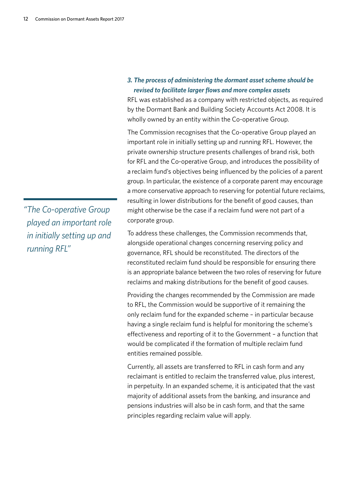# *3. The process of administering the dormant asset scheme should be revised to facilitate larger flows and more complex assets*

RFL was established as a company with restricted objects, as required by the Dormant Bank and Building Society Accounts Act 2008. It is wholly owned by an entity within the Co-operative Group.

The Commission recognises that the Co-operative Group played an important role in initially setting up and running RFL. However, the private ownership structure presents challenges of brand risk, both for RFL and the Co-operative Group, and introduces the possibility of a reclaim fund's objectives being influenced by the policies of a parent group. In particular, the existence of a corporate parent may encourage a more conservative approach to reserving for potential future reclaims, resulting in lower distributions for the benefit of good causes, than might otherwise be the case if a reclaim fund were not part of a corporate group.

To address these challenges, the Commission recommends that, alongside operational changes concerning reserving policy and governance, RFL should be reconstituted. The directors of the reconstituted reclaim fund should be responsible for ensuring there is an appropriate balance between the two roles of reserving for future reclaims and making distributions for the benefit of good causes.

Providing the changes recommended by the Commission are made to RFL, the Commission would be supportive of it remaining the only reclaim fund for the expanded scheme – in particular because having a single reclaim fund is helpful for monitoring the scheme's effectiveness and reporting of it to the Government – a function that would be complicated if the formation of multiple reclaim fund entities remained possible.

Currently, all assets are transferred to RFL in cash form and any reclaimant is entitled to reclaim the transferred value, plus interest, in perpetuity. In an expanded scheme, it is anticipated that the vast majority of additional assets from the banking, and insurance and pensions industries will also be in cash form, and that the same principles regarding reclaim value will apply.

*"The Co-operative Group played an important role in initially setting up and running RFL"*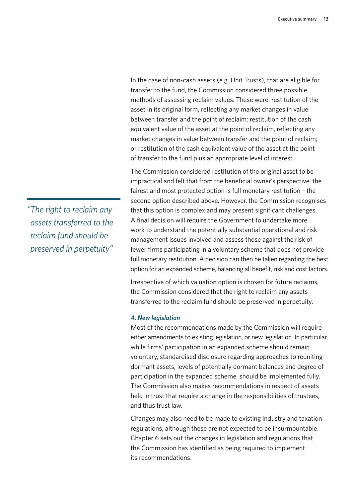In the case of non-cash assets (e.g. Unit Trusts), that are eligible for transfer to the fund, the Commission considered three possible methods of assessing reclaim values. These were: restitution of the asset in its original form, reflecting any market changes in value between transfer and the point of reclaim; restitution of the cash equivalent value of the asset at the point of reclaim, reflecting any market changes in value between transfer and the point of reclaim; or restitution of the cash equivalent value of the asset at the point of transfer to the fund plus an appropriate level of interest.

The Commission considered restitution of the original asset to be impractical and felt that from the beneficial owner's perspective, the fairest and most protected option is full monetary restitution – the second option described above. However, the Commission recognises that this option is complex and may present significant challenges. A final decision will require the Government to undertake more work to understand the potentially substantial operational and risk management issues involved and assess those against the risk of fewer firms participating in a voluntary scheme that does not provide full monetary restitution. A decision can then be taken regarding the best option for an expanded scheme, balancing all benefit, risk and cost factors.

Irrespective of which valuation option is chosen for future reclaims, the Commission considered that the right to reclaim any assets transferred to the reclaim fund should be preserved in perpetuity.

#### *4. New legislation*

Most of the recommendations made by the Commission will require either amendments to existing legislation, or new legislation. In particular, while firms' participation in an expanded scheme should remain voluntary, standardised disclosure regarding approaches to reuniting dormant assets, levels of potentially dormant balances and degree of participation in the expanded scheme, should be implemented fully. The Commission also makes recommendations in respect of assets held in trust that require a change in the responsibilities of trustees, and thus trust law.

Changes may also need to be made to existing industry and taxation regulations, although these are not expected to be insurmountable. Chapter 6 sets out the changes in legislation and regulations that the Commission has identified as being required to implement its recommendations.

*"The right to reclaim any assets transferred to the reclaim fund should be preserved in perpetuity"*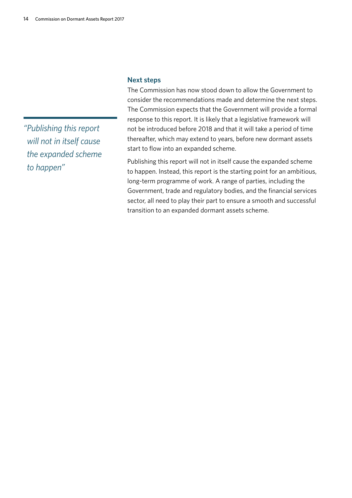*"Publishing this report will not in itself cause the expanded scheme to happen"*

# **Next steps**

The Commission has now stood down to allow the Government to consider the recommendations made and determine the next steps. The Commission expects that the Government will provide a formal response to this report. It is likely that a legislative framework will not be introduced before 2018 and that it will take a period of time thereafter, which may extend to years, before new dormant assets start to flow into an expanded scheme.

Publishing this report will not in itself cause the expanded scheme to happen. Instead, this report is the starting point for an ambitious, long-term programme of work. A range of parties, including the Government, trade and regulatory bodies, and the financial services sector, all need to play their part to ensure a smooth and successful transition to an expanded dormant assets scheme.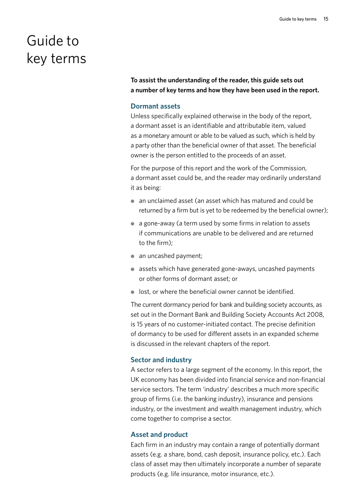# Guide to key terms

**To assist the understanding of the reader, this guide sets out a number of key terms and how they have been used in the report.** 

# **Dormant assets**

Unless specifically explained otherwise in the body of the report, a dormant asset is an identifiable and attributable item, valued as a monetary amount or able to be valued as such, which is held by a party other than the beneficial owner of that asset. The beneficial owner is the person entitled to the proceeds of an asset.

For the purpose of this report and the work of the Commission, a dormant asset could be, and the reader may ordinarily understand it as being:

- an unclaimed asset (an asset which has matured and could be returned by a firm but is yet to be redeemed by the beneficial owner);
- a gone-away (a term used by some firms in relation to assets if communications are unable to be delivered and are returned to the firm);
- an uncashed payment:
- assets which have generated gone-aways, uncashed payments or other forms of dormant asset; or
- lost, or where the beneficial owner cannot be identified.

The current dormancy period for bank and building society accounts, as set out in the Dormant Bank and Building Society Accounts Act 2008, is 15 years of no customer-initiated contact. The precise definition of dormancy to be used for different assets in an expanded scheme is discussed in the relevant chapters of the report.

# **Sector and industry**

A sector refers to a large segment of the economy. In this report, the UK economy has been divided into financial service and non-financial service sectors. The term 'industry' describes a much more specific group of firms (i.e. the banking industry), insurance and pensions industry, or the investment and wealth management industry, which come together to comprise a sector.

# **Asset and product**

Each firm in an industry may contain a range of potentially dormant assets (e.g. a share, bond, cash deposit, insurance policy, etc.). Each class of asset may then ultimately incorporate a number of separate products (e.g. life insurance, motor insurance, etc.).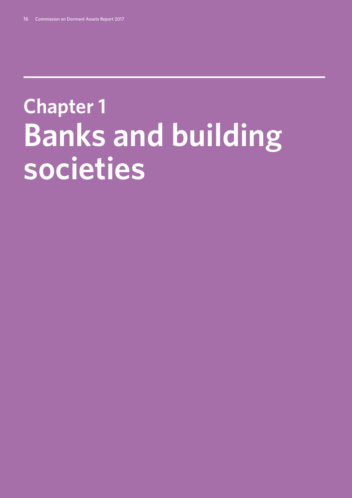# **Chapter 1: Banks and building societies**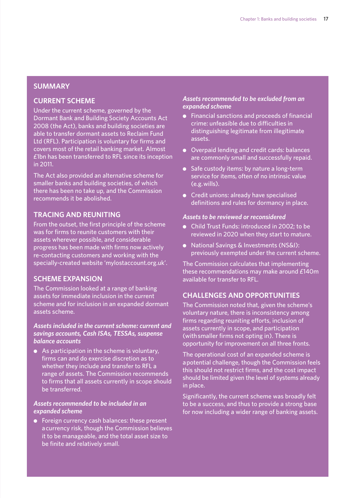# **SUMMARY**

# **CURRENT SCHEME**

Under the current scheme, governed by the Dormant Bank and Building Society Accounts Act 2008 (the Act), banks and building societies are able to transfer dormant assets to Reclaim Fund Ltd (RFL). Participation is voluntary for firms and covers most of the retail banking market. Almost £1bn has been transferred to RFL since its inception in 2011.

The Act also provided an alternative scheme for smaller banks and building societies, of which there has been no take up, and the Commission recommends it be abolished.

# **TRACING AND REUNITING**

From the outset, the first principle of the scheme was for firms to reunite customers with their assets wherever possible, and considerable progress has been made with firms now actively re-contacting customers and working with the specially-created website 'mylostaccount.org.uk'.

# **SCHEME EXPANSION**

The Commission looked at a range of banking assets for immediate inclusion in the current scheme and for inclusion in an expanded dormant assets scheme.

# *Assets included in the current scheme: current and savings accounts, Cash ISAs, TESSAs, suspense balance accounts*

● As participation in the scheme is voluntary, firms can and do exercise discretion as to whether they include and transfer to RFL a range of assets. The Commission recommends to firms that all assets currently in scope should be transferred.

# *Assets recommended to be included in an expanded scheme*

● Foreign currency cash balances: these present a currency risk, though the Commission believes it to be manageable, and the total asset size to be finite and relatively small.

# *Assets recommended to be excluded from an expanded scheme*

- Financial sanctions and proceeds of financial crime: unfeasible due to difficulties in distinguishing legitimate from illegitimate assets.
- Overpaid lending and credit cards: balances are commonly small and successfully repaid.
- Safe custody items: by nature a long-term service for items, often of no intrinsic value (e.g. wills).
- Credit unions: already have specialised definitions and rules for dormancy in place.

# *Assets to be reviewed or reconsidered*

- Child Trust Funds: introduced in 2002; to be reviewed in 2020 when they start to mature.
- National Savings & Investments (NS&I): previously exempted under the current scheme.

The Commission calculates that implementing these recommendations may make around £140m available for transfer to RFL.

# **CHALLENGES AND OPPORTUNITIES**

The Commission noted that, given the scheme's voluntary nature, there is inconsistency among firms regarding reuniting efforts, inclusion of assets currently in scope, and participation (with smaller firms not opting in). There is opportunity for improvement on all three fronts.

The operational cost of an expanded scheme is a potential challenge, though the Commission feels this should not restrict firms, and the cost impact should be limited given the level of systems already in place.

Significantly, the current scheme was broadly felt to be a success, and thus to provide a strong base for now including a wider range of banking assets.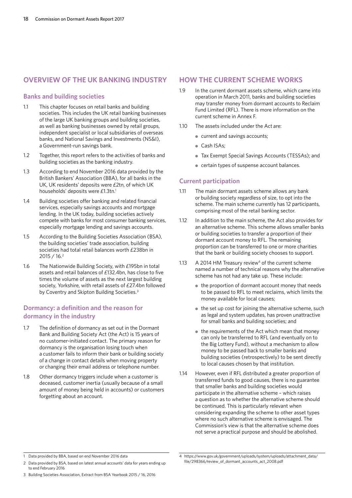# **OVERVIEW OF THE UK BANKING INDUSTRY**

# **Banks and building societies**

- 1.1 This chapter focuses on retail banks and building societies. This includes the UK retail banking businesses of the large UK banking groups and building societies, as well as banking businesses owned by retail groups, independent specialist or local subsidiaries of overseas banks, and National Savings and Investments (NS&I), a Government-run savings bank.
- 1.2 Together, this report refers to the activities of banks and building societies as the banking industry.
- 1.3 According to end November 2016 data provided by the British Bankers' Association (BBA), for all banks in the UK, UK residents' deposits were £2tn, of which UK households' deposits were £1.3tn.<sup>1</sup>
- 1.4 Building societies offer banking and related financial services, especially savings accounts and mortgage lending. In the UK today, building societies actively compete with banks for most consumer banking services, especially mortgage lending and savings accounts.
- 1.5 According to the Building Societies Association (BSA), the building societies' trade association, building societies had total retail balances worth £238bn in 2015 / 16.2
- 1.6 The Nationwide Building Society, with £195bn in total assets and retail balances of £132.4bn, has close to five times the volume of assets as the next largest building society, Yorkshire, with retail assets of £27.4bn followed by Coventry and Skipton Building Societies.<sup>3</sup>

# **Dormancy: a definition and the reason for dormancy in the industry**

- 1.7 The definition of dormancy as set out in the Dormant Bank and Building Society Act (the Act) is 15 years of no customer-initiated contact. The primary reason for dormancy is the organisation losing touch when a customer fails to inform their bank or building society of a change in contact details when moving property or changing their email address or telephone number.
- 1.8 Other dormancy triggers include when a customer is deceased, customer inertia (usually because of a small amount of money being held in accounts) or customers forgetting about an account.

# **HOW THE CURRENT SCHEME WORKS**

- 1.9 In the current dormant assets scheme, which came into operation in March 2011, banks and building societies may transfer money from dormant accounts to Reclaim Fund Limited (RFL). There is more information on the current scheme in Annex F.
- 1.10 The assets included under the Act are:
	- current and savings accounts;
	- Cash ISAs;
	- Tax Exempt Special Savings Accounts (TESSAs); and
	- certain types of suspense account balances.

# **Current participation**

- 1.11 The main dormant assets scheme allows any bank or building society regardless of size, to opt into the scheme. The main scheme currently has 12 participants, comprising most of the retail banking sector.
- 1.12 In addition to the main scheme, the Act also provides for an alternative scheme. This scheme allows smaller banks or building societies to transfer a proportion of their dormant account money to RFL. The remaining proportion can be transferred to one or more charities that the bank or building society chooses to support.
- 1.13 A 2014 HM Treasury review<sup>4</sup> of the current scheme named a number of technical reasons why the alternative scheme has not had any take up. These include:
	- the proportion of dormant account money that needs to be passed to RFL to meet reclaims, which limits the money available for local causes;
	- the set up cost for joining the alternative scheme, such as legal and system updates, has proven unattractive for small banks and building societies; and
	- the requirements of the Act which mean that money can only be transferred to RFL (and eventually on to the Big Lottery Fund), without a mechanism to allow money to be passed back to smaller banks and building societies (retrospectively) to be sent directly to local causes chosen by that institution.
- 1.14 However, even if RFL distributed a greater proportion of transferred funds to good causes, there is no guarantee that smaller banks and building societies would participate in the alternative scheme – which raises a question as to whether the alternative scheme should be continued. This is particularly relevant when considering expanding the scheme to other asset types where no such alternative scheme is envisaged. The Commission's view is that the alternative scheme does not serve a practical purpose and should be abolished.

<sup>1</sup> Data provided by BBA, based on end November 2016 data

<sup>2</sup> Data provided by BSA, based on latest annual accounts' data for years ending up to end February 2016

<sup>4</sup> https://www.gov.uk/government/uploads/system/uploads/attachment\_data/ file/298366/review\_of\_dormant\_accounts\_act\_2008.pdf

<sup>3</sup> Building Societies Association, Extract from BSA Yearbook 2015 / 16, 2016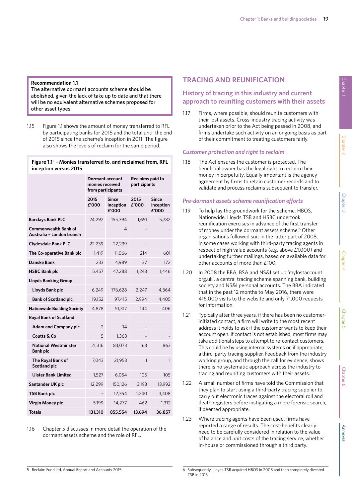#### **Recommendation 1.1**

The alternative dormant accounts scheme should be abolished, given the lack of take up to date and that there will be no equivalent alternative schemes proposed for other asset types.

1.15 Figure 1.1 shows the amount of money transferred to RFL by participating banks for 2015 and the total until the end of 2015 since the scheme's inception in 2011. The figure also shows the levels of reclaim for the same period.

#### **Figure 1.15 – Monies transferred to, and reclaimed from, RFL inception versus 2015**

|                                                          | Dormant account<br>monies received<br>from participants |                                    | Reclaims paid to<br>participants |                                    |
|----------------------------------------------------------|---------------------------------------------------------|------------------------------------|----------------------------------|------------------------------------|
|                                                          | 2015<br>£'000                                           | <b>Since</b><br>inception<br>£'000 | 2015<br>£'000                    | <b>Since</b><br>inception<br>£'000 |
| <b>Barclays Bank PLC</b>                                 | 24,292                                                  | 155,394                            | 1,651                            | 5,782                              |
| <b>Commonwealth Bank of</b><br>Australia - London branch |                                                         | 4                                  |                                  |                                    |
| <b>Clydesdale Bank PLC</b>                               | 22,239                                                  | 22,239                             |                                  |                                    |
| The Co-operative Bank plc                                | 1,419                                                   | 11,066                             | 214                              | 601                                |
| <b>Danske Bank</b>                                       | 233                                                     | 4.989                              | 37                               | 172                                |
| <b>HSBC Bank plc</b>                                     | 5,457                                                   | 47,288                             | 1,243                            | 1,446                              |
| <b>Lloyds Banking Group</b>                              |                                                         |                                    |                                  |                                    |
| Lloyds Bank plc                                          | 6,249                                                   | 176,628                            | 2,247                            | 4,364                              |
| <b>Bank of Scotland plc</b>                              | 19,152                                                  | 97,415                             | 2.994                            | 4.405                              |
| <b>Nationwide Building Society</b>                       | 4,878                                                   | 51,317                             | 144                              | 406                                |
| <b>Royal Bank of Scotland</b>                            |                                                         |                                    |                                  |                                    |
| <b>Adam and Company plc</b>                              | $\overline{2}$                                          | 14                                 |                                  |                                    |
| Coutts & Co                                              | 5                                                       | 1.363                              |                                  |                                    |
| <b>National Westminster</b><br><b>Bank plc</b>           | 21,316                                                  | 83,073                             | 163                              | 863                                |
| The Royal Bank of<br>Scotland plc                        | 7,043                                                   | 21,953                             | 1                                | $\mathbf{1}$                       |
| <b>Ulster Bank Limited</b>                               | 1,527                                                   | 6,054                              | 105                              | 105                                |
| Santander UK plc                                         | 12,299                                                  | 150,126                            | 3,193                            | 13,992                             |
| <b>TSB Bank plc</b>                                      |                                                         | 12,354                             | 1,240                            | 3,408                              |
| Virgin Money plc                                         | 5,199                                                   | 14,277                             | 462                              | 1,312                              |
| <b>Totals</b>                                            | 131,310                                                 | 855,554                            | 13,694                           | 36,857                             |

1.16 Chapter 5 discusses in more detail the operation of the dormant assets scheme and the role of RFL.

# **TRACING AND REUNIFICATION**

# **History of tracing in this industry and current approach to reuniting customers with their assets**

1.17 Firms, where possible, should reunite customers with their lost assets. Cross-industry tracing activity was undertaken prior to the Act being passed in 2008, and firms undertake such activity on an ongoing basis as part of their commitment to treating customers fairly.

# *Customer protection and right to reclaim*

1.18 The Act ensures the customer is protected. The beneficial owner has the legal right to reclaim their money in perpetuity. Equally important is the agency agreement by firms to retain customer records and to validate and process reclaims subsequent to transfer.

# *Pre-dormant assets scheme reunification efforts*

- 1.19 To help lay the groundwork for the scheme, HBOS, Nationwide, Lloyds TSB and HSBC undertook reunification exercises in advance of the first transfer of money under the dormant assets scheme.<sup>6</sup> Other organisations followed suit in the latter part of 2008, in some cases working with third-party tracing agents in respect of high value accounts (e.g. above £1,000) and undertaking further mailings, based on available data for other accounts of more than £100.
- 1.20 In 2008 the BBA, BSA and NS&I set up 'mylostaccount. org.uk', a central tracing scheme spanning bank, building society and NS&I personal accounts. The BBA indicated that in the past 12 months to May 2016, there were 416,000 visits to the website and only 71,000 requests for information.
- 1.21 Typically after three years, if there has been no customerinitiated contact, a firm will write to the most recent address it holds to ask if the customer wants to keep their account open. If contact is not established, most firms may take additional steps to attempt to re-contact customers. This could be by using internal systems or, if appropriate, a third-party tracing supplier. Feedback from the industry working group, and through the call for evidence, shows there is no systematic approach across the industry to tracing and reuniting customers with their assets.
- 1.22 A small number of firms have told the Commission that they plan to start using a third-party tracing supplier to carry out electronic traces against the electoral roll and death registers before instigating a more forensic search, if deemed appropriate.
- 1.23 Where tracing agents have been used, firms have reported a range of results. The cost-benefits clearly need to be carefully considered in relation to the value of balance and unit costs of the tracing service, whether in-house or commissioned through a third party.

<sup>6</sup> Subsequently, Lloyds TSB acquired HBOS in 2008 and then completely divested TSB in 2015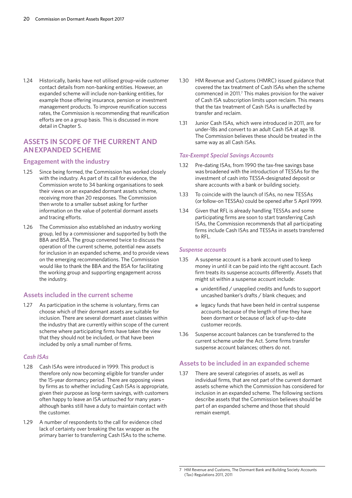1.24 Historically, banks have not utilised group-wide customer contact details from non-banking entities. However, an expanded scheme will include non-banking entities, for example those offering insurance, pension or investment management products. To improve reunification success rates, the Commission is recommending that reunification efforts are on a group basis. This is discussed in more detail in Chapter 5.

# **ASSETS IN SCOPE OF THE CURRENT AND AN EXPANDED SCHEME**

#### **Engagement with the industry**

- 1.25 Since being formed, the Commission has worked closely with the industry. As part of its call for evidence, the Commission wrote to 34 banking organisations to seek their views on an expanded dormant assets scheme, receiving more than 20 responses. The Commission then wrote to a smaller subset asking for further information on the value of potential dormant assets and tracing efforts.
- 1.26 The Commission also established an industry working group, led by a commissioner and supported by both the BBA and BSA. The group convened twice to discuss the operation of the current scheme, potential new assets for inclusion in an expanded scheme, and to provide views on the emerging recommendations. The Commission would like to thank the BBA and the BSA for facilitating the working group and supporting engagement across the industry.

### **Assets included in the current scheme**

1.27 As participation in the scheme is voluntary, firms can choose which of their dormant assets are suitable for inclusion. There are several dormant asset classes within the industry that are currently within scope of the current scheme where participating firms have taken the view that they should not be included, or that have been included by only a small number of firms.

#### *Cash ISAs*

- 1.28 Cash ISAs were introduced in 1999. This product is therefore only now becoming eligible for transfer under the 15-year dormancy period. There are opposing views by firms as to whether including Cash ISAs is appropriate, given their purpose as long-term savings, with customers often happy to leave an ISA untouched for many years – although banks still have a duty to maintain contact with the customer.
- 1.29 A number of respondents to the call for evidence cited lack of certainty over breaking the tax wrapper as the primary barrier to transferring Cash ISAs to the scheme.
- 1.30 HM Revenue and Customs (HMRC) issued guidance that covered the tax treatment of Cash ISAs when the scheme commenced in 2011.<sup>7</sup> This makes provision for the waiver of Cash ISA subscription limits upon reclaim. This means that the tax treatment of Cash ISAs is unaffected by transfer and reclaim.
- 1.31 Junior Cash ISAs, which were introduced in 2011, are for under-18s and convert to an adult Cash ISA at age 18. The Commission believes these should be treated in the same way as all Cash ISAs.

#### *Tax-Exempt Special Savings Accounts*

- 1.32 Pre-dating ISAs, from 1990 the tax-free savings base was broadened with the introduction of TESSAs for the investment of cash into TESSA-designated deposit or share accounts with a bank or building society.
- 1.33 To coincide with the launch of ISAs, no new TESSAs (or follow-on TESSAs) could be opened after 5 April 1999.
- 1.34 Given that RFL is already handling TESSAs and some participating firms are soon to start transferring Cash ISAs, the Commission recommends that all participating firms include Cash ISAs and TESSAs in assets transferred to RFL.

#### *Suspense accounts*

- 1.35 A suspense account is a bank account used to keep money in until it can be paid into the right account. Each firm treats its suspense accounts differently. Assets that might sit within a suspense account include:
	- unidentified / unapplied credits and funds to support uncashed banker's drafts / blank cheques; and
	- legacy funds that have been held in central suspense accounts because of the length of time they have been dormant or because of lack of up-to-date customer records.
- 1.36 Suspense account balances can be transferred to the current scheme under the Act. Some firms transfer suspense account balances; others do not.

#### **Assets to be included in an expanded scheme**

1.37 There are several categories of assets, as well as individual firms, that are not part of the current dormant assets scheme which the Commission has considered for inclusion in an expanded scheme. The following sections describe assets that the Commission believes should be part of an expanded scheme and those that should remain exempt.

<sup>7</sup> HM Revenue and Customs, The Dormant Bank and Building Society Accounts (Tax) Regulations 2011, 2011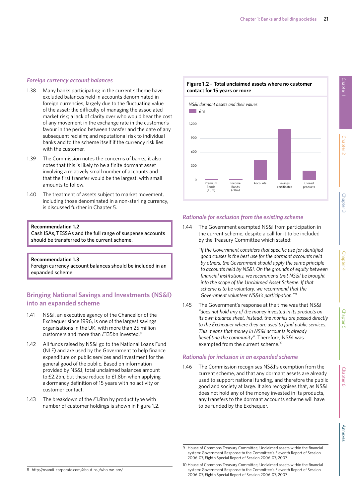#### *Foreign currency account balances*

- 1.38 Many banks participating in the current scheme have excluded balances held in accounts denominated in foreign currencies, largely due to the fluctuating value of the asset; the difficulty of managing the associated market risk; a lack of clarity over who would bear the cost of any movement in the exchange rate in the customer's favour in the period between transfer and the date of any subsequent reclaim; and reputational risk to individual banks and to the scheme itself if the currency risk lies with the customer.
- 1.39 The Commission notes the concerns of banks; it also notes that this is likely to be a finite dormant asset involving a relatively small number of accounts and that the first transfer would be the largest, with small amounts to follow.
- 1.40 The treatment of assets subject to market movement, including those denominated in a non-sterling currency, is discussed further in Chapter 5.

#### **Recommendation 1.2**

Cash ISAs, TESSAs and the full range of suspense accounts should be transferred to the current scheme.

#### **Recommendation 1.3**

Foreign currency account balances should be included in an expanded scheme.

# **Bringing National Savings and Investments (NS&I) into an expanded scheme**

- 1.41 NS&I, an executive agency of the Chancellor of the Exchequer since 1996, is one of the largest savings organisations in the UK, with more than 25 million customers and more than £135bn invested.8
- 1.42 All funds raised by NS&I go to the National Loans Fund (NLF) and are used by the Government to help finance expenditure on public services and investment for the general good of the public. Based on information provided by NS&I, total unclaimed balances amount to £2.2bn, but these reduce to £1.8bn when applying a dormancy definition of 15 years with no activity or customer contact.
- 1.43 The breakdown of the £1.8bn by product type with number of customer holdings is shown in Figure 1.2.

#### **Figure 1.2 – Total unclaimed assets where no customer contact for 15 years or more**



#### *Rationale for exclusion from the existing scheme*

1.44 The Government exempted NS&I from participation in the current scheme, despite a call for it to be included by the Treasury Committee which stated:

> "*If the Government considers that specific use for identified good causes is the best use for the dormant accounts held by others, the Government should apply the same principle to accounts held by NS&I. On the grounds of equity between financial institutions, we recommend that NS&I be brought into the scope of the Unclaimed Asset Scheme. If that scheme is to be voluntary, we recommend that the Government volunteer NS&I's participation."* <sup>9</sup>

1.45 The Government's response at the time was that NS&I *"does not hold any of the money invested in its products on its own balance sheet. Instead, the monies are passed directly to the Exchequer where they are used to fund public services. This means that money in NS&I accounts is already benefiting the community".* Therefore, NS&I was exempted from the current scheme.<sup>10</sup>

#### *Rationale for inclusion in an expanded scheme*

1.46 The Commission recognises NS&I's exemption from the current scheme, and that any dormant assets are already used to support national funding, and therefore the public good and society at large. It also recognises that, as NS&I does not hold any of the money invested in its products, any transfers to the dormant accounts scheme will have to be funded by the Exchequer.

<sup>9</sup> House of Commons Treasury Committee, Unclaimed assets within the financial system: Government Response to the Committee's Eleventh Report of Session 2006-07, Eighth Special Report of Session 2006-07, 2007

<sup>8</sup> http://nsandi-corporate.com/about-nsi/who-we-are/

<sup>10</sup> House of Commons Treasury Committee, Unclaimed assets within the financial system: Government Response to the Committee's Eleventh Report of Session 2006-07, Eighth Special Report of Session 2006-07, 2007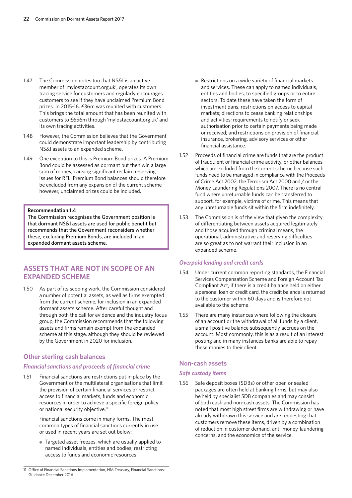- 1.47 The Commission notes too that NS&I is an active member of 'mylostaccount.org.uk', operates its own tracing service for customers and regularly encourages customers to see if they have unclaimed Premium Bond prizes. In 2015-16, £36m was reunited with customers. .<br>This brings the total amount that has been reunited with customers to £656m through 'mylostaccount.org.uk' and its own tracing activities.
- 1.48 However, the Commission believes that the Government could demonstrate important leadership by contributing NS&I assets to an expanded scheme.
- 1.49 One exception to this is Premium Bond prizes. A Premium Bond could be assessed as dormant but then win a large sum of money, causing significant reclaim reserving issues for RFL. Premium Bond balances should therefore be excluded from any expansion of the current scheme – however, unclaimed prizes could be included.

#### **Recommendation 1.4**

The Commission recognises the Government position is that dormant NS&I assets are used for public benefit but recommends that the Government reconsiders whether these, excluding Premium Bonds, are included in an expanded dormant assets scheme.

# **ASSETS THAT ARE NOT IN SCOPE OF AN EXPANDED SCHEME**

1.50 As part of its scoping work, the Commission considered a number of potential assets, as well as firms exempted from the current scheme, for inclusion in an expanded dormant assets scheme. After careful thought and through both the call for evidence and the industry focus group, the Commission recommends that the following assets and firms remain exempt from the expanded scheme at this stage, although they should be reviewed by the Government in 2020 for inclusion.

### **Other sterling cash balances**

# *Financial sanctions and proceeds of financial crime*

1.51 Financial sanctions are restrictions put in place by the Government or the multilateral organisations that limit the provision of certain financial services or restrict access to financial markets, funds and economic resources in order to achieve a specific foreign policy or national security objective.<sup>11</sup>

> Financial sanctions come in many forms. The most common types of financial sanctions currently in use or used in recent years are set out below:

● Targeted asset freezes, which are usually applied to named individuals, entities and bodies, restricting access to funds and economic resources.

11 Office of Financial Sanctions Implementation, HM Treasury, Financial Sanctions: Guidance December 2016

- Restrictions on a wide variety of financial markets and services. These can apply to named individuals, entities and bodies, to specified groups or to entire sectors. To date these have taken the form of investment bans; restrictions on access to capital markets; directions to cease banking relationships and activities; requirements to notify or seek authorisation prior to certain payments being made or received; and restrictions on provision of financial, insurance, brokering, advisory services or other financial assistance.
- 1.52 Proceeds of financial crime are funds that are the product of fraudulent or financial crime activity, or other balances which are excluded from the current scheme because such funds need to be managed in compliance with the Proceeds of Crime Act 2002, the Terrorism Act 2000 and / or the Money Laundering Regulations 2007. There is no central fund where unreturnable funds can be transferred to support, for example, victims of crime. This means that any unreturnable funds sit within the firm indefinitely.
- 1.53 The Commission is of the view that given the complexity of differentiating between assets acquired legitimately and those acquired through criminal means, the operational, administrative and reserving difficulties are so great as to not warrant their inclusion in an expanded scheme.

#### *Overpaid lending and credit cards*

- 1.54 Under current common reporting standards, the Financial Services Compensation Scheme and Foreign Account Tax Compliant Act, if there is a credit balance held on either a personal loan or credit card, the credit balance is returned to the customer within 60 days and is therefore not available to the scheme.
- 1.55 There are many instances where following the closure of an account or the withdrawal of all funds by a client, a small positive balance subsequently accrues on the account. Most commonly, this is as a result of an interest posting and in many instances banks are able to repay these monies to their client.

# **Non-cash assets**

### *Safe custody items*

1.56 Safe deposit boxes (SDBs) or other open or sealed packages are often held at banking firms, but may also be held by specialist SDB companies and may consist of both cash and non-cash assets. The Commission has noted that most high street firms are withdrawing or have already withdrawn this service and are requesting that customers remove these items, driven by a combination of reduction in customer demand, anti-money-laundering concerns, and the economics of the service.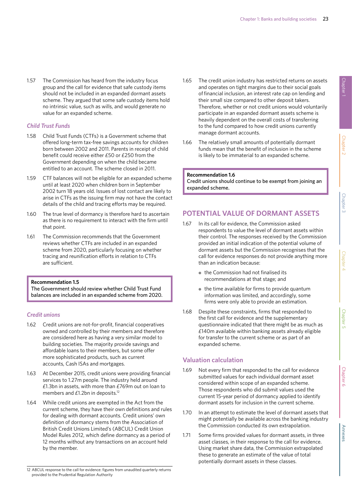1.57 The Commission has heard from the industry focus group and the call for evidence that safe custody items should not be included in an expanded dormant assets scheme. They argued that some safe custody items hold no intrinsic value, such as wills, and would generate no value for an expanded scheme.

### *Child Trust Funds*

- 1.58 Child Trust Funds (CTFs) is a Government scheme that offered long-term tax-free savings accounts for children born between 2002 and 2011. Parents in receipt of child benefit could receive either £50 or £250 from the Government depending on when the child became entitled to an account. The scheme closed in 2011.
- 1.59 CTF balances will not be eligible for an expanded scheme until at least 2020 when children born in September 2002 turn 18 years old. Issues of lost contact are likely to arise in CTFs as the issuing firm may not have the contact details of the child and tracing efforts may be required.
- 1.60 The true level of dormancy is therefore hard to ascertain as there is no requirement to interact with the firm until that point.
- 1.61 The Commission recommends that the Government reviews whether CTFs are included in an expanded scheme from 2020, particularly focusing on whether tracing and reunification efforts in relation to CTFs are sufficient.

#### **Recommendation 1.5**

The Government should review whether Child Trust Fund balances are included in an expanded scheme from 2020.

### *Credit unions*

- 1.62 Credit unions are not-for-profit, financial cooperatives owned and controlled by their members and therefore are considered here as having a very similar model to building societies. The majority provide savings and affordable loans to their members, but some offer more sophisticated products, such as current accounts, Cash ISAs and mortgages.
- 1.63 At December 2015, credit unions were providing financial services to 1.27m people. The industry held around £1.3bn in assets, with more than £769m out on loan to members and £1.2bn in deposits.12
- 1.64 While credit unions are exempted in the Act from the current scheme, they have their own definitions and rules for dealing with dormant accounts. Credit unions' own definition of dormancy stems from the Association of British Credit Unions Limited's (ABCUL) Credit Union Model Rules 2012, which define dormancy as a period of 12 months without any transactions on an account held by the member.

1.66 The relatively small amounts of potentially dormant funds mean that the benefit of inclusion in the scheme is likely to be immaterial to an expanded scheme.

#### **Recommendation 1.6**

Credit unions should continue to be exempt from joining an expanded scheme.

# **POTENTIAL VALUE OF DORMANT ASSETS**

- 1.67 In its call for evidence, the Commission asked respondents to value the level of dormant assets within their control. The responses received by the Commission provided an initial indication of the potential volume of dormant assets but the Commission recognises that the call for evidence responses do not provide anything more than an indication because:
	- the Commission had not finalised its recommendations at that stage; and
	- $\bullet$  the time available for firms to provide quantum information was limited, and accordingly, some firms were only able to provide an estimation.
- 1.68 Despite these constraints, firms that responded to the first call for evidence and the supplementary questionnaire indicated that there might be as much as £140m available within banking assets already eligible for transfer to the current scheme or as part of an expanded scheme.

# **Valuation calculation**

- 1.69 Not every firm that responded to the call for evidence submitted values for each individual dormant asset considered within scope of an expanded scheme. Those respondents who did submit values used the current 15-year period of dormancy applied to identify dormant assets for inclusion in the current scheme.
- 1.70 In an attempt to estimate the level of dormant assets that might potentially be available across the banking industry the Commission conducted its own extrapolation.
- 1.71 Some firms provided values for dormant assets, in three asset classes, in their response to the call for evidence. Using market share data, the Commission extrapolated these to generate an estimate of the value of total potentially dormant assets in these classes.

12 ABCUL response to the call for evidence: figures from unaudited quarterly returns provided to the Prudential Regulation Authority

<sup>1.65</sup> The credit union industry has restricted returns on assets and operates on tight margins due to their social goals of financial inclusion, an interest rate cap on lending and their small size compared to other deposit takers. Therefore, whether or not credit unions would voluntarily participate in an expanded dormant assets scheme is heavily dependent on the overall costs of transferring to the fund compared to how credit unions currently manage dormant accounts.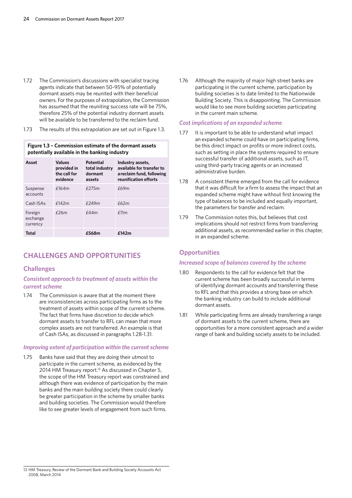- 1.72 The Commission's discussions with specialist tracing agents indicate that between 50-95% of potentially dormant assets may be reunited with their beneficial owners. For the purposes of extrapolation, the Commission has assumed that the reuniting success rate will be 75%, therefore 25% of the potential industry dormant assets will be available to be transferred to the reclaim fund.
- 1.73 The results of this extrapolation are set out in Figure 1.3.

#### **Figure 1.3 – Commission estimate of the dormant assets potentially available in the banking industry**

| Asset                           | <b>Values</b><br>provided in<br>the call for<br>evidence | Potential<br>total industry<br>dormant<br>assets | Industry assets,<br>available for transfer to<br>a reclaim fund, following<br>reunification efforts |
|---------------------------------|----------------------------------------------------------|--------------------------------------------------|-----------------------------------------------------------------------------------------------------|
| Suspense<br>accounts            | f164m                                                    | £275m                                            | £69m                                                                                                |
| Cash ISAs                       | f142m                                                    | $f$ 249m                                         | £62m                                                                                                |
| Foreign<br>exchange<br>currency | $f$ 26m                                                  | f44m                                             | f11m                                                                                                |
| Total                           |                                                          | £568m                                            | £142m                                                                                               |

# **CHALLENGES AND OPPORTUNITIES**

### **Challenges**

#### *Consistent approach to treatment of assets within the current scheme*

1.74 The Commission is aware that at the moment there are inconsistencies across participating firms as to the treatment of assets within scope of the current scheme. The fact that firms have discretion to decide which dormant assets to transfer to RFL can mean that more complex assets are not transferred. An example is that of Cash ISAs, as discussed in paragraphs 1.28-1.31.

#### *Improving extent of participation within the current scheme*

1.75 Banks have said that they are doing their utmost to participate in the current scheme, as evidenced by the 2014 HM Treasury report.<sup>13</sup> As discussed in Chapter 5, the scope of the HM Treasury report was constrained and although there was evidence of participation by the main banks and the main building society there could clearly be greater participation in the scheme by smaller banks and building societies. The Commission would therefore like to see greater levels of engagement from such firms.

1.76 Although the majority of major high street banks are participating in the current scheme, participation by building societies is to date limited to the Nationwide Building Society. This is disappointing. The Commission would like to see more building societies participating in the current main scheme.

#### *Cost implications of an expanded scheme*

- 1.77 It is important to be able to understand what impact an expanded scheme could have on participating firms, be this direct impact on profits or more indirect costs, such as setting in place the systems required to ensure successful transfer of additional assets, such as IT, using third-party tracing agents or an increased administrative burden.
- 1.78 A consistent theme emerged from the call for evidence that it was difficult for a firm to assess the impact that an expanded scheme might have without first knowing the type of balances to be included and equally important, the parameters for transfer and reclaim.
- 1.79 The Commission notes this, but believes that cost implications should not restrict firms from transferring additional assets, as recommended earlier in this chapter, in an expanded scheme.

#### **Opportunities**

#### *Increased scope of balances covered by the scheme*

- 1.80 Respondents to the call for evidence felt that the current scheme has been broadly successful in terms of identifying dormant accounts and transferring these to RFL and that this provides a strong base on which the banking industry can build to include additional dormant assets.
- 1.81 While participating firms are already transferring a range of dormant assets to the current scheme, there are opportunities for a more consistent approach and a wider range of bank and building society assets to be included.

<sup>13</sup> HM Treasury, Review of the Dormant Bank and Building Society Accounts Act 2008, March 2014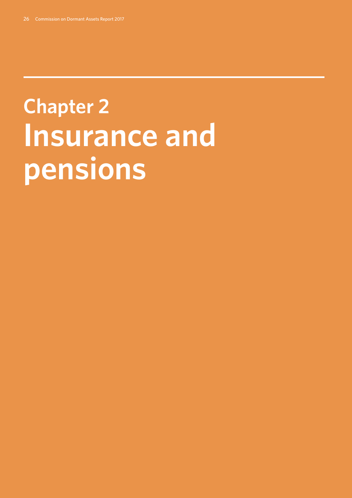# **Chapter 2: Insurance and pensions**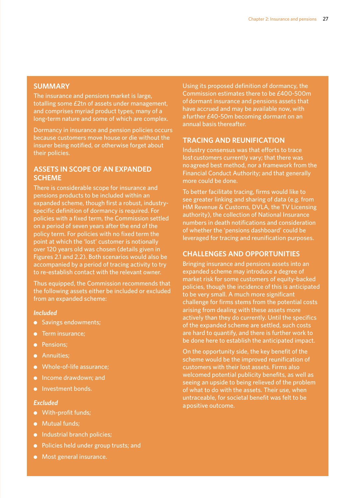# **SUMMARY**

The insurance and pensions market is large, totalling some £2tn of assets under management, and comprises myriad product types, many of a long-term nature and some of which are complex.

Dormancy in insurance and pension policies occurs because customers move house or die without the insurer being notified, or otherwise forget about their policies.

# **ASSETS IN SCOPE OF AN EXPANDED SCHEME**

There is considerable scope for insurance and pensions products to be included within an expanded scheme, though first a robust, industryspecific definition of dormancy is required. For policies with a fixed term, the Commission settled on a period of seven years after the end of the policy term. For policies with no fixed term the point at which the 'lost' customer is notionally over 120 years old was chosen (details given in Figures 2.1 and 2.2). Both scenarios would also be accompanied by a period of tracing activity to try to re-establish contact with the relevant owner.

Thus equipped, the Commission recommends that the following assets either be included or excluded from an expanded scheme:

#### *Included*

- Savings endowments;
- Term insurance;
- Pensions;
- Annuities;
- Whole-of-life assurance;
- Income drawdown; and
- Investment bonds.

### *Excluded*

- With-profit funds;
- Mutual funds;
- Industrial branch policies;
- Policies held under group trusts; and
- Most general insurance.

Using its proposed definition of dormancy, the Commission estimates there to be £400-500m of dormant insurance and pensions assets that have accrued and may be available now, with a further £40-50m becoming dormant on an annual basis thereafter.

# **TRACING AND REUNIFICATION**

Industry consensus was that efforts to trace lost customers currently vary; that there was no agreed best method, nor a framework from the Financial Conduct Authority; and that generally more could be done.

To better facilitate tracing, firms would like to see greater linking and sharing of data (e.g. from HM Revenue & Customs, DVLA, the TV Licensing authority), the collection of National Insurance numbers in death notifications and consideration of whether the 'pensions dashboard' could be leveraged for tracing and reunification purposes.

# **CHALLENGES AND OPPORTUNITIES**

Bringing insurance and pensions assets into an expanded scheme may introduce a degree of market risk for some customers of equity-backed policies, though the incidence of this is anticipated to be very small. A much more significant challenge for firms stems from the potential costs arising from dealing with these assets more actively than they do currently. Until the specifics of the expanded scheme are settled, such costs are hard to quantify, and there is further work to be done here to establish the anticipated impact.

On the opportunity side, the key benefit of the scheme would be the improved reunification of customers with their lost assets. Firms also welcomed potential publicity benefits, as well as seeing an upside to being relieved of the problem of what to do with the assets. Their use, when untraceable, for societal benefit was felt to be a positive outcome.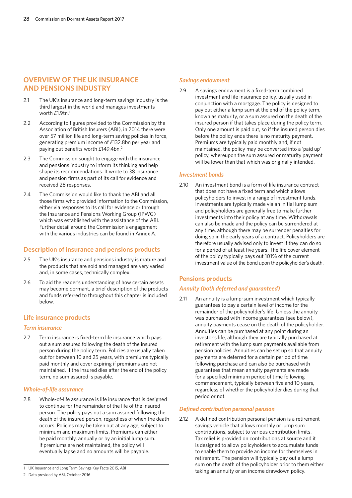# **OVERVIEW OF THE UK INSURANCE AND PENSIONS INDUSTRY**

- 2.1 The UK's insurance and long-term savings industry is the third largest in the world and manages investments worth  $\mathsf{E}1.9$ tn.<sup>1</sup>
- 2.2 According to figures provided to the Commission by the Association of British Insurers (ABI), in 2014 there were over 57 million life and long-term saving policies in force, generating premium income of £132.8bn per year and paying out benefits worth £149.4bn.<sup>2</sup>
- 2.3 The Commission sought to engage with the insurance and pensions industry to inform its thinking and help shape its recommendations. It wrote to 38 insurance and pension firms as part of its call for evidence and received 28 responses.
- 2.4 The Commission would like to thank the ABI and all those firms who provided information to the Commission, either via responses to its call for evidence or through the Insurance and Pensions Working Group (IPWG) which was established with the assistance of the ABI. Further detail around the Commission's engagement with the various industries can be found in Annex A.

# **Description of insurance and pensions products**

- 2.5 The UK's insurance and pensions industry is mature and the products that are sold and managed are very varied and, in some cases, technically complex.
- 2.6 To aid the reader's understanding of how certain assets may become dormant, a brief description of the products and funds referred to throughout this chapter is included below.

# **Life insurance products**

#### *Term insurance*

2.7 Term insurance is fixed-term life insurance which pays out a sum assured following the death of the insured person during the policy term. Policies are usually taken out for between 10 and 25 years, with premiums typically paid monthly and cover expiring if premiums are not maintained. If the insured dies after the end of the policy term, no sum assured is payable.

#### *Whole-of-life assurance*

2.8 Whole-of-life assurance is life insurance that is designed to continue for the remainder of the life of the insured person. The policy pays out a sum assured following the death of the insured person, regardless of when the death occurs. Policies may be taken out at any age, subject to minimum and maximum limits. Premiums can either be paid monthly, annually or by an initial lump sum. If premiums are not maintained, the policy will eventually lapse and no amounts will be payable.

#### *Savings endowment*

2.9 A savings endowment is a fixed-term combined investment and life insurance policy, usually used in conjunction with a mortgage. The policy is designed to pay out either a lump sum at the end of the policy term, known as maturity, or a sum assured on the death of the insured person if that takes place during the policy term. Only one amount is paid out, so if the insured person dies before the policy ends there is no maturity payment. Premiums are typically paid monthly and, if not maintained, the policy may be converted into a 'paid up' policy, whereupon the sum assured or maturity payment will be lower than that which was originally intended.

#### *Investment bonds*

2.10 An investment bond is a form of life insurance contract that does not have a fixed term and which allows policyholders to invest in a range of investment funds. Investments are typically made via an initial lump sum and policyholders are generally free to make further investments into their policy at any time. Withdrawals can also be made and the policy can be surrendered at any time, although there may be surrender penalties for doing so in the early years of a contract. Policyholders are therefore usually advised only to invest if they can do so for a period of at least five years. The life cover element of the policy typically pays out 101% of the current investment value of the bond upon the policyholder's death.

# **Pensions products**

# *Annuity (both deferred and guaranteed)*

2.11 An annuity is a lump-sum investment which typically guarantees to pay a certain level of income for the remainder of the policyholder's life. Unless the annuity was purchased with income guarantees (see below), annuity payments cease on the death of the policyholder. Annuities can be purchased at any point during an investor's life, although they are typically purchased at retirement with the lump sum payments available from pension policies. Annuities can be set up so that annuity payments are deferred for a certain period of time following purchase and can also be purchased with guarantees that mean annuity payments are made for a specified minimum period of time following commencement, typically between five and 10 years, regardless of whether the policyholder dies during that period or not.

#### *Defined contribution personal pension*

2.12 A defined contribution personal pension is a retirement savings vehicle that allows monthly or lump sum contributions, subject to various contribution limits. Tax relief is provided on contributions at source and it is designed to allow policyholders to accumulate funds to enable them to provide an income for themselves in retirement. The pension will typically pay out a lump sum on the death of the policyholder prior to them either taking an annuity or an income drawdown policy.

<sup>1</sup> UK Insurance and Long Term Savings Key Facts 2015, ABI

<sup>2</sup> Data provided by ABI, October 2016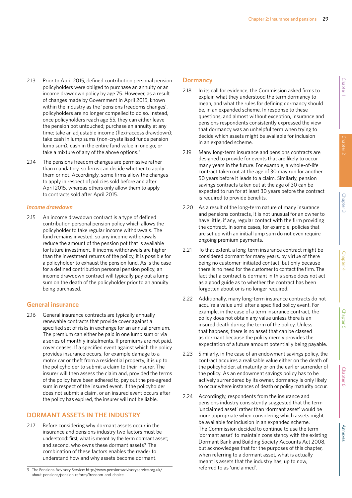- 2.13 Prior to April 2015, defined contribution personal pension policyholders were obliged to purchase an annuity or an income drawdown policy by age 75. However, as a result of changes made by Government in April 2015, known within the industry as the 'pensions freedoms changes', policyholders are no longer compelled to do so. Instead, once policyholders reach age 55, they can either leave the pension pot untouched; purchase an annuity at any time; take an adjustable income (flexi-access drawdown); take cash in lump sums (non-crystallised funds pension lump sum); cash in the entire fund value in one go; or take a mixture of any of the above options.<sup>3</sup>
- 2.14 The pensions freedom changes are permissive rather than mandatory, so firms can decide whether to apply them or not. Accordingly, some firms allow the changes to apply in respect of policies sold before and after April 2015, whereas others only allow them to apply to contracts sold after April 2015.

#### *Income drawdown*

2.15 An income drawdown contract is a type of defined contribution personal pension policy which allows the policyholder to take regular income withdrawals. The fund remains invested, so any income withdrawals reduce the amount of the pension pot that is available for future investment. If income withdrawals are higher than the investment returns of the policy, it is possible for a policyholder to exhaust the pension fund. As is the case for a defined contribution personal pension policy, an income drawdown contract will typically pay out a lump sum on the death of the policyholder prior to an annuity being purchased.

#### **General insurance**

2.16 General insurance contracts are typically annually renewable contracts that provide cover against a specified set of risks in exchange for an annual premium. The premium can either be paid in one lump sum or via a series of monthly instalments. If premiums are not paid, cover ceases. If a specified event against which the policy provides insurance occurs, for example damage to a motor car or theft from a residential property, it is up to the policyholder to submit a claim to their insurer. The insurer will then assess the claim and, provided the terms of the policy have been adhered to, pay out the pre-agreed sum in respect of the insured event. If the policyholder does not submit a claim, or an insured event occurs after the policy has expired, the insurer will not be liable.

# **DORMANT ASSETS IN THE INDUSTRY**

2.17 Before considering why dormant assets occur in the insurance and pensions industry two factors must be understood: first, what is meant by the term dormant asset; and second, who owns these dormant assets? The combination of these factors enables the reader to understand how and why assets become dormant.

# **Dormancy**

- 2.18 In its call for evidence, the Commission asked firms to explain what they understood the term dormancy to mean, and what the rules for defining dormancy should be, in an expanded scheme. In response to these questions, and almost without exception, insurance and pensions respondents consistently expressed the view that dormancy was an unhelpful term when trying to decide which assets might be available for inclusion in an expanded scheme.
- 2.19 Many long-term insurance and pensions contracts are designed to provide for events that are likely to occur many years in the future. For example, a whole-of-life contract taken out at the age of 30 may run for another 50 years before it leads to a claim. Similarly, pension savings contracts taken out at the age of 30 can be expected to run for at least 30 years before the contract is required to provide benefits.
- 2.20 As a result of the long-term nature of many insurance and pensions contracts, it is not unusual for an owner to have little, if any, regular contact with the firm providing the contract. In some cases, for example, policies that are set up with an initial lump sum do not even require ongoing premium payments.
- 2.21 To that extent, a long-term insurance contract might be considered dormant for many years, by virtue of there being no customer-initiated contact, but only because there is no need for the customer to contact the firm. The fact that a contract is dormant in this sense does not act as a good guide as to whether the contract has been forgotten about or is no longer required.
- 2.22 Additionally, many long-term insurance contracts do not acquire a value until after a specified policy event. For example, in the case of a term insurance contract, the policy does not obtain any value unless there is an insured death during the term of the policy. Unless that happens, there is no asset that can be classed as dormant because the policy merely provides the expectation of a future amount potentially being payable.
- 2.23 Similarly, in the case of an endowment savings policy, the contract acquires a realisable value either on the death of the policyholder, at maturity or on the earlier surrender of the policy. As an endowment savings policy has to be actively surrendered by its owner, dormancy is only likely to occur where instances of death or policy maturity occur.
- 2.24 Accordingly, respondents from the insurance and pensions industry consistently suggested that the term 'unclaimed asset' rather than 'dormant asset' would be more appropriate when considering which assets might be available for inclusion in an expanded scheme. The Commission decided to continue to use the term 'dormant asset' to maintain consistency with the existing Dormant Bank and Building Society Accounts Act 2008, but acknowledges that for the purposes of this chapter, when referring to a dormant asset, what is actually meant is assets that the industry has, up to now, referred to as 'unclaimed'.

<sup>3</sup> The Pensions Advisory Service: http://www.pensionsadvisoryservice.org.uk/ about-pensions/pension-reform/freedom-and-choice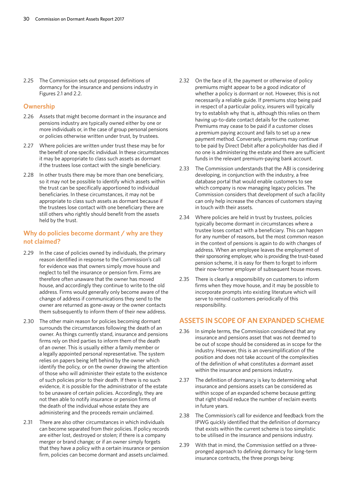2.25 The Commission sets out proposed definitions of dormancy for the insurance and pensions industry in Figures 2.1 and 2.2.

#### **Ownership**

- 2.26 Assets that might become dormant in the insurance and pensions industry are typically owned either by one or more individuals or, in the case of group personal pensions or policies otherwise written under trust, by trustees.
- 2.27 Where policies are written under trust these may be for the benefit of one specific individual. In these circumstances it may be appropriate to class such assets as dormant if the trustees lose contact with the single beneficiary.
- 2.28 In other trusts there may be more than one beneficiary, so it may not be possible to identify which assets within the trust can be specifically apportioned to individual beneficiaries. In these circumstances, it may not be appropriate to class such assets as dormant because if the trustees lose contact with one beneficiary there are still others who rightly should benefit from the assets held by the trust.

# **Why do policies become dormant / why are they not claimed?**

- 2.29 In the case of policies owned by individuals, the primary reason identified in response to the Commission's call for evidence was that owners simply move house and neglect to tell the insurance or pension firm. Firms are therefore often unaware that the owner has moved house, and accordingly they continue to write to the old address. Firms would generally only become aware of the change of address if communications they send to the owner are returned as gone-away or the owner contacts them subsequently to inform them of their new address.
- 2.30 The other main reason for policies becoming dormant surrounds the circumstances following the death of an owner. As things currently stand, insurance and pensions firms rely on third parties to inform them of the death of an owner. This is usually either a family member or a legally appointed personal representative. The system relies on papers being left behind by the owner which identify the policy, or on the owner drawing the attention of those who will administer their estate to the existence of such policies prior to their death. If there is no such evidence, it is possible for the administrator of the estate to be unaware of certain policies. Accordingly, they are not then able to notify insurance or pension firms of the death of the individual whose estate they are administering and the proceeds remain unclaimed.
- 2.31 There are also other circumstances in which individuals can become separated from their policies. If policy records are either lost, destroyed or stolen; if there is a company merger or brand change; or if an owner simply forgets that they have a policy with a certain insurance or pension firm, policies can become dormant and assets unclaimed.
- 2.32 On the face of it, the payment or otherwise of policy premiums might appear to be a good indicator of whether a policy is dormant or not. However, this is not necessarily a reliable guide. If premiums stop being paid in respect of a particular policy, insurers will typically try to establish why that is, although this relies on them having up-to-date contact details for the customer. Premiums may cease to be paid if a customer closes a premium paying account and fails to set up a new payment method. Conversely, premiums may continue to be paid by Direct Debit after a policyholder has died if no one is administering the estate and there are sufficient funds in the relevant premium-paying bank account.
- 2.33 The Commission understands that the ABI is considering developing, in conjunction with the industry, a free database portal that would enable customers to see which company is now managing legacy policies. The Commission considers that development of such a facility can only help increase the chances of customers staying in touch with their assets.
- 2.34 Where policies are held in trust by trustees, policies typically become dormant in circumstances where a trustee loses contact with a beneficiary. This can happen for any number of reasons, but the most common reason in the context of pensions is again to do with changes of address. When an employee leaves the employment of their sponsoring employer, who is providing the trust-based pension scheme, it is easy for them to forget to inform their now-former employer of subsequent house moves.
- 2.35 There is clearly a responsibility on customers to inform firms when they move house, and it may be possible to incorporate prompts into existing literature which will serve to remind customers periodically of this responsibility.

# **ASSETS IN SCOPE OF AN EXPANDED SCHEME**

- 2.36 In simple terms, the Commission considered that any insurance and pensions asset that was not deemed to be out of scope should be considered as in scope for the industry. However, this is an oversimplification of the position and does not take account of the complexities of the definition of what constitutes a dormant asset within the insurance and pensions industry.
- 2.37 The definition of dormancy is key to determining what insurance and pensions assets can be considered as within scope of an expanded scheme because getting that right should reduce the number of reclaim events in future years.
- 2.38 The Commission's call for evidence and feedback from the IPWG quickly identified that the definition of dormancy that exists within the current scheme is too simplistic to be utilised in the insurance and pensions industry.
- 2.39 With that in mind, the Commission settled on a threepronged approach to defining dormancy for long-term insurance contracts, the three prongs being: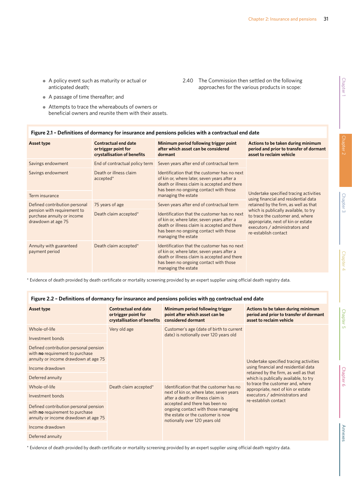2.40 The Commission then settled on the following approaches for the various products in scope:

- A policy event such as maturity or actual or anticipated death;
- A passage of time thereafter; and
- Attempts to trace the whereabouts of owners or beneficial owners and reunite them with their assets.

| Asset type                                                                                                       | <b>Contractual end date</b><br>or trigger point for<br>crystallisation of benefits | Minimum period following trigger point<br>after which asset can be considered<br>dormant                                                                                                                     | Actions to be taken during minimum<br>period and prior to transfer of dormant<br>asset to reclaim vehicle                                                                 |  |
|------------------------------------------------------------------------------------------------------------------|------------------------------------------------------------------------------------|--------------------------------------------------------------------------------------------------------------------------------------------------------------------------------------------------------------|---------------------------------------------------------------------------------------------------------------------------------------------------------------------------|--|
| Savings endowment                                                                                                | End of contractual policy term                                                     | Seven years after end of contractual term                                                                                                                                                                    |                                                                                                                                                                           |  |
| Savings endowment                                                                                                | Death or illness claim<br>$accelted*$                                              | Identification that the customer has no next<br>of kin or, where later, seven years after a<br>death or illness claim is accepted and there<br>has been no ongoing contact with those                        |                                                                                                                                                                           |  |
| Term insurance                                                                                                   |                                                                                    | managing the estate                                                                                                                                                                                          | Undertake specified tracing activities<br>using financial and residential data                                                                                            |  |
| Defined contribution personal<br>pension with requirement to<br>purchase annuity or income<br>drawdown at age 75 | 75 years of age                                                                    | Seven years after end of contractual term                                                                                                                                                                    | retained by the firm, as well as that                                                                                                                                     |  |
|                                                                                                                  | Death claim accepted*                                                              | Identification that the customer has no next<br>of kin or, where later, seven years after a<br>death or illness claim is accepted and there<br>has been no ongoing contact with those<br>managing the estate | which is publically available, to try<br>to trace the customer and, where<br>appropriate, next of kin or estate<br>executors / administrators and<br>re-establish contact |  |
| Annuity with guaranteed<br>payment period                                                                        | Death claim accepted*                                                              | Identification that the customer has no next<br>of kin or, where later, seven years after a<br>death or illness claim is accepted and there<br>has been no ongoing contact with those<br>managing the estate |                                                                                                                                                                           |  |

**Figure 2.1 – Definitions of dormancy for insurance and pensions policies with a contractual end date**

\* Evidence of death provided by death certificate or mortality screening provided by an expert supplier using official death registry data.

| Asset type                                                                                                              | <b>Contractual end date</b><br>or trigger point for<br>crystallisation of benefits | Minimum period following trigger<br>point after which asset can be<br>considered dormant                                                    | Actions to be taken during minimum<br>period and prior to transfer of dormant<br>asset to reclaim vehicle                                                                                                                                                                                            |  |
|-------------------------------------------------------------------------------------------------------------------------|------------------------------------------------------------------------------------|---------------------------------------------------------------------------------------------------------------------------------------------|------------------------------------------------------------------------------------------------------------------------------------------------------------------------------------------------------------------------------------------------------------------------------------------------------|--|
| Whole-of-life                                                                                                           | Very old age                                                                       | Customer's age (date of birth to current                                                                                                    |                                                                                                                                                                                                                                                                                                      |  |
| Investment bonds                                                                                                        |                                                                                    | date) is notionally over 120 years old                                                                                                      |                                                                                                                                                                                                                                                                                                      |  |
| Defined contribution personal pension<br>with <b>no</b> requirement to purchase<br>annuity or income drawdown at age 75 |                                                                                    |                                                                                                                                             | Undertake specified tracing activities<br>using financial and residential data<br>retained by the firm, as well as that<br>which is publically available, to try<br>to trace the customer and, where<br>appropriate, next of kin or estate<br>executors / administrators and<br>re-establish contact |  |
| Income drawdown                                                                                                         |                                                                                    |                                                                                                                                             |                                                                                                                                                                                                                                                                                                      |  |
| Deferred annuity                                                                                                        |                                                                                    |                                                                                                                                             |                                                                                                                                                                                                                                                                                                      |  |
| Whole-of-life                                                                                                           | Death claim accepted*                                                              | Identification that the customer has no<br>next of kin or, where later, seven years<br>after a death or illness claim is                    |                                                                                                                                                                                                                                                                                                      |  |
| Investment bonds                                                                                                        |                                                                                    |                                                                                                                                             |                                                                                                                                                                                                                                                                                                      |  |
| Defined contribution personal pension<br>with no requirement to purchase<br>annuity or income drawdown at age 75        |                                                                                    | accepted and there has been no<br>ongoing contact with those managing<br>the estate or the customer is now<br>notionally over 120 years old |                                                                                                                                                                                                                                                                                                      |  |
| Income drawdown                                                                                                         |                                                                                    |                                                                                                                                             |                                                                                                                                                                                                                                                                                                      |  |
| Deferred annuity                                                                                                        |                                                                                    |                                                                                                                                             |                                                                                                                                                                                                                                                                                                      |  |

\* Evidence of death provided by death certificate or mortality screening provided by an expert supplier using official death registry data.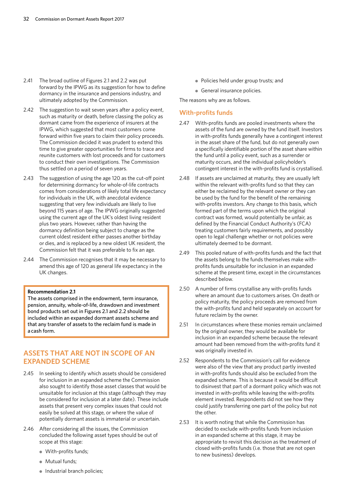- 2.41 The broad outline of Figures 2.1 and 2.2 was put forward by the IPWG as its suggestion for how to define dormancy in the insurance and pensions industry, and ultimately adopted by the Commission.
- 2.42 The suggestion to wait seven years after a policy event, such as maturity or death, before classing the policy as dormant came from the experience of insurers at the IPWG, which suggested that most customers come forward within five years to claim their policy proceeds. The Commission decided it was prudent to extend this time to give greater opportunities for firms to trace and reunite customers with lost proceeds and for customers to conduct their own investigations. The Commission thus settled on a period of seven years.
- 2.43 The suggestion of using the age 120 as the cut-off point for determining dormancy for whole-of-life contracts comes from considerations of likely total life expectancy for individuals in the UK, with anecdotal evidence suggesting that very few individuals are likely to live beyond 115 years of age. The IPWG originally suggested using the current age of the UK's oldest living resident plus two years. However, rather than having the dormancy definition being subject to change as the current oldest resident either passes another birthday or dies, and is replaced by a new oldest UK resident, the Commission felt that it was preferable to fix an age.
- 2.44 The Commission recognises that it may be necessary to amend this age of 120 as general life expectancy in the UK changes.

#### **Recommendation 2.1**

The assets comprised in the endowment, term insurance, pension, annuity, whole-of-life, drawdown and investment bond products set out in Figures 2.1 and 2.2 should be included within an expanded dormant assets scheme and that any transfer of assets to the reclaim fund is made in a cash form.

# **ASSETS THAT ARE NOT IN SCOPE OF AN EXPANDED SCHEME**

- 2.45 In seeking to identify which assets should be considered for inclusion in an expanded scheme the Commission also sought to identify those asset classes that would be unsuitable for inclusion at this stage (although they may be considered for inclusion at a later date). These include assets that present very complex issues that could not easily be solved at this stage, or where the value of potentially dormant assets is immaterial or uncertain.
- 2.46 After considering all the issues, the Commission concluded the following asset types should be out of scope at this stage:
	- With-profits funds;
	- Mutual funds;
	- Industrial branch policies;
- Policies held under group trusts; and
- General insurance policies.

The reasons why are as follows.

#### **With-profits funds**

- 2.47 With-profits funds are pooled investments where the assets of the fund are owned by the fund itself. Investors in with-profits funds generally have a contingent interest in the asset share of the fund, but do not generally own a specifically identifiable portion of the asset share within the fund until a policy event, such as a surrender or maturity occurs, and the individual policyholder's contingent interest in the with-profits fund is crystallised.
- 2.48 If assets are unclaimed at maturity, they are usually left within the relevant with-profits fund so that they can either be reclaimed by the relevant owner or they can be used by the fund for the benefit of the remaining with-profits investors. Any change to this basis, which formed part of the terms upon which the original contract was formed, would potentially be unfair, as defined by the Financial Conduct Authority's (FCA) treating customers fairly requirements, and possibly open to legal challenge whether or not policies were ultimately deemed to be dormant.
- 2.49 This pooled nature of with-profits funds and the fact that the assets belong to the funds themselves make withprofits funds unsuitable for inclusion in an expanded scheme at the present time, except in the circumstances described below.
- 2.50 A number of firms crystallise any with-profits funds where an amount due to customers arises. On death or policy maturity, the policy proceeds are removed from the with-profits fund and held separately on account for future reclaim by the owner.
- 2.51 In circumstances where these monies remain unclaimed by the original owner, they would be available for inclusion in an expanded scheme because the relevant amount had been removed from the with-profits fund it was originally invested in.
- 2.52 Respondents to the Commission's call for evidence were also of the view that any product partly invested in with-profits funds should also be excluded from the expanded scheme. This is because it would be difficult to disinvest that part of a dormant policy which was not invested in with-profits while leaving the with-profits element invested. Respondents did not see how they could justify transferring one part of the policy but not the other.
- 2.53 It is worth noting that while the Commission has decided to exclude with-profits funds from inclusion in an expanded scheme at this stage, it may be appropriate to revisit this decision as the treatment of closed with-profits funds (i.e. those that are not open to new business) develops.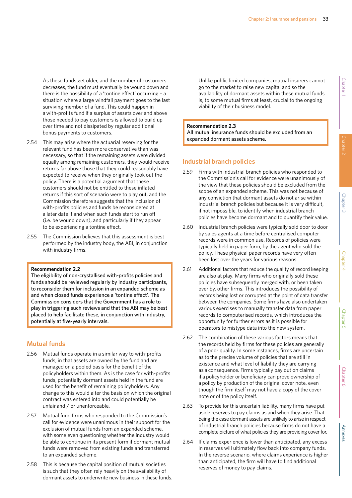As these funds get older, and the number of customers decreases, the fund must eventually be wound down and there is the possibility of a 'tontine effect' occurring – a situation where a large windfall payment goes to the last surviving member of a fund. This could happen in a with-profits fund if a surplus of assets over and above those needed to pay customers is allowed to build up over time and not dissipated by regular additional bonus payments to customers.

- 2.54 This may arise where the actuarial reserving for the relevant fund has been more conservative than was necessary, so that if the remaining assets were divided equally among remaining customers, they would receive returns far above those that they could reasonably have expected to receive when they originally took out the policy. There is a potential argument that these customers should not be entitled to these inflated returns if this sort of scenario were to play out, and the Commission therefore suggests that the inclusion of with-profits policies and funds be reconsidered at a later date if and when such funds start to run off (i.e. be wound down), and particularly if they appear to be experiencing a tontine effect.
- 2.55 The Commission believes that this assessment is best performed by the industry body, the ABI, in conjunction with industry firms.

#### **Recommendation 2.2**

The eligibility of non-crystallised with-profits policies and funds should be reviewed regularly by industry participants, to reconsider them for inclusion in an expanded scheme as and when closed funds experience a 'tontine effect'. The Commission considers that the Government has a role to play in triggering such reviews and that the ABI may be best placed to help facilitate these, in conjunction with industry, potentially at five-yearly intervals.

#### **Mutual funds**

- 2.56 Mutual funds operate in a similar way to with-profits funds, in that assets are owned by the fund and are managed on a pooled basis for the benefit of the policyholders within them. As is the case for with-profits funds, potentially dormant assets held in the fund are used for the benefit of remaining policyholders. Any change to this would alter the basis on which the original contract was entered into and could potentially be unfair and / or unenforceable.
- 2.57 Mutual fund firms who responded to the Commission's call for evidence were unanimous in their support for the exclusion of mutual funds from an expanded scheme, with some even questioning whether the industry would be able to continue in its present form if dormant mutual funds were removed from existing funds and transferred to an expanded scheme.
- 2.58 This is because the capital position of mutual societies is such that they often rely heavily on the availability of dormant assets to underwrite new business in these funds.

Unlike public limited companies, mutual insurers cannot go to the market to raise new capital and so the availability of dormant assets within these mutual funds is, to some mutual firms at least, crucial to the ongoing viability of their business model.

#### **Recommendation 2.3**

All mutual insurance funds should be excluded from an expanded dormant assets scheme.

#### **Industrial branch policies**

- 2.59 Firms with industrial branch policies who responded to the Commission's call for evidence were unanimously of the view that these policies should be excluded from the scope of an expanded scheme. This was not because of any conviction that dormant assets do not arise within industrial branch policies but because it is very difficult, if not impossible, to identify when industrial branch policies have become dormant and to quantify their value.
- 2.60 Industrial branch policies were typically sold door to door by sales agents at a time before centralised computer records were in common use. Records of policies were typically held in paper form, by the agent who sold the policy. These physical paper records have very often been lost over the years for various reasons.
- 2.61 Additional factors that reduce the quality of record keeping are also at play. Many firms who originally sold these policies have subsequently merged with, or been taken over by, other firms. This introduces the possibility of records being lost or corrupted at the point of data transfer between the companies. Some firms have also undertaken various exercises to manually transfer data from paper records to computerised records, which introduces the opportunity for further errors as it is possible for operators to mistype data into the new system.
- 2.62 The combination of these various factors means that the records held by firms for these policies are generally of a poor quality. In some instances, firms are uncertain as to the precise volume of policies that are still in existence and what level of liability they are carrying as a consequence. Firms typically pay out on claims if a policyholder or beneficiary can prove ownership of a policy by production of the original cover note, even though the firm itself may not have a copy of the cover note or of the policy itself.
- 2.63 To provide for this uncertain liability, many firms have put aside reserves to pay claims as and when they arise. That being the case dormant assets are unlikely to arise in respect of industrial branch policies because firms do not have a complete picture of what policies they are providing cover for.
- 2.64 If claims experience is lower than anticipated, any excess in reserves will ultimately flow back into company funds. In the reverse scenario, where claims experience is higher than anticipated, the firm will have to find additional reserves of money to pay claims.

Chapter 6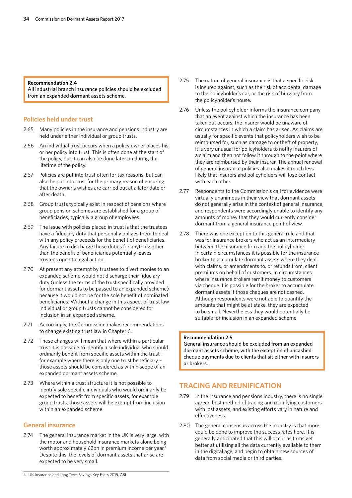#### **Recommendation 2.4**

All industrial branch insurance policies should be excluded from an expanded dormant assets scheme.

#### **Policies held under trust**

- 2.65 Many policies in the insurance and pensions industry are held under either individual or group trusts.
- 2.66 An individual trust occurs when a policy owner places his or her policy into trust. This is often done at the start of the policy, but it can also be done later on during the lifetime of the policy.
- 2.67 Policies are put into trust often for tax reasons, but can also be put into trust for the primary reason of ensuring that the owner's wishes are carried out at a later date or after death.
- 2.68 Group trusts typically exist in respect of pensions where group pension schemes are established for a group of beneficiaries, typically a group of employees.
- 2.69 The issue with policies placed in trust is that the trustees have a fiduciary duty that personally obliges them to deal with any policy proceeds for the benefit of beneficiaries. Any failure to discharge those duties for anything other than the benefit of beneficiaries potentially leaves trustees open to legal action.
- 2.70 At present any attempt by trustees to divert monies to an expanded scheme would not discharge their fiduciary duty (unless the terms of the trust specifically provided for dormant assets to be passed to an expanded scheme) because it would not be for the sole benefit of nominated beneficiaries. Without a change in this aspect of trust law individual or group trusts cannot be considered for inclusion in an expanded scheme.
- 2.71 Accordingly, the Commission makes recommendations to change existing trust law in Chapter 6.
- 2.72 These changes will mean that where within a particular trust it is possible to identify a sole individual who should ordinarily benefit from specific assets within the trust – for example where there is only one trust beneficiary – those assets should be considered as within scope of an expanded dormant assets scheme.
- 2.73 Where within a trust structure it is not possible to identify sole specific individuals who would ordinarily be expected to benefit from specific assets, for example group trusts, those assets will be exempt from inclusion within an expanded scheme

### **General insurance**

2.74 The general insurance market in the UK is very large, with the motor and household insurance markets alone being worth approximately £2bn in premium income per year.<sup>4</sup> Despite this, the levels of dormant assets that arise are expected to be very small.

- 2.75 The nature of general insurance is that a specific risk is insured against, such as the risk of accidental damage to the policyholder's car, or the risk of burglary from the policyholder's house.
- 2.76 Unless the policyholder informs the insurance company that an event against which the insurance has been taken out occurs, the insurer would be unaware of circumstances in which a claim has arisen. As claims are usually for specific events that policyholders wish to be reimbursed for, such as damage to or theft of property, it is very unusual for policyholders to notify insurers of a claim and then not follow it through to the point where they are reimbursed by their insurer. The annual renewal of general insurance policies also makes it much less likely that insurers and policyholders will lose contact with each other.
- 2.77 Respondents to the Commission's call for evidence were virtually unanimous in their view that dormant assets do not generally arise in the context of general insurance, and respondents were accordingly unable to identify any amounts of money that they would currently consider dormant from a general insurance point of view.
- 2.78 There was one exception to this general rule and that was for insurance brokers who act as an intermediary between the insurance firm and the policyholder. In certain circumstances it is possible for the insurance broker to accumulate dormant assets where they deal with claims, or amendments to, or refunds from, client premiums on behalf of customers. In circumstances where insurance brokers remit money to customers via cheque it is possible for the broker to accumulate dormant assets if those cheques are not cashed. Although respondents were not able to quantify the amounts that might be at stake, they are expected to be small. Nevertheless they would potentially be suitable for inclusion in an expanded scheme.

#### **Recommendation 2.5**

General insurance should be excluded from an expanded dormant assets scheme, with the exception of uncashed cheque payments due to clients that sit either with insurers or brokers.

# **TRACING AND REUNIFICATION**

- 2.79 In the insurance and pensions industry, there is no single agreed best method of tracing and reunifying customers with lost assets, and existing efforts vary in nature and effectiveness.
- 2.80 The general consensus across the industry is that more could be done to improve the success rates here. It is generally anticipated that this will occur as firms get better at utilising all the data currently available to them in the digital age, and begin to obtain new sources of data from social media or third parties.

<sup>4</sup> UK Insurance and Long Term Savings Key Facts 2015, ABI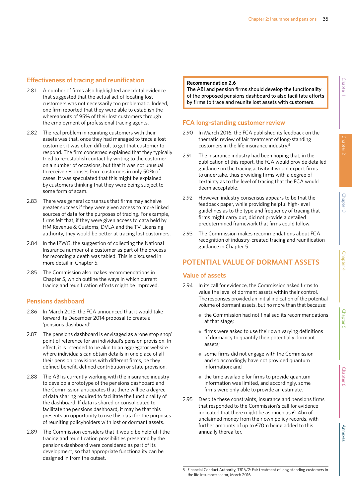# **Effectiveness of tracing and reunification**

- 2.81 A number of firms also highlighted anecdotal evidence that suggested that the actual act of locating lost customers was not necessarily too problematic. Indeed, one firm reported that they were able to establish the whereabouts of 95% of their lost customers through the employment of professional tracing agents.
- 2.82 The real problem in reuniting customers with their assets was that, once they had managed to trace a lost customer, it was often difficult to get that customer to respond. The firm concerned explained that they typically tried to re-establish contact by writing to the customer on a number of occasions, but that it was not unusual to receive responses from customers in only 50% of cases. It was speculated that this might be explained by customers thinking that they were being subject to some form of scam.
- 2.83 There was general consensus that firms may acheive greater success if they were given access to more linked sources of data for the purposes of tracing. For example, firms felt that, if they were given access to data held by HM Revenue & Customs, DVLA and the TV Licensing authority, they would be better at tracing lost customers.
- 2.84 In the IPWG, the suggestion of collecting the National Insurance number of a customer as part of the process for recording a death was tabled. This is discussed in more detail in Chapter 5.
- 2.85 The Commission also makes recommendations in Chapter 5, which outline the ways in which current tracing and reunification efforts might be improved.

### **Pensions dashboard**

- 2.86 In March 2015, the FCA announced that it would take forward its December 2014 proposal to create a 'pensions dashboard'.
- 2.87 The pensions dashboard is envisaged as a 'one stop shop' point of reference for an individual's pension provision. In effect, it is intended to be akin to an aggregator website where individuals can obtain details in one place of all their pension provisions with different firms, be they defined benefit, defined contribution or state provision.
- 2.88 The ABI is currently working with the insurance industry to develop a prototype of the pensions dashboard and the Commission anticipates that there will be a degree of data sharing required to facilitate the functionality of the dashboard. If data is shared or consolidated to facilitate the pensions dashboard, it may be that this presents an opportunity to use this data for the purposes of reuniting policyholders with lost or dormant assets.
- 2.89 The Commission considers that it would be helpful if the tracing and reunification possibilities presented by the pensions dashboard were considered as part of its development, so that appropriate functionality can be designed in from the outset.

#### **Recommendation 2.6**

The ABI and pension firms should develop the functionality of the proposed pensions dashboard to also facilitate efforts by firms to trace and reunite lost assets with customers.

# **FCA long-standing customer review**

- 2.90 In March 2016, the FCA published its feedback on the thematic review of fair treatment of long-standing customers in the life insurance industry.5
- 2.91 The insurance industry had been hoping that, in the publication of this report, the FCA would provide detailed guidance on the tracing activity it would expect firms to undertake, thus providing firms with a degree of certainty as to the level of tracing that the FCA would deem acceptable.
- 2.92 However, industry consensus appears to be that the feedback paper, while providing helpful high-level guidelines as to the type and frequency of tracing that firms might carry out, did not provide a detailed predetermined framework that firms could follow.
- 2.93 The Commission makes recommendations about FCA recognition of industry-created tracing and reunification guidance in Chapter 5.

# **POTENTIAL VALUE OF DORMANT ASSETS**

#### **Value of assets**

- 2.94 In its call for evidence, the Commission asked firms to value the level of dormant assets within their control. The responses provided an initial indication of the potential volume of dormant assets, but no more than that because:
	- the Commission had not finalised its recommendations at that stage;
	- firms were asked to use their own varying definitions of dormancy to quantify their potentially dormant assets;
	- some firms did not engage with the Commission and so accordingly have not provided quantum information; and
	- $\bullet$  the time available for firms to provide quantum information was limited, and accordingly, some firms were only able to provide an estimate.
- 2.95 Despite these constraints, insurance and pensions firms that responded to the Commission's call for evidence indicated that there might be as much as £1.4bn of unclaimed money from their own policy records, with further amounts of up to £70m being added to this annually thereafter.

**Annexe** 

<sup>5</sup> Financial Conduct Authority, TR16/2: Fair treatment of long-standing customers in the life insurance sector, March 2016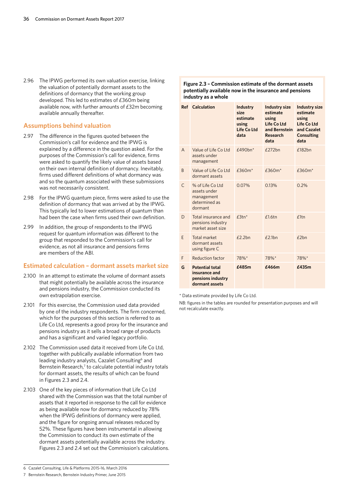2.96 The IPWG performed its own valuation exercise, linking the valuation of potentially dormant assets to the definitions of dormancy that the working group developed. This led to estimates of £360m being available now, with further amounts of £32m becoming available annually thereafter.

#### **Assumptions behind valuation**

- 2.97 The difference in the figures quoted between the Commission's call for evidence and the IPWG is explained by a difference in the question asked. For the purposes of the Commission's call for evidence, firms were asked to quantify the likely value of assets based on their own internal definition of dormancy. Inevitably, firms used different definitions of what dormancy was and so the quantum associated with these submissions was not necessarily consistent.
- 2.98 For the IPWG quantum piece, firms were asked to use the definition of dormancy that was arrived at by the IPWG. This typically led to lower estimations of quantum than had been the case when firms used their own definition.
- 2.99 In addition, the group of respondents to the IPWG request for quantum information was different to the group that responded to the Commission's call for evidence, as not all insurance and pensions firms are members of the ABI.

#### **Estimated calculation – dormant assets market size**

- 2.100 In an attempt to estimate the volume of dormant assets that might potentially be available across the insurance and pensions industry, the Commission conducted its own extrapolation exercise.
- 2.101 For this exercise, the Commission used data provided by one of the industry respondents. The firm concerned, which for the purposes of this section is referred to as Life Co Ltd, represents a good proxy for the insurance and pensions industry as it sells a broad range of products and has a significant and varied legacy portfolio.
- 2.102 The Commission used data it received from Life Co Ltd, together with publically available information from two leading industry analysts, Cazalet Consulting<sup>6</sup> and Bernstein Research, $7$  to calculate potential industry totals for dormant assets, the results of which can be found in Figures 2.3 and 2.4.
- 2.103 One of the key pieces of information that Life Co Ltd shared with the Commission was that the total number of assets that it reported in response to the call for evidence as being available now for dormancy reduced by 78% when the IPWG definitions of dormancy were applied, and the figure for ongoing annual releases reduced by 52%. These figures have been instrumental in allowing the Commission to conduct its own estimate of the dormant assets potentially available across the industry. Figures 2.3 and 2.4 set out the Commission's calculations.

#### 6 Cazalet Consulting, Life & Platforms 2015-16, March 2016

7 Bernstein Research, Bernstein Industry Primer, June 2015

#### **Figure 2.3 – Commission estimate of the dormant assets potentially available now in the insurance and pensions industry as a whole**

|           | <b>Ref</b> Calculation                                                         | <b>Industry</b><br>size<br>estimate<br>using<br>Life Co Ltd<br>data | <b>Industry size</b><br>estimate<br>using<br>Life Co Ltd<br>and Bernstein<br><b>Research</b><br>data | <b>Industry size</b><br>estimate<br>using<br>Life Co Ltd<br>and Cazalet<br><b>Consulting</b><br>data |
|-----------|--------------------------------------------------------------------------------|---------------------------------------------------------------------|------------------------------------------------------------------------------------------------------|------------------------------------------------------------------------------------------------------|
| A         | Value of Life Co Ltd<br>assets under<br>management                             | $£490bn*$                                                           | £272bn                                                                                               | £182bn                                                                                               |
| B         | Value of Life Co Ltd<br>dormant assets                                         | $£360m*$                                                            | $£360m*$                                                                                             | $£360m*$                                                                                             |
| $\subset$ | % of Life Coltd<br>assets under<br>management<br>determined as<br>dormant      | $0.07\%$                                                            | 0.13%                                                                                                | 0.2%                                                                                                 |
| D         | Total insurance and<br>pensions industry<br>market asset size                  | $f3tn*$                                                             | f1.6tn                                                                                               | f1tn                                                                                                 |
| F         | Total market<br>dormant assets<br>using figure C                               | £2.2bn                                                              | $f2.1$ hn                                                                                            | f2hn                                                                                                 |
| F         | Reduction factor                                                               | 78%*                                                                | 78%*                                                                                                 | 78%*                                                                                                 |
| G         | <b>Potential total</b><br>insurance and<br>pensions industry<br>dormant assets | £485m                                                               | £466m                                                                                                | £435m                                                                                                |

#### \* Data estimate provided by Life Co Ltd.

NB: figures in the tables are rounded for presentation purposes and will not recalculate exactly.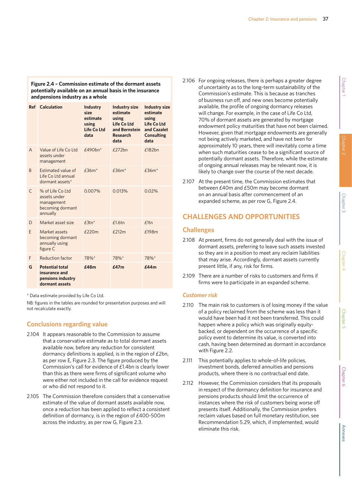## **Figure 2.4 – Commission estimate of the dormant assets potentially available on an annual basis in the insurance and pensions industry as a whole**

|   | <b>Ref</b> Calculation                                                         | Industry<br>size.<br>estimate<br>using<br>Life Co Ltd<br>data | <b>Industry size</b><br>estimate<br>using<br>Life Co Ltd<br>and Bernstein<br><b>Research</b><br>data | <b>Industry size</b><br>estimate<br>using<br><b>Life Co Ltd</b><br>and Cazalet<br><b>Consulting</b><br>data |
|---|--------------------------------------------------------------------------------|---------------------------------------------------------------|------------------------------------------------------------------------------------------------------|-------------------------------------------------------------------------------------------------------------|
| A | Value of Life Co Ltd<br>assets under<br>management                             | $f490hn*$                                                     | £272bn                                                                                               | £182bn                                                                                                      |
| B | Estimated value of<br>Life Co Ltd annual<br>dormant assets*                    | $£36m*$                                                       | $£36m*$                                                                                              | $£36m*$                                                                                                     |
| C | % of Life Co Ltd<br>assets under<br>management<br>becoming dormant<br>annually | 0.007%                                                        | 0.013%                                                                                               | 0.02%                                                                                                       |
| D | Market asset size                                                              | $£3tn*$                                                       | £1.6tn                                                                                               | f1tn                                                                                                        |
| F | Market assets<br>becoming dormant<br>annually using<br>figure C                | £220m                                                         | £212m                                                                                                | £198m                                                                                                       |
| F | <b>Reduction factor</b>                                                        | 78%*                                                          | 78%*                                                                                                 | 78%*                                                                                                        |
| G | <b>Potential total</b><br>insurance and<br>pensions industry<br>dormant assets | £48m                                                          | f47m                                                                                                 | £44m                                                                                                        |

\* Data estimate provided by Life Co Ltd.

NB: figures in the tables are rounded for presentation purposes and will not recalculate exactly.

## **Conclusions regarding value**

- 2.104 It appears reasonable to the Commission to assume that a conservative estimate as to total dormant assets available now, before any reduction for consistent dormancy definitions is applied, is in the region of £2bn, as per row E, Figure 2.3. The figure produced by the Commission's call for evidence of £1.4bn is clearly lower than this as there were firms of significant volume who were either not included in the call for evidence request or who did not respond to it.
- 2.105 The Commission therefore considers that a conservative estimate of the value of dormant assets available now, once a reduction has been applied to reflect a consistent definition of dormancy, is in the region of £400-500m across the industry, as per row G, Figure 2.3.
- 2.106 For ongoing releases, there is perhaps a greater degree of uncertainty as to the long-term sustainability of the Commission's estimate. This is because as tranches of business run off, and new ones become potentially available, the profile of ongoing dormancy releases will change. For example, in the case of Life Co Ltd, 70% of dormant assets are generated by mortgage endowment policy maturities that have not been claimed. However, given that mortgage endowments are generally not being actively marketed, and have not been for approximately 10 years, there will inevitably come a time when such maturities cease to be a significant source of potentially dormant assets. Therefore, while the estimate of ongoing annual releases may be relevant now, it is likely to change over the course of the next decade.
- 2.107 At the present time, the Commission estimates that between £40m and £50m may become dormant on an annual basis after commencement of an expanded scheme, as per row G, Figure 2.4.

# **CHALLENGES AND OPPORTUNITIES**

## **Challenges**

- 2.108 At present, firms do not generally deal with the issue of dormant assets, preferring to leave such assets invested so they are in a position to meet any reclaim liabilities that may arise. Accordingly, dormant assets currently present little, if any, risk for firms.
- 2.109 There are a number of risks to customers and firms if firms were to participate in an expanded scheme.

#### *Customer risk*

- 2.110 The main risk to customers is of losing money if the value of a policy reclaimed from the scheme was less than it would have been had it not been transferred. This could happen where a policy which was originally equitybacked, or dependent on the occurrence of a specific policy event to determine its value, is converted into cash, having been determined as dormant in accordance with Figure 2.2.
- 2.111 This potentially applies to whole-of-life policies, investment bonds, deferred annuities and pensions products, where there is no contractual end date.
- 2.112 However, the Commission considers that its proposals in respect of the dormancy definition for insurance and pensions products should limit the occurrence of instances where the risk of customers being worse off presents itself. Additionally, the Commission prefers reclaim values based on full monetary restitution, see Recommendation 5.29, which, if implemented, would eliminate this risk.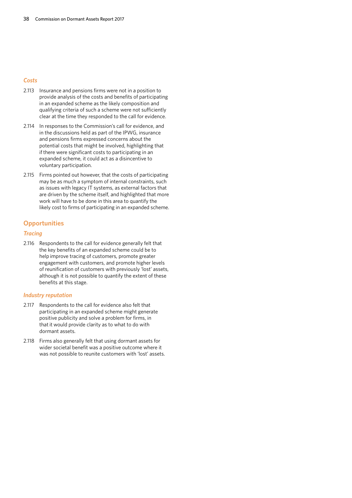## *Costs*

- 2.113 Insurance and pensions firms were not in a position to provide analysis of the costs and benefits of participating in an expanded scheme as the likely composition and qualifying criteria of such a scheme were not sufficiently clear at the time they responded to the call for evidence.
- 2.114 In responses to the Commission's call for evidence, and in the discussions held as part of the IPWG, insurance and pensions firms expressed concerns about the potential costs that might be involved, highlighting that if there were significant costs to participating in an expanded scheme, it could act as a disincentive to voluntary participation.
- 2.115 Firms pointed out however, that the costs of participating may be as much a symptom of internal constraints, such as issues with legacy IT systems, as external factors that are driven by the scheme itself, and highlighted that more work will have to be done in this area to quantify the likely cost to firms of participating in an expanded scheme.

## **Opportunities**

## *Tracing*

2.116 Respondents to the call for evidence generally felt that the key benefits of an expanded scheme could be to help improve tracing of customers, promote greater engagement with customers, and promote higher levels of reunification of customers with previously 'lost' assets, although it is not possible to quantify the extent of these benefits at this stage.

## *Industry reputation*

- 2.117 Respondents to the call for evidence also felt that participating in an expanded scheme might generate positive publicity and solve a problem for firms, in that it would provide clarity as to what to do with dormant assets.
- 2.118 Firms also generally felt that using dormant assets for wider societal benefit was a positive outcome where it was not possible to reunite customers with 'lost' assets.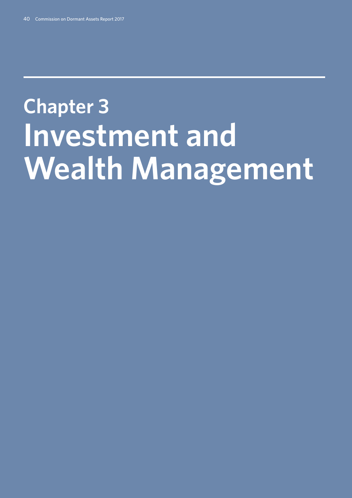# **Chapter 3: Investment and Wealth Management**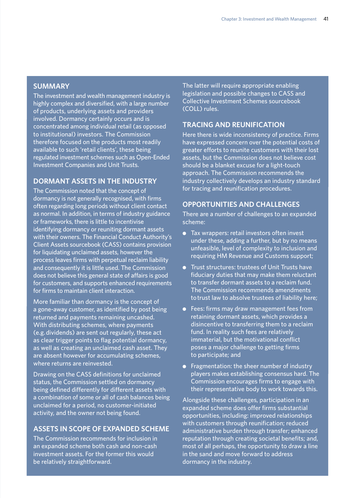## **SUMMARY**

The investment and wealth management industry is highly complex and diversified, with a large number of products, underlying assets and providers involved. Dormancy certainly occurs and is concentrated among individual retail (as opposed to institutional) investors. The Commission therefore focused on the products most readily available to such 'retail clients', these being regulated investment schemes such as Open-Ended Investment Companies and Unit Trusts.

## **DORMANT ASSETS IN THE INDUSTRY**

The Commission noted that the concept of dormancy is not generally recognised, with firms often regarding long periods without client contact as normal. In addition, in terms of industry guidance or frameworks, there is little to incentivise identifying dormancy or reuniting dormant assets with their owners. The Financial Conduct Authority's Client Assets sourcebook (CASS) contains provision for liquidating unclaimed assets, however the process leaves firms with perpetual reclaim liability and consequently it is little used. The Commission does not believe this general state of affairs is good for customers, and supports enhanced requirements for firms to maintain client interaction.

More familiar than dormancy is the concept of a gone-away customer, as identified by post being returned and payments remaining uncashed. With distributing schemes, where payments (e.g. dividends) are sent out regularly, these act as clear trigger points to flag potential dormancy, as well as creating an unclaimed cash asset. They are absent however for accumulating schemes, where returns are reinvested.

Drawing on the CASS definitions for unclaimed status, the Commission settled on dormancy being defined differently for different assets with a combination of some or all of cash balances being unclaimed for a period, no customer-initiated activity, and the owner not being found.

# **ASSETS IN SCOPE OF EXPANDED SCHEME**

The Commission recommends for inclusion in an expanded scheme both cash and non-cash investment assets. For the former this would be relatively straightforward.

The latter will require appropriate enabling legislation and possible changes to CASS and Collective Investment Schemes sourcebook (COLL) rules.

# **TRACING AND REUNIFICATION**

Here there is wide inconsistency of practice. Firms have expressed concern over the potential costs of greater efforts to reunite customers with their lost assets, but the Commission does not believe cost should be a blanket excuse for a light-touch approach. The Commission recommends the industry collectively develops an industry standard for tracing and reunification procedures.

# **OPPORTUNITIES AND CHALLENGES**

There are a number of challenges to an expanded scheme:

- Tax wrappers: retail investors often invest under these, adding a further, but by no means unfeasible, level of complexity to inclusion and requiring HM Revenue and Customs support;
- Trust structures: trustees of Unit Trusts have fiduciary duties that may make them reluctant to transfer dormant assets to a reclaim fund. The Commission recommends amendments to trust law to absolve trustees of liability here;
- Fees: firms may draw management fees from retaining dormant assets, which provides a disincentive to transferring them to a reclaim fund. In reality such fees are relatively immaterial, but the motivational conflict poses a major challenge to getting firms to participate; and
- Fragmentation: the sheer number of industry players makes establishing consensus hard. The Commission encourages firms to engage with their representative body to work towards this.

Alongside these challenges, participation in an expanded scheme does offer firms substantial opportunities, including: improved relationships with customers through reunification; reduced administrative burden through transfer; enhanced reputation through creating societal benefits; and, most of all perhaps, the opportunity to draw a line in the sand and move forward to address dormancy in the industry.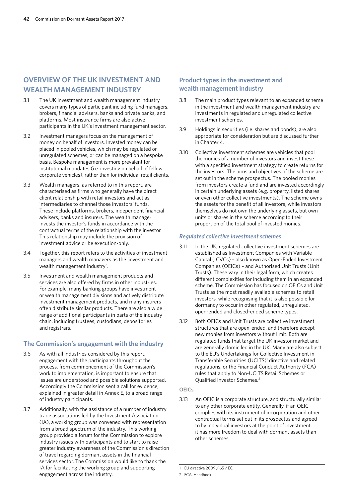# **OVERVIEW OF THE UK INVESTMENT AND WEALTH MANAGEMENT INDUSTRY**

- 3.1 The UK investment and wealth management industry covers many types of participant including fund managers, brokers, financial advisers, banks and private banks, and platforms. Most insurance firms are also active participants in the UK's investment management sector.
- 3.2 Investment managers focus on the management of money on behalf of investors. Invested money can be placed in pooled vehicles, which may be regulated or unregulated schemes, or can be managed on a bespoke basis. Bespoke management is more prevalent for institutional mandates (i.e. investing on behalf of fellow corporate vehicles), rather than for individual retail clients.
- 3.3 Wealth managers, as referred to in this report, are characterised as firms who generally have the direct client relationship with retail investors and act as intermediaries to channel those investors' funds. These include platforms, brokers, independent financial advisers, banks and insurers. The wealth manager invests the investor's funds in accordance with the contractual terms of the relationship with the investor. This relationship may include the provision of investment advice or be execution-only.
- 3.4 Together, this report refers to the activities of investment managers and wealth managers as the 'investment and wealth management industry'.
- 3.5 Investment and wealth management products and services are also offered by firms in other industries. For example, many banking groups have investment or wealth management divisions and actively distribute investment management products, and many insurers often distribute similar products. There are also a wide range of additional participants in parts of the industry chain, including trustees, custodians, depositories and registrars.

# **The Commission's engagement with the industry**

- 3.6 As with all industries considered by this report, engagement with the participants throughout the process, from commencement of the Commission's work to implementation, is important to ensure that issues are understood and possible solutions supported. Accordingly the Commission sent a call for evidence, explained in greater detail in Annex E, to a broad range of industry participants.
- 3.7 Additionally, with the assistance of a number of industry trade associations led by the Investment Association (IA), a working group was convened with representation from a broad spectrum of the industry. This working group provided a forum for the Commission to explore industry issues with participants and to start to raise greater industry awareness of the Commission's direction of travel regarding dormant assets in the financial services sector. The Commission would like to thank the IA for facilitating the working group and supporting engagement across the industry.

# **Product types in the investment and wealth management industry**

- 3.8 The main product types relevant to an expanded scheme in the investment and wealth management industry are investments in regulated and unregulated collective investment schemes.
- 3.9 Holdings in securities (i.e. shares and bonds), are also appropriate for consideration but are discussed further in Chapter 4.
- 3.10 Collective investment schemes are vehicles that pool the monies of a number of investors and invest these with a specified investment strategy to create returns for the investors. The aims and objectives of the scheme are set out in the scheme prospectus. The pooled monies from investors create a fund and are invested accordingly in certain underlying assets (e.g. property, listed shares or even other collective investments). The scheme owns the assets for the benefit of all investors, while investors themselves do not own the underlying assets, but own units or shares in the scheme according to their proportion of the total pool of invested monies.

## *Regulated collective investment schemes*

- 3.11 In the UK, regulated collective investment schemes are established as Investment Companies with Variable Capital (ICVCs) – also known as Open-Ended Investment Companies (OEICs) – and Authorised Unit Trusts (Unit Trusts). These vary in their legal form, which creates different complexities for including them in an expanded scheme. The Commission has focused on OEICs and Unit Trusts as the most readily available schemes to retail investors, while recognising that it is also possible for dormancy to occur in other regulated, unregulated, open-ended and closed-ended scheme types.
- 3.12 Both OEICs and Unit Trusts are collective investment structures that are open-ended, and therefore accept new monies from investors without limit. Both are regulated funds that target the UK investor market and are generally domiciled in the UK. Many are also subject to the EU's Undertakings for Collective Investment in Transferable Securities (UCITS)<sup>1</sup> directive and related regulations, or the Financial Conduct Authority (FCA) rules that apply to Non-UCITS Retail Schemes or Qualified Investor Schemes.2

## **OEICs**

3.13 An OEIC is a corporate structure, and structurally similar to any other corporate entity. Generally, if an OEIC complies with its instrument of incorporation and other contractual terms set out in its prospectus and agreed to by individual investors at the point of investment, it has more freedom to deal with dormant assets than other schemes.

<sup>1</sup> EU directive 2009 / 65 / EC

<sup>2</sup> FCA, Handbook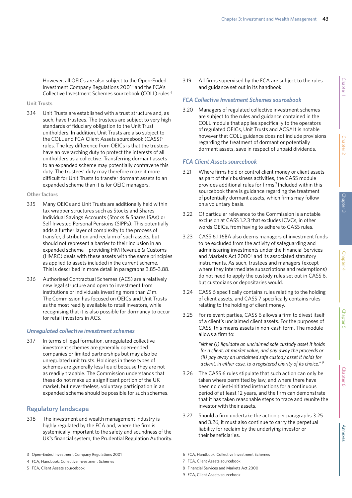However, all OEICs are also subject to the Open-Ended Investment Company Regulations 20013 and the FCA's Collective Investment Schemes sourcebook (COLL) rules.4

## **Unit Trusts**

3.14 Unit Trusts are established with a trust structure and, as such, have trustees. The trustees are subject to very high standards of fiduciary obligation to the Unit Trust unitholders. In addition, Unit Trusts are also subject to the COLL and FCA Client Assets sourcebook (CASS)<sup>5</sup> rules. The key difference from OEICs is that the trustees have an overarching duty to protect the interests of all unitholders as a collective. Transferring dormant assets to an expanded scheme may potentially contravene this duty. The trustees' duty may therefore make it more difficult for Unit Trusts to transfer dormant assets to an expanded scheme than it is for OEIC managers.

## **Other factors**

- 3.15 Many OEICs and Unit Trusts are additionally held within tax wrapper structures such as Stocks and Shares Individual Savings Accounts (Stocks & Shares ISAs) or Self Invested Personal Pensions (SIPPs). This potentially adds a further layer of complexity to the process of transfer, distribution and reclaim of such assets, but should not represent a barrier to their inclusion in an expanded scheme – providing HM Revenue & Customs (HMRC) deals with these assets with the same principles as applied to assets included in the current scheme. This is described in more detail in paragraphs 3.85-3.88.
- 3.16 Authorised Contractual Schemes (ACS) are a relatively new legal structure and open to investment from institutions or individuals investing more than £1m. The Commission has focused on OEICs and Unit Trusts as the most readily available to retail investors, while recognising that it is also possible for dormancy to occur for retail investors in ACS.

## *Unregulated collective investment schemes*

3.17 In terms of legal formation, unregulated collective investment schemes are generally open-ended companies or limited partnerships but may also be unregulated unit trusts. Holdings in these types of schemes are generally less liquid because they are not as readily tradable. The Commission understands that these do not make up a significant portion of the UK market, but nevertheless, voluntary participation in an expanded scheme should be possible for such schemes.

# **Regulatory landscape**

3.18 The investment and wealth management industry is highly regulated by the FCA and, where the firm is systemically important to the safety and soundness of the UK's financial system, the Prudential Regulation Authority.

5 FCA, Client Assets sourcebook

3.19 All firms supervised by the FCA are subject to the rules and guidance set out in its handbook.

## *FCA Collective Investment Schemes sourcebook*

3.20 Managers of regulated collective investment schemes are subject to the rules and guidance contained in the COLL module that applies specifically to the operators of regulated OEICs, Unit Trusts and ACS.<sup>6</sup> It is notable however that COLL guidance does not include provisions regarding the treatment of dormant or potentially dormant assets, save in respect of unpaid dividends.

## *FCA Client Assets sourcebook*

- 3.21 Where firms hold or control client money or client assets as part of their business activities, the CASS module provides additional rules for firms.7 Included within this sourcebook there is guidance regarding the treatment of potentially dormant assets, which firms may follow on a voluntary basis.
- 3.22 Of particular relevance to the Commission is a notable exclusion at CASS 1.2.3 that excludes ICVCs, in other words OEICs, from having to adhere to CASS rules.
- 3.23 CASS 6.1.16BA also deems managers of investment funds to be excluded from the activity of safeguarding and administering investments under the Financial Services and Markets Act 2000<sup>8</sup> and its associated statutory instruments. As such, trustees and managers (except where they intermediate subscriptions and redemptions) do not need to apply the custody rules set out in CASS 6, but custodians or depositaries would.
- 3.24 CASS 6 specifically contains rules relating to the holding of client assets, and CASS 7 specifically contains rules relating to the holding of client money.
- 3.25 For relevant parties, CASS 6 allows a firm to divest itself of a client's unclaimed client assets. For the purposes of CASS, this means assets in non-cash form. The module allows a firm to:

*"either (i) liquidate an unclaimed safe custody asset it holds for a client, at market value, and pay away the proceeds or (ii) pay away an unclaimed safe custody asset it holds for a client, in either case, to a registered charity of its choice." 9*

- 3.26 The CASS 6 rules stipulate that such action can only be taken where permitted by law, and where there have been no client-initiated instructions for a continuous period of at least 12 years, and the firm can demonstrate that it has taken reasonable steps to trace and reunite the investor with their assets.
- 3.27 Should a firm undertake the action per paragraphs 3.25 and 3.26, it must also continue to carry the perpetual liability for reclaim by the underlying investor or their beneficiaries.

- 8 Financial Services and Markets Act 2000
- 9 FCA, Client Assets sourcebook

<sup>3</sup> Open-Ended Investment Company Regulations 2001

<sup>4</sup> FCA, Handbook: Collective Investment Schemes

<sup>6</sup> FCA, Handbook: Collective Investment Schemes

<sup>7</sup> FCA, Client Assets sourcebook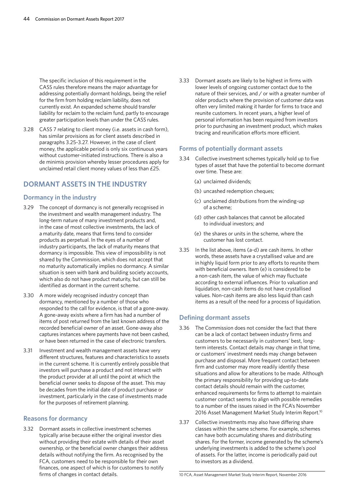The specific inclusion of this requirement in the CASS rules therefore means the major advantage for addressing potentially dormant holdings, being the relief for the firm from holding reclaim liability, does not currently exist. An expanded scheme should transfer liability for reclaim to the reclaim fund, partly to encourage greater participation levels than under the CASS rules.

3.28 CASS 7 relating to client money (i.e. assets in cash form), has similar provisions as for client assets described in paragraphs 3.25-3.27. However, in the case of client money, the applicable period is only six continuous years without customer-initiated instructions. There is also a de minimis provision whereby lesser procedures apply for unclaimed retail client money values of less than £25.

# **DORMANT ASSETS IN THE INDUSTRY**

## **Dormancy in the industry**

- 3.29 The concept of dormancy is not generally recognised in the investment and wealth management industry. The long-term nature of many investment products and, in the case of most collective investments, the lack of a maturity date, means that firms tend to consider products as perpetual. In the eyes of a number of industry participants, the lack of maturity means that dormancy is impossible. This view of impossibility is not shared by the Commission, which does not accept that no maturity automatically implies no dormancy. A similar situation is seen with bank and building society accounts, which also do not have product maturity, but can still be identified as dormant in the current scheme.
- 3.30 A more widely recognised industry concept than dormancy, mentioned by a number of those who responded to the call for evidence, is that of a gone-away. A gone-away exists where a firm has had a number of items of post returned from the last known address of the recorded beneficial owner of an asset. Gone-away also captures instances where payments have not been cashed, or have been returned in the case of electronic transfers.
- 3.31 Investment and wealth management assets have very different structures, features and characteristics to assets in the current scheme. It is currently entirely possible that investors will purchase a product and not interact with the product provider at all until the point at which the beneficial owner seeks to dispose of the asset. This may be decades from the initial date of product purchase or investment, particularly in the case of investments made for the purposes of retirement planning.

## **Reasons for dormancy**

3.32 Dormant assets in collective investment schemes typically arise because either the original investor dies without providing their estate with details of their asset ownership, or the beneficial owner changes their address details without notifying the firm. As recognised by the FCA, customers need to be responsible for their own finances, one aspect of which is for customers to notify firms of changes in contact details.

3.33 Dormant assets are likely to be highest in firms with lower levels of ongoing customer contact due to the nature of their services, and / or with a greater number of older products where the provision of customer data was often very limited making it harder for firms to trace and reunite customers. In recent years, a higher level of personal information has been required from investors prior to purchasing an investment product, which makes tracing and reunification efforts more efficient.

## **Forms of potentially dormant assets**

- 3.34 Collective investment schemes typically hold up to five types of asset that have the potential to become dormant over time. These are:
	- (a) unclaimed dividends;
	- (b) uncashed redemption cheques;
	- (c) unclaimed distributions from the winding-up of a scheme;
	- (d) other cash balances that cannot be allocated to individual investors; and
	- (e) the shares or units in the scheme, where the customer has lost contact.
- 3.35 In the list above, items (a-d) are cash items. In other words, these assets have a crystallised value and are in highly liquid form prior to any efforts to reunite them with beneficial owners. Item (e) is considered to be a non-cash item, the value of which may fluctuate according to external influences. Prior to valuation and liquidation, non-cash items do not have crystallised values. Non-cash items are also less liquid than cash items as a result of the need for a process of liquidation.

## **Defining dormant assets**

- 3.36 The Commission does not consider the fact that there can be a lack of contact between industry firms and customers to be necessarily in customers' best, longterm interests. Contact details may change in that time, or customers' investment needs may change between purchase and disposal. More frequent contact between firm and customer may more readily identify these situations and allow for alterations to be made. Although the primary responsibility for providing up-to-date contact details should remain with the customer, enhanced requirements for firms to attempt to maintain customer contact seems to align with possible remedies to a number of the issues raised in the FCA's November 2016 Asset Management Market Study Interim Report.<sup>10</sup>
- 3.37 Collective investments may also have differing share classes within the same scheme. For example, schemes can have both accumulating shares and distributing shares. For the former, income generated by the scheme's underlying investments is added to the scheme's pool of assets. For the latter, income is periodically paid out to investors as a dividend.

10 FCA, Asset Management Market Study Interim Report, November 2016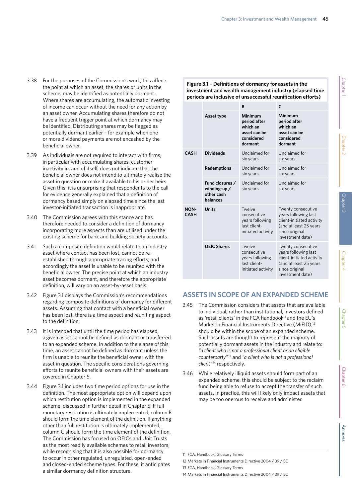- 3.38 For the purposes of the Commission's work, this affects the point at which an asset, the shares or units in the scheme, may be identified as potentially dormant. Where shares are accumulating, the automatic investing of income can occur without the need for any action by an asset owner. Accumulating shares therefore do not have a frequent trigger point at which dormancy may be identified. Distributing shares may be flagged as potentially dormant earlier – for example when one or more dividend payments are not encashed by the beneficial owner.
- 3.39 As individuals are not required to interact with firms, in particular with accumulating shares, customer inactivity in, and of itself, does not indicate that the beneficial owner does not intend to ultimately realise the asset in question or make it available to his or her heirs. Given this, it is unsurprising that respondents to the call for evidence generally explained that a definition of dormancy based simply on elapsed time since the last investor-initiated transaction is inappropriate.
- 3.40 The Commission agrees with this stance and has therefore needed to consider a definition of dormancy incorporating more aspects than are utilised under the existing scheme for bank and building society accounts.
- 3.41 Such a composite definition would relate to an industry asset where contact has been lost, cannot be reestablished through appropriate tracing efforts, and accordingly the asset is unable to be reunited with the beneficial owner. The precise point at which an industry asset becomes dormant, and therefore the appropriate definition, will vary on an asset-by-asset basis.
- 3.42 Figure 3.1 displays the Commission's recommendations regarding composite definitions of dormancy for different assets. Assuming that contact with a beneficial owner has been lost, there is a time aspect and reuniting aspect to the definition.
- 3.43 It is intended that until the time period has elapsed, a given asset cannot be defined as dormant or transferred to an expanded scheme. In addition to the elapse of this time, an asset cannot be defined as dormant unless the firm is unable to reunite the beneficial owner with the asset in question. The specific considerations governing efforts to reunite beneficial owners with their assets are covered in Chapter 5.
- 3.44 Figure 3.1 includes two time period options for use in the definition. The most appropriate option will depend upon which restitution option is implemented in the expanded scheme, discussed in further detail in Chapter 5. If full monetary restitution is ultimately implemented, column B should form the time element of the definition. If anything other than full restitution is ultimately implemented, column C should form the time element of the definition. The Commission has focused on OEICs and Unit Trusts as the most readily available schemes to retail investors, while recognising that it is also possible for dormancy to occur in other regulated, unregulated, open-ended and closed-ended scheme types. For these, it anticipates a similar dormancy definition structure.

## **Figure 3.1 – Definitions of dormancy for assets in the investment and wealth management industry (elapsed time periods are inclusive of unsuccessful reunification efforts)**

|                            |                                                             | B                                                                              | C                                                                                                                                       |
|----------------------------|-------------------------------------------------------------|--------------------------------------------------------------------------------|-----------------------------------------------------------------------------------------------------------------------------------------|
|                            | Asset type                                                  | Minimum<br>period after<br>which an<br>asset can be<br>considered<br>dormant   | Minimum<br>period after<br>which an<br>asset can be<br>considered<br>dormant                                                            |
| <b>CASH</b>                | <b>Dividends</b>                                            | Unclaimed for<br>six years                                                     | Unclaimed for<br>six years                                                                                                              |
|                            | Redemptions                                                 | Unclaimed for<br>six years                                                     | Unclaimed for<br>six years                                                                                                              |
|                            | Fund closures /<br>winding-up $/$<br>other cash<br>balances | Unclaimed for<br>six years                                                     | Unclaimed for<br>six years                                                                                                              |
| <b>NON-</b><br><b>CASH</b> | <b>Units</b>                                                | Twelve<br>consecutive<br>years following<br>last client-<br>initiated activity | Twenty consecutive<br>years following last<br>client-initiated activity<br>(and at least 25 years<br>since original<br>investment date) |
|                            | <b>OEIC Shares</b>                                          | Twelve<br>consecutive<br>years following<br>last client-<br>initiated activity | Twenty consecutive<br>years following last<br>client-initiated activity<br>(and at least 25 years<br>since original<br>investment date) |

# **ASSETS IN SCOPE OF AN EXPANDED SCHEME**

- 3.45 The Commission considers that assets that are available to individual, rather than institutional, investors defined as 'retail clients' in the FCA handbook<sup>11</sup> and the EU's Market in Financial Instruments Directive (MiFID),<sup>12</sup> should be within the scope of an expanded scheme. Such assets are thought to represent the majority of potentially dormant assets in the industry and relate to: *"a client who is not a professional client or an eligible counterparty"*13 and *"a client who is not a professional client"*14 respectively.
- 3.46 While relatively illiquid assets should form part of an expanded scheme, this should be subject to the reclaim fund being able to refuse to accept the transfer of such assets. In practice, this will likely only impact assets that may be too onerous to receive and administer.

<sup>11</sup> FCA, Handbook: Glossary Terms

<sup>12</sup> Markets in Financial Instruments Directive 2004 / 39 / EC

<sup>13</sup> FCA, Handbook: Glossary Terms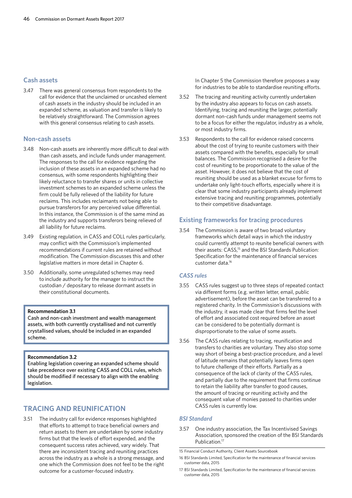## **Cash assets**

3.47 There was general consensus from respondents to the call for evidence that the unclaimed or uncashed element of cash assets in the industry should be included in an expanded scheme, as valuation and transfer is likely to be relatively straightforward. The Commission agrees with this general consensus relating to cash assets.

## **Non-cash assets**

- 3.48 Non-cash assets are inherently more difficult to deal with than cash assets, and include funds under management. The responses to the call for evidence regarding the inclusion of these assets in an expanded scheme had no consensus, with some respondents highlighting their likely reluctance to transfer shares or units in collective investment schemes to an expanded scheme unless the firm could be fully relieved of the liability for future reclaims. This includes reclaimants not being able to pursue transferors for any perceived value differential. In this instance, the Commission is of the same mind as the industry and supports transferors being relieved of all liability for future reclaims.
- 3.49 Existing regulation, in CASS and COLL rules particularly, may conflict with the Commission's implemented recommendations if current rules are retained without modification. The Commission discusses this and other legislative matters in more detail in Chapter 6.
- 3.50 Additionally, some unregulated schemes may need to include authority for the manager to instruct the custodian / depositary to release dormant assets in their constitutional documents.

#### **Recommendation 3.1**

Cash and non-cash investment and wealth management assets, with both currently crystallised and not currently crystallised values, should be included in an expanded scheme.

#### **Recommendation 3.2**

Enabling legislation covering an expanded scheme should take precedence over existing CASS and COLL rules, which should be modified if necessary to align with the enabling legislation.

# **TRACING AND REUNIFICATION**

3.51 The industry call for evidence responses highlighted that efforts to attempt to trace beneficial owners and return assets to them are undertaken by some industry firms but that the levels of effort expended, and the consequent success rates achieved, vary widely. That there are inconsistent tracing and reuniting practices across the industry as a whole is a strong message, and one which the Commission does not feel to be the right outcome for a customer-focused industry.

In Chapter 5 the Commission therefore proposes a way for industries to be able to standardise reuniting efforts.

- 3.52 The tracing and reuniting activity currently undertaken by the industry also appears to focus on cash assets. Identifying, tracing and reuniting the larger, potentially dormant non-cash funds under management seems not to be a focus for either the regulator, industry as a whole, or most industry firms.
- 3.53 Respondents to the call for evidence raised concerns about the cost of trying to reunite customers with their assets compared with the benefits, especially for small balances. The Commission recognised a desire for the cost of reuniting to be proportionate to the value of the asset. However, it does not believe that the cost of reuniting should be used as a blanket excuse for firms to undertake only light-touch efforts, especially where it is clear that some industry participants already implement extensive tracing and reuniting programmes, potentially to their competitive disadvantage.

## **Existing frameworks for tracing procedures**

3.54 The Commission is aware of two broad voluntary frameworks which detail ways in which the industry could currently attempt to reunite beneficial owners with their assets: CASS,<sup>15</sup> and the BSI Standards Publication: Specification for the maintenance of financial services customer data.16

## *CASS rules*

- 3.55 CASS rules suggest up to three steps of repeated contact via different forms (e.g. written letter, email, public advertisement), before the asset can be transferred to a registered charity. In the Commission's discussions with the industry, it was made clear that firms feel the level of effort and associated cost required before an asset can be considered to be potentially dormant is disproportionate to the value of some assets.
- 3.56 The CASS rules relating to tracing, reunification and transfers to charities are voluntary. They also stop some way short of being a best-practice procedure, and a level of latitude remains that potentially leaves firms open to future challenge of their efforts. Partially as a consequence of the lack of clarity of the CASS rules, and partially due to the requirement that firms continue to retain the liability after transfer to good causes, the amount of tracing or reuniting activity and the consequent value of monies passed to charities under CASS rules is currently low.

## *BSI Standard*

3.57 One industry association, the Tax Incentivised Savings Association, sponsored the creation of the BSI Standards Publication.<sup>17</sup>

15 Financial Conduct Authority, Client Assets Sourcebook

17 BSI Standards Limited, Specification for the maintenance of financial services customer data, 2015

<sup>16</sup> BSI Standards Limited, Specification for the maintenance of financial services customer data, 2015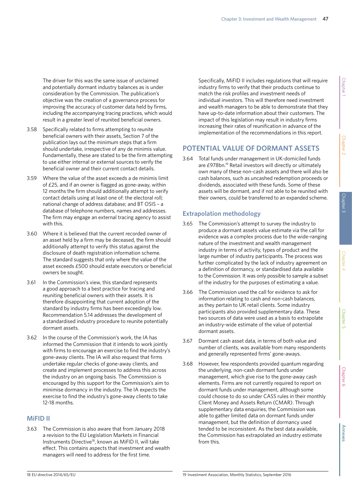The driver for this was the same issue of unclaimed and potentially dormant industry balances as is under consideration by the Commission. The publication's objective was the creation of a governance process for improving the accuracy of customer data held by firms, including the accompanying tracing practices, which would result in a greater level of reunited beneficial owners.

- 3.58 Specifically related to firms attempting to reunite beneficial owners with their assets, Section 7 of the publication lays out the minimum steps that a firm should undertake, irrespective of any de minimis value. Fundamentally, these are stated to be the firm attempting to use either internal or external sources to verify the beneficial owner and their current contact details.
- 3.59 Where the value of the asset exceeds a de minimis limit of £25, and if an owner is flagged as gone-away, within 12 months the firm should additionally attempt to verify contact details using at least one of: the electoral roll; national change of address database; and BT OSIS – a database of telephone numbers, names and addresses. The firm may engage an external tracing agency to assist with this.
- 3.60 Where it is believed that the current recorded owner of an asset held by a firm may be deceased, the firm should additionally attempt to verify this status against the disclosure of death registration information scheme. The standard suggests that only where the value of the asset exceeds £500 should estate executors or beneficial owners be sought.
- 3.61 In the Commission's view, this standard represents a good approach to a best practice for tracing and reuniting beneficial owners with their assets. It is therefore disappointing that current adoption of the standard by industry firms has been exceedingly low. Recommendation 5.14 addresses the development of a standardised industry procedure to reunite potentially dormant assets.
- 3.62 In the course of the Commission's work, the IA has informed the Commission that it intends to work jointly with firms to encourage an exercise to find the industry's gone-away clients. The IA will also request that firms undertake regular checks of gone-away clients, and create and implement processes to address this across the industry on an ongoing basis. The Commission is encouraged by this support for the Commission's aim to minimise dormancy in the industry. The IA expects the exercise to find the industry's gone-away clients to take 12-18 months.

## **MiFID II**

3.63 The Commission is also aware that from January 2018 a revision to the EU Legislation Markets in Financial Instruments Directive18, known as MiFID II, will take effect. This contains aspects that investment and wealth managers will need to address for the first time.

Specifically, MiFID II includes regulations that will require industry firms to verify that their products continue to match the risk profiles and investment needs of individual investors. This will therefore need investment and wealth managers to be able to demonstrate that they have up-to-date information about their customers. The impact of this legislation may result in industry firms increasing their rates of reunification in advance of the implementation of the recommendations in this report.

# **POTENTIAL VALUE OF DORMANT ASSETS**

3.64 Total funds under management in UK-domiciled funds are £978bn.<sup>19</sup> Retail investors will directly or ultimately own many of these non-cash assets and there will also be cash balances, such as uncashed redemption proceeds or dividends, associated with these funds. Some of these assets will be dormant, and if not able to be reunited with their owners, could be transferred to an expanded scheme.

# **Extrapolation methodology**

- 3.65 The Commission's attempt to survey the industry to produce a dormant assets value estimate via the call for evidence was a complex process due to the wide-ranging nature of the investment and wealth management industry in terms of activity, types of product and the large number of industry participants. The process was further complicated by the lack of industry agreement on a definition of dormancy, or standardised data available to the Commission. It was only possible to sample a subset of the industry for the purposes of estimating a value.
- 3.66 The Commission used the call for evidence to ask for information relating to cash and non-cash balances, as they pertain to UK retail clients. Some industry participants also provided supplementary data. These two sources of data were used as a basis to extrapolate an industry-wide estimate of the value of potential dormant assets.
- 3.67 Dormant cash asset data, in terms of both value and number of clients, was available from many respondents and generally represented firms' gone-aways.
- 3.68 However, few respondents provided quantum regarding the underlying, non-cash dormant funds under management, which give rise to the gone-away cash elements. Firms are not currently required to report on dormant funds under management, although some could choose to do so under CASS rules in their monthly Client Money and Assets Return (CMAR). Through supplementary data enquiries, the Commission was able to gather limited data on dormant funds under management, but the definition of dormancy used tended to be inconsistent. As the best data available, the Commission has extrapolated an industry estimate from this.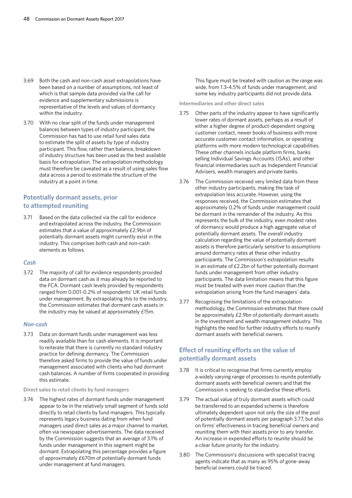- 3.69 Both the cash and non-cash asset extrapolations have been based on a number of assumptions, not least of which is that sample data provided via the call for evidence and supplementary submissions is representative of the levels and values of dormancy within the industry.
- 3.70 With no clear split of the funds under management balances between types of industry participant, the Commission has had to use retail fund sales data to estimate the split of assets by type of industry participant. This flow, rather than balance, breakdown of industry structure has been used as the best available basis for extrapolation. The extrapolation methodology must therefore be caveated as a result of using sales flow data across a period to estimate the structure of the industry at a point in time.

## **Potentially dormant assets, prior to attempted reuniting**

3.71 Based on the data collected via the call for evidence and extrapolated across the industry, the Commission estimates that a value of approximately £2.9bn of potentially dormant assets might currently exist in the industry. This comprises both cash and non-cash elements as follows.

### *Cash*

3.72 The majority of call for evidence respondents provided data on dormant cash as it may already be reported to the FCA. Dormant cash levels provided by respondents ranged from 0.001-0.2% of respondents' UK retail funds under management. By extrapolating this to the industry, the Commission estimates that dormant cash assets in the industry may be valued at approximately £15m.

#### *Non-cash*

3.73 Data on dormant funds under management was less readily available than for cash elements. It is important to reiterate that there is currently no standard industry practice for defining dormancy. The Commission therefore asked firms to provide the value of funds under management associated with clients who had dormant cash balances. A number of firms cooperated in providing this estimate.

**Direct sales to retail clients by fund managers**

3.74 The highest rates of dormant funds under management appear to be in the relatively small segment of funds sold directly to retail clients by fund managers. This typically represents legacy business dating from when fund managers used direct sales as a major channel to market, often via newspaper advertisements. The data received by the Commission suggests that an average of 3.1% of funds under management in this segment might be dormant. Extrapolating this percentage provides a figure of approximately £670m of potentially dormant funds under management at fund managers.

This figure must be treated with caution as the range was wide, from 1.3-4.5% of funds under management, and some key industry participants did not provide data.

**Intermediaries and other direct sales**

- 3.75 Other parts of the industry appear to have significantly lower rates of dormant assets, perhaps as a result of either a higher degree of product-dependent ongoing customer contact, newer books of business with more accurate customer contact information, or operating platforms with more modern technological capabilities. These other channels include platform firms, banks selling Individual Savings Accounts (ISAs), and other financial intermediaries such as Independent Financial Advisers, wealth managers and private banks.
- 3.76 The Commission received very limited data from these other industry participants, making the task of extrapolation less accurate. However, using the responses received, the Commission estimates that approximately 0.2% of funds under management could be dormant in the remainder of the industry. As this represents the bulk of the industry, even modest rates of dormancy would produce a high aggregate value of potentially dormant assets. The overall industry calculation regarding the value of potentially dormant assets is therefore particularly sensitive to assumptions around dormancy rates at these other industry participants. The Commission's extrapolation results in an estimate of  $E2.2$ bn of further potentially dormant funds under management from other industry participants. The data limitation means that this figure must be treated with even more caution than the extrapolation arising from the fund managers' data.
- 3.77 Recognising the limitations of the extrapolation methodology, the Commission estimates that there could be approximately £2.9bn of potentially dormant assets in the investment and wealth management industry. This highlights the need for further industry efforts to reunify dormant assets with beneficial owners.

# **Effect of reuniting efforts on the value of potentially dormant assets**

- 3.78 It is critical to recognise that firms currently employ a widely varying range of processes to reunite potentially dormant assets with beneficial owners and that the Commission is seeking to standardise these efforts.
- 3.79 The actual value of truly dormant assets which could be transferred to an expanded scheme is therefore ultimately dependent upon not only the size of the pool of potentially dormant assets per paragraph 3.77, but also on firms' effectiveness in tracing beneficial owners and reuniting them with their assets prior to any transfer. An increase in expended efforts to reunite should be a clear future priority for the industry.
- 3.80 The Commission's discussions with specialist tracing agents indicate that as many as 95% of gone-away beneficial owners could be traced.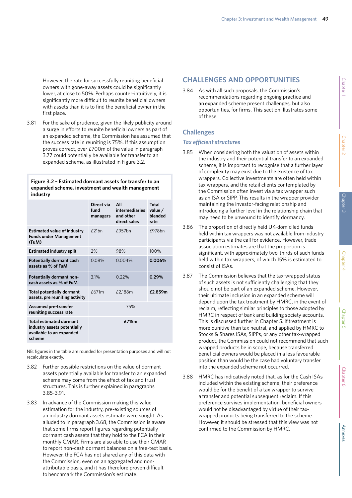However, the rate for successfully reuniting beneficial owners with gone-away assets could be significantly lower, at close to 50%. Perhaps counter-intuitively, it is significantly more difficult to reunite beneficial owners with assets than it is to find the beneficial owner in the first place.

3.81 For the sake of prudence, given the likely publicity around a surge in efforts to reunite beneficial owners as part of an expanded scheme, the Commission has assumed that the success rate in reuniting is 75%. If this assumption proves correct, over £700m of the value in paragraph 3.77 could potentially be available for transfer to an expanded scheme, as illustrated in Figure 3.2.

## **Figure 3.2 – Estimated dormant assets for transfer to an expanded scheme, investment and wealth management industry**

|                                                                                                     | Direct via<br>fund<br>managers | All<br><b>intermediaries</b><br>and other<br>direct sales | Total<br>value /<br>blended<br>rate |
|-----------------------------------------------------------------------------------------------------|--------------------------------|-----------------------------------------------------------|-------------------------------------|
| <b>Estimated value of industry</b><br><b>Funds under Management</b><br>(FuM)                        | f21hn                          | $f957$ hn                                                 | f978hn                              |
| <b>Estimated industry split</b>                                                                     | 2%                             | 98%                                                       | 100%                                |
| Potentially dormant cash<br>assets as % of FuM                                                      | 0.08%                          | 0.004%                                                    | 0.006%                              |
| <b>Potentially dormant non-</b><br>cash assets as % of FuM                                          | 3.1%                           | 0.22%                                                     | 0.29%                               |
| <b>Total potentially dormant</b><br>assets, pre reuniting activity                                  | f671m                          | £2,188m                                                   | £2,859m                             |
| <b>Assumed pre-transfer</b><br>reuniting success rate                                               | 75%                            |                                                           |                                     |
| <b>Total estimated dormant</b><br>industry assets potentially<br>available to an expanded<br>scheme | £715m                          |                                                           |                                     |

NB: figures in the table are rounded for presentation purposes and will not recalculate exactly.

- 3.82 Further possible restrictions on the value of dormant assets potentially available for transfer to an expanded scheme may come from the effect of tax and trust structures. This is further explained in paragraphs 3.85-3.91.
- 3.83 In advance of the Commission making this value estimation for the industry, pre-existing sources of an industry dormant assets estimate were sought. As alluded to in paragraph 3.68, the Commission is aware that some firms report figures regarding potentially dormant cash assets that they hold to the FCA in their monthly CMAR. Firms are also able to use their CMAR to report non-cash dormant balances on a free-text basis. However, the FCA has not shared any of this data with the Commission, even on an aggregated and nonattributable basis, and it has therefore proven difficult to benchmark the Commission's estimate.

# **CHALLENGES AND OPPORTUNITIES**

3.84 As with all such proposals, the Commission's recommendations regarding ongoing practice and an expanded scheme present challenges, but also opportunities, for firms. This section illustrates some of these.

# **Challenges**

## *Tax efficient structures*

- 3.85 When considering both the valuation of assets within the industry and their potential transfer to an expanded scheme, it is important to recognise that a further layer of complexity may exist due to the existence of tax wrappers. Collective investments are often held within tax wrappers, and the retail clients contemplated by the Commission often invest via a tax wrapper such as an ISA or SIPP. This results in the wrapper provider maintaining the investor-facing relationship and introducing a further level in the relationship chain that may need to be unwound to identify dormancy.
- 3.86 The proportion of directly held UK-domiciled funds held within tax wrappers was not available from industry participants via the call for evidence. However, trade association estimates are that the proportion is significant, with approximately two-thirds of such funds held within tax wrappers, of which 15% is estimated to consist of ISAs.
- 3.87 The Commission believes that the tax-wrapped status of such assets is not sufficiently challenging that they should not be part of an expanded scheme. However, their ultimate inclusion in an expanded scheme will depend upon the tax treatment by HMRC, in the event of reclaim, reflecting similar principles to those adopted by HMRC in respect of bank and building society accounts. This is discussed further in Chapter 5. If treatment is more punitive than tax neutral, and applied by HMRC to Stocks & Shares ISAs, SIPPs, or any other tax-wrapped product, the Commission could not recommend that such wrapped products be in scope, because transferred beneficial owners would be placed in a less favourable position than would be the case had voluntary transfer into the expanded scheme not occurred.
- 3.88 HMRC has indicatively noted that, as for the Cash ISAs included within the existing scheme, their preference would be for the benefit of a tax wrapper to survive a transfer and potential subsequent reclaim. If this preference survives implementation, beneficial owners would not be disadvantaged by virtue of their taxwrapped products being transferred to the scheme. However, it should be stressed that this view was not confirmed to the Commission by HMRC.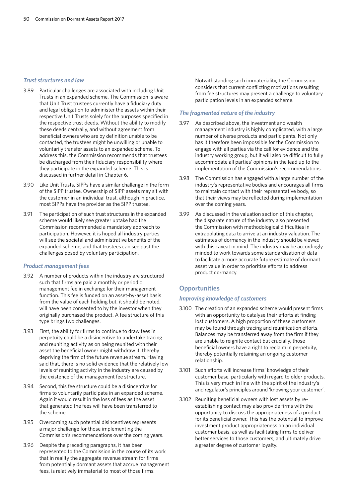#### *Trust structures and law*

- 3.89 Particular challenges are associated with including Unit Trusts in an expanded scheme. The Commission is aware that Unit Trust trustees currently have a fiduciary duty and legal obligation to administer the assets within their respective Unit Trusts solely for the purposes specified in the respective trust deeds. Without the ability to modify these deeds centrally, and without agreement from beneficial owners who are by definition unable to be contacted, the trustees might be unwilling or unable to voluntarily transfer assets to an expanded scheme. To address this, the Commission recommends that trustees be discharged from their fiduciary responsibility where they participate in the expanded scheme. This is discussed in further detail in Chapter 6.
- 3.90 Like Unit Trusts, SIPPs have a similar challenge in the form of the SIPP trustee. Ownership of SIPP assets may sit with the customer in an individual trust, although in practice, most SIPPs have the provider as the SIPP trustee.
- 3.91 The participation of such trust structures in the expanded scheme would likely see greater uptake had the Commission recommended a mandatory approach to participation. However, it is hoped all industry parties will see the societal and administrative benefits of the expanded scheme, and that trustees can see past the challenges posed by voluntary participation.

### *Product management fees*

- 3.92 A number of products within the industry are structured such that firms are paid a monthly or periodic management fee in exchange for their management function. This fee is funded on an asset-by-asset basis from the value of each holding but, it should be noted, will have been consented to by the investor when they originally purchased the product. A fee structure of this type brings two challenges.
- 3.93 First, the ability for firms to continue to draw fees in perpetuity could be a disincentive to undertake tracing and reuniting activity as on being reunited with their asset the beneficial owner might withdraw it, thereby depriving the firm of the future revenue stream. Having said that, there is no solid evidence that the relatively low levels of reuniting activity in the industry are caused by the existence of the management fee structure.
- 3.94 Second, this fee structure could be a disincentive for firms to voluntarily participate in an expanded scheme. Again it would result in the loss of fees as the asset that generated the fees will have been transferred to the scheme.
- 3.95 Overcoming such potential disincentives represents a major challenge for those implementing the Commission's recommendations over the coming years.
- 3.96 Despite the preceding paragraphs, it has been represented to the Commission in the course of its work that in reality the aggregate revenue stream for firms from potentially dormant assets that accrue management fees, is relatively immaterial to most of those firms.

Notwithstanding such immateriality, the Commission considers that current conflicting motivations resulting from fee structures may present a challenge to voluntary participation levels in an expanded scheme.

## *The fragmented nature of the industry*

- 3.97 As described above, the investment and wealth management industry is highly complicated, with a large number of diverse products and participants. Not only has it therefore been impossible for the Commission to engage with all parties via the call for evidence and the industry working group, but it will also be difficult to fully accommodate all parties' opinions in the lead up to the implementation of the Commission's recommendations.
- 3.98 The Commission has engaged with a large number of the industry's representative bodies and encourages all firms to maintain contact with their representative body, so that their views may be reflected during implementation over the coming years.
- 3.99 As discussed in the valuation section of this chapter, the disparate nature of the industry also presented the Commission with methodological difficulties in extrapolating data to arrive at an industry valuation. The estimates of dormancy in the industry should be viewed with this caveat in mind. The industry may be accordingly minded to work towards some standardisation of data to facilitate a more accurate future estimate of dormant asset value in order to prioritise efforts to address product dormancy.

# **Opportunities**

## *Improving knowledge of customers*

- 3.100 The creation of an expanded scheme would present firms with an opportunity to catalyse their efforts at finding lost customers. A high proportion of these customers may be found through tracing and reunification efforts. Balances may be transferred away from the firm if they are unable to reignite contact but crucially, those beneficial owners have a right to reclaim in perpetuity, thereby potentially retaining an ongoing customer relationship.
- 3.101 Such efforts will increase firms' knowledge of their customer base, particularly with regard to older products. This is very much in line with the spirit of the industry's and regulator's principles around 'knowing your customer'.
- 3.102 Reuniting beneficial owners with lost assets by reestablishing contact may also provide firms with the opportunity to discuss the appropriateness of a product for its beneficial owner. This has the potential to improve investment product appropriateness on an individual customer basis, as well as facilitating firms to deliver better services to those customers, and ultimately drive a greater degree of customer loyalty.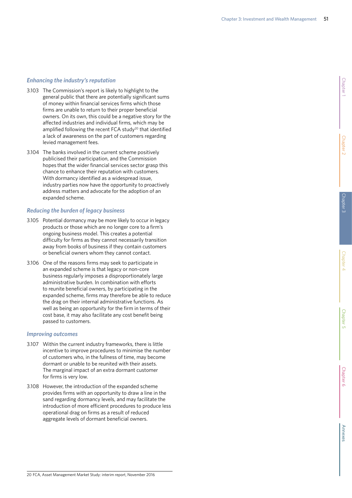## *Enhancing the industry's reputation*

- 3.103 The Commission's report is likely to highlight to the general public that there are potentially significant sums of money within financial services firms which those firms are unable to return to their proper beneficial owners. On its own, this could be a negative story for the affected industries and individual firms, which may be amplified following the recent FCA study<sup>20</sup> that identified a lack of awareness on the part of customers regarding levied management fees.
- 3.104 The banks involved in the current scheme positively publicised their participation, and the Commission hopes that the wider financial services sector grasp this chance to enhance their reputation with customers. With dormancy identified as a widespread issue, industry parties now have the opportunity to proactively address matters and advocate for the adoption of an expanded scheme.

## *Reducing the burden of legacy business*

- 3.105 Potential dormancy may be more likely to occur in legacy products or those which are no longer core to a firm's ongoing business model. This creates a potential difficulty for firms as they cannot necessarily transition away from books of business if they contain customers or beneficial owners whom they cannot contact.
- 3.106 One of the reasons firms may seek to participate in an expanded scheme is that legacy or non-core business regularly imposes a disproportionately large administrative burden. In combination with efforts to reunite beneficial owners, by participating in the expanded scheme, firms may therefore be able to reduce the drag on their internal administrative functions. As well as being an opportunity for the firm in terms of their cost base, it may also facilitate any cost benefit being passed to customers.

## *Improving outcomes*

- 3.107 Within the current industry frameworks, there is little incentive to improve procedures to minimise the number of customers who, in the fullness of time, may become dormant or unable to be reunited with their assets. The marginal impact of an extra dormant customer for firms is very low.
- 3.108 However, the introduction of the expanded scheme provides firms with an opportunity to draw a line in the sand regarding dormancy levels, and may facilitate the introduction of more efficient procedures to produce less operational drag on firms as a result of reduced aggregate levels of dormant beneficial owners.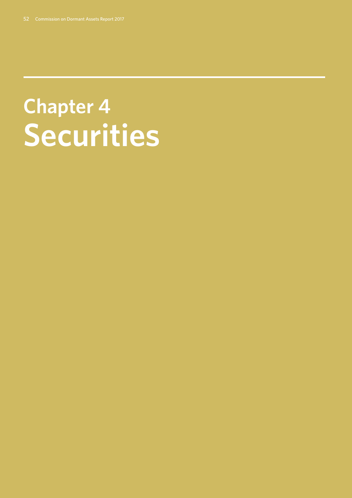# **Chapter 4: Securities**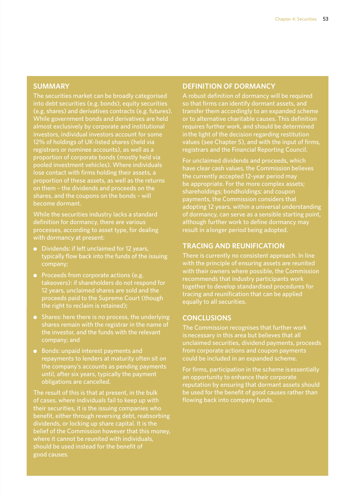# **SUMMARY**

The securities market can be broadly categorised into debt securities (e.g. bonds), equity securities (e.g. shares) and derivatives contracts (e.g. futures). While government bonds and derivatives are held almost exclusively by corporate and institutional investors, individual investors account for some 12% of holdings of UK-listed shares (held via registrars or nominee accounts), as well as a proportion of corporate bonds (mostly held via pooled investment vehicles). Where individuals lose contact with firms holding their assets, a proportion of these assets, as well as the returns on them – the dividends and proceeds on the shares, and the coupons on the bonds – will become dormant.

While the securities industry lacks a standard definition for dormancy, there are various processes, according to asset type, for dealing

- Dividends: if left unclaimed for 12 years, typically flow back into the funds of the issuing company;
- Proceeds from corporate actions (e.g. takeovers): if shareholders do not respond for 12 years, unclaimed shares are sold and the proceeds paid to the Supreme Court (though the right to reclaim is retained);
- Shares: here there is no process, the underlying shares remain with the registrar in the name of the investor, and the funds with the relevant company; and
- Bonds: unpaid interest payments and repayments to lenders at maturity often sit on the company's accounts as pending payments until, after six years, typically the payment obligations are cancelled.

The result of this is that at present, in the bulk of cases, where individuals fail to keep up with their securities, it is the issuing companies who benefit, either through reversing debt, reabsorbing dividends, or locking up share capital. It is the belief of the Commission however that this money, where it cannot be reunited with individuals, should be used instead for the benefit of good causes.

## **DEFINITION OF DORMANCY**

A robust definition of dormancy will be required so that firms can identify dormant assets, and transfer them accordingly to an expanded scheme or to alternative charitable causes. This definition requires further work, and should be determined in the light of the decision regarding restitution values (see Chapter 5), and with the input of firms, registrars and the Financial Reporting Council.

For unclaimed dividends and proceeds, which the currently accepted 12-year period may be appropriate. For the more complex assets; shareholdings; bondholdings; and coupon payments, the Commission considers that adopting 12 years, within a universal understanding of dormancy, can serve as a sensible starting point, although further work to define dormancy may result in a longer period being adopted.

# **TRACING AND REUNIFICATION**

There is currently no consistent approach. In line with the principle of ensuring assets are reunited with their owners where possible, the Commission recommends that industry participants work together to develop standardised procedures for tracing and reunification that can be applied equally to all securities.

## **CONCLUSIONS**

The Commission recognises that further work is necessary in this area but believes that all unclaimed securities, dividend payments, proceeds from corporate actions and coupon payments could be included in an expanded scheme.

For firms, participation in the scheme is essentially an opportunity to enhance their corporate reputation by ensuring that dormant assets should be used for the benefit of good causes rather than flowing back into company funds.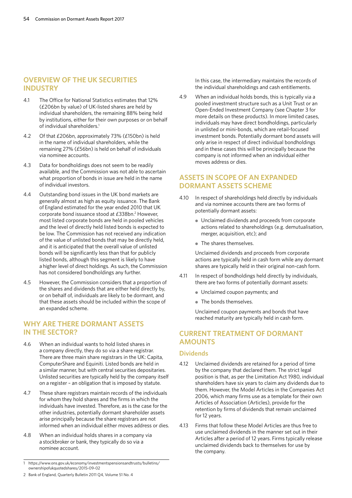# **OVERVIEW OF THE UK SECURITIES INDUSTRY**

- 4.1 The Office for National Statistics estimates that 12% (£206bn by value) of UK-listed shares are held by individual shareholders, the remaining 88% being held by institutions, either for their own purposes or on behalf of individual shareholders.<sup>1</sup>
- 4.2 Of that £206bn, approximately 73% (£150bn) is held in the name of individual shareholders, while the remaining 27% (£56bn) is held on behalf of individuals via nominee accounts.
- 4.3 Data for bondholdings does not seem to be readily available, and the Commission was not able to ascertain what proportion of bonds in issue are held in the name of individual investors.
- 4.4 Outstanding bond issues in the UK bond markets are generally almost as high as equity issuance. The Bank of England estimated for the year ended 2010 that UK corporate bond issuance stood at £338bn.<sup>2</sup> However, most listed corporate bonds are held in pooled vehicles and the level of directly held listed bonds is expected to be low. The Commission has not received any indication of the value of unlisted bonds that may be directly held, and it is anticipated that the overall value of unlisted bonds will be significantly less than that for publicly listed bonds, although this segment is likely to have a higher level of direct holdings. As such, the Commission has not considered bondholdings any further.
- 4.5 However, the Commission considers that a proportion of the shares and dividends that are either held directly by, or on behalf of, individuals are likely to be dormant, and that these assets should be included within the scope of an expanded scheme.

# **WHY ARE THERE DORMANT ASSETS IN THE SECTOR?**

- 4.6 When an individual wants to hold listed shares in a company directly, they do so via a share registrar. There are three main share registrars in the UK: Capita, ComputerShare and Equiniti. Listed bonds are held in a similar manner, but with central securities depositaries. Unlisted securities are typically held by the company itself on a register – an obligation that is imposed by statute.
- 4.7 These share registrars maintain records of the individuals for whom they hold shares and the firms in which the individuals have invested. Therefore, as is the case for the other industries, potentially dormant shareholder assets arise principally because the share registrars are not informed when an individual either moves address or dies.
- 4.8 When an individual holds shares in a company via a stockbroker or bank, they typically do so via a nominee account.

In this case, the intermediary maintains the records of the individual shareholdings and cash entitlements.

4.9 When an individual holds bonds, this is typically via a pooled investment structure such as a Unit Trust or an Open-Ended Investment Company (see Chapter 3 for more details on these products). In more limited cases, individuals may have direct bondholdings, particularly in unlisted or mini-bonds, which are retail-focused investment bonds. Potentially dormant bond assets will only arise in respect of direct individual bondholdings and in these cases this will be principally because the company is not informed when an individual either moves address or dies.

# **ASSETS IN SCOPE OF AN EXPANDED DORMANT ASSETS SCHEME**

- 4.10 In respect of shareholdings held directly by individuals and via nominee accounts there are two forms of potentially dormant assets:
	- Unclaimed dividends and proceeds from corporate actions related to shareholdings (e.g. demutualisation, merger, acquisition, etc); and
	- The shares themselves.

Unclaimed dividends and proceeds from corporate actions are typically held in cash form while any dormant shares are typically held in their original non-cash form.

- 4.11 In respect of bondholdings held directly by individuals, there are two forms of potentially dormant assets:
	- Unclaimed coupon payments; and
	- The bonds themselves.

Unclaimed coupon payments and bonds that have reached maturity are typically held in cash form.

# **CURRENT TREATMENT OF DORMANT AMOUNTS**

## **Dividends**

- 4.12 Unclaimed dividends are retained for a period of time by the company that declared them. The strict legal position is that, as per the Limitation Act 1980, individual shareholders have six years to claim any dividends due to them. However, the Model Articles in the Companies Act 2006, which many firms use as a template for their own Articles of Association (Articles), provide for the retention by firms of dividends that remain unclaimed for 12 years.
- 4.13 Firms that follow these Model Articles are thus free to use unclaimed dividends in the manner set out in their Articles after a period of 12 years. Firms typically release unclaimed dividends back to themselves for use by the company.

<sup>1</sup> https://www.ons.gov.uk/economy/investmentspensionsandtrusts/bulletins/ ownershipofukquotedshares/2015-09-02

<sup>2</sup> Bank of England, Quarterly Bulletin 2011 Q4, Volume 51 No. 4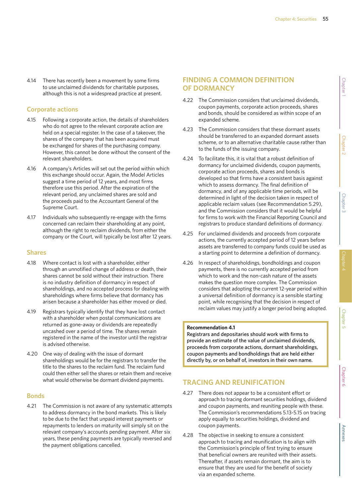4.14 There has recently been a movement by some firms to use unclaimed dividends for charitable purposes, although this is not a widespread practice at present.

# **Corporate actions**

- 4.15 Following a corporate action, the details of shareholders who do not agree to the relevant corporate action are held on a special register. In the case of a takeover, the shares of the company that has been acquired must be exchanged for shares of the purchasing company. However, this cannot be done without the consent of the relevant shareholders.
- 4.16 A company's Articles will set out the period within which this exchange should occur. Again, the Model Articles suggest a time period of 12 years, and most firms therefore use this period. After the expiration of the relevant period, any unclaimed shares are sold and the proceeds paid to the Accountant General of the Supreme Court.
- 4.17 Individuals who subsequently re-engage with the firms concerned can reclaim their shareholding at any point, although the right to reclaim dividends, from either the company or the Court, will typically be lost after 12 years.

## **Shares**

- 4.18 Where contact is lost with a shareholder, either through an unnotified change of address or death, their shares cannot be sold without their instruction. There is no industry definition of dormancy in respect of shareholdings, and no accepted process for dealing with shareholdings where firms believe that dormancy has arisen because a shareholder has either moved or died.
- 4.19 Registrars typically identify that they have lost contact with a shareholder when postal communications are returned as gone-away or dividends are repeatedly uncashed over a period of time. The shares remain registered in the name of the investor until the registrar is advised otherwise.
- 4.20 One way of dealing with the issue of dormant shareholdings would be for the registrars to transfer the title to the shares to the reclaim fund. The reclaim fund could then either sell the shares or retain them and receive what would otherwise be dormant dividend payments.

## **Bonds**

4.21 The Commission is not aware of any systematic attempts to address dormancy in the bond markets. This is likely to be due to the fact that unpaid interest payments or repayments to lenders on maturity will simply sit on the relevant company's accounts pending payment. After six years, these pending payments are typically reversed and the payment obligations cancelled.

# **FINDING A COMMON DEFINITION OF DORMANCY**

- 4.22 The Commission considers that unclaimed dividends, coupon payments, corporate action proceeds, shares and bonds, should be considered as within scope of an expanded scheme.
- 4.23 The Commission considers that these dormant assets should be transferred to an expanded dormant assets scheme, or to an alternative charitable cause rather than to the funds of the issuing company.
- 4.24 To facilitate this, it is vital that a robust definition of dormancy for unclaimed dividends, coupon payments, corporate action proceeds, shares and bonds is developed so that firms have a consistent basis against which to assess dormancy. The final definition of dormancy, and of any applicable time periods, will be determined in light of the decision taken in respect of applicable reclaim values (see Recommendation 5.29), and the Commission considers that it would be helpful for firms to work with the Financial Reporting Council and registrars to produce standard definitions of dormancy.
- 4.25 For unclaimed dividends and proceeds from corporate actions, the currently accepted period of 12 years before assets are transferred to company funds could be used as a starting point to determine a definition of dormancy.
- 4.26 In respect of shareholdings, bondholdings and coupon payments, there is no currently accepted period from which to work and the non-cash nature of the assets makes the question more complex. The Commission considers that adopting the current 12-year period within a universal definition of dormancy is a sensible starting point, while recognising that the decision in respect of reclaim values may justify a longer period being adopted.

### **Recommendation 4.1**

Registrars and depositaries should work with firms to provide an estimate of the value of unclaimed dividends, proceeds from corporate actions, dormant shareholdings, coupon payments and bondholdings that are held either directly by, or on behalf of, investors in their own name.

# **TRACING AND REUNIFICATION**

- 4.27 There does not appear to be a consistent effort or approach to tracing dormant securities holdings, dividend and coupon payments, and reuniting people with these. The Commission's recommendations 5.13-5.15 on tracing apply equally to securities holdings, dividend and coupon payments.
- 4.28 The objective in seeking to ensure a consistent approach to tracing and reunification is to align with the Commission's principle of first trying to ensure that beneficial owners are reunited with their assets. Thereafter, if assets remain dormant, the aim is to ensure that they are used for the benefit of society via an expanded scheme.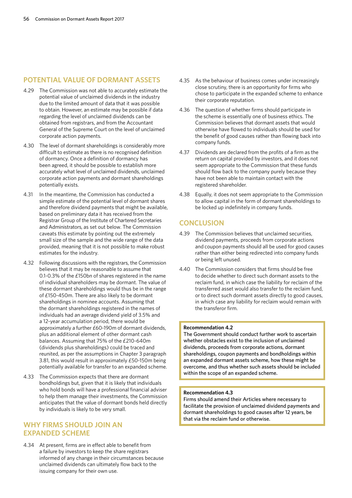## **POTENTIAL VALUE OF DORMANT ASSETS**

- 4.29 The Commission was not able to accurately estimate the potential value of unclaimed dividends in the industry due to the limited amount of data that it was possible to obtain. However, an estimate may be possible if data regarding the level of unclaimed dividends can be obtained from registrars, and from the Accountant General of the Supreme Court on the level of unclaimed corporate action payments.
- 4.30 The level of dormant shareholdings is considerably more difficult to estimate as there is no recognised definition of dormancy. Once a definition of dormancy has been agreed, it should be possible to establish more accurately what level of unclaimed dividends, unclaimed corporate action payments and dormant shareholdings potentially exists.
- 4.31 In the meantime, the Commission has conducted a simple estimate of the potential level of dormant shares and therefore dividend payments that might be available, based on preliminary data it has received from the Registrar Group of the Institute of Chartered Secretaries and Administrators, as set out below. The Commission caveats this estimate by pointing out the extremely small size of the sample and the wide range of the data provided, meaning that it is not possible to make robust estimates for the industry.
- 4.32 Following discussions with the registrars, the Commission believes that it may be reasonable to assume that 0.1-0.3% of the £150bn of shares registered in the name of individual shareholders may be dormant. The value of these dormant shareholdings would thus be in the range of £150-450m. There are also likely to be dormant shareholdings in nominee accounts. Assuming that the dormant shareholdings registered in the names of individuals had an average dividend yield of 3.5% and a 12-year accumulation period, there would be approximately a further £60-190m of dormant dividends, plus an additional element of other dormant cash balances. Assuming that 75% of the £210-640m (dividends plus shareholdings) could be traced and reunited, as per the assumptions in Chapter 3 paragraph 3.81, this would result in approximately £50-150m being potentially available for transfer to an expanded scheme.
- 4.33 The Commission expects that there are dormant bondholdings but, given that it is likely that individuals who hold bonds will have a professional financial adviser to help them manage their investments, the Commission anticipates that the value of dormant bonds held directly by individuals is likely to be very small.

# **WHY FIRMS SHOULD JOIN AN EXPANDED SCHEME**

4.34 At present, firms are in effect able to benefit from a failure by investors to keep the share registrars informed of any change in their circumstances because unclaimed dividends can ultimately flow back to the issuing company for their own use.

- 4.35 As the behaviour of business comes under increasingly close scrutiny, there is an opportunity for firms who chose to participate in the expanded scheme to enhance their corporate reputation.
- 4.36 The question of whether firms should participate in the scheme is essentially one of business ethics. The Commission believes that dormant assets that would otherwise have flowed to individuals should be used for the benefit of good causes rather than flowing back into company funds.
- 4.37 Dividends are declared from the profits of a firm as the return on capital provided by investors, and it does not seem appropriate to the Commission that these funds should flow back to the company purely because they have not been able to maintain contact with the registered shareholder.
- 4.38 Equally, it does not seem appropriate to the Commission to allow capital in the form of dormant shareholdings to be locked up indefinitely in company funds.

# **CONCLUSION**

- 4.39 The Commission believes that unclaimed securities, dividend payments, proceeds from corporate actions and coupon payments should all be used for good causes rather than either being redirected into company funds or being left unused.
- 4.40 The Commission considers that firms should be free to decide whether to direct such dormant assets to the reclaim fund, in which case the liability for reclaim of the transferred asset would also transfer to the reclaim fund, or to direct such dormant assets directly to good causes, in which case any liability for reclaim would remain with the transferor firm.

### **Recommendation 4.2**

The Government should conduct further work to ascertain whether obstacles exist to the inclusion of unclaimed dividends, proceeds from corporate actions, dormant shareholdings, coupon payments and bondholdings within an expanded dormant assets scheme, how these might be overcome, and thus whether such assets should be included within the scope of an expanded scheme.

### **Recommendation 4.3**

Firms should amend their Articles where necessary to facilitate the provision of unclaimed dividend payments and dormant shareholdings to good causes after 12 years, be that via the reclaim fund or otherwise.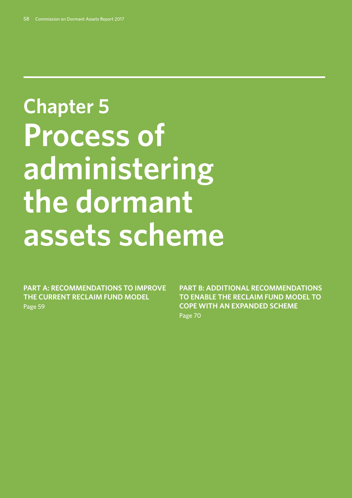# **Chapter 5: Process of administering the dormant assets scheme**

**PART A: RECOMMENDATIONS TO IMPROVE THE CURRENT RECLAIM FUND MODEL** Page 59

**PART B: ADDITIONAL RECOMMENDATIONS TO ENABLE THE RECLAIM FUND MODEL TO COPE WITH AN EXPANDED SCHEME** Page 70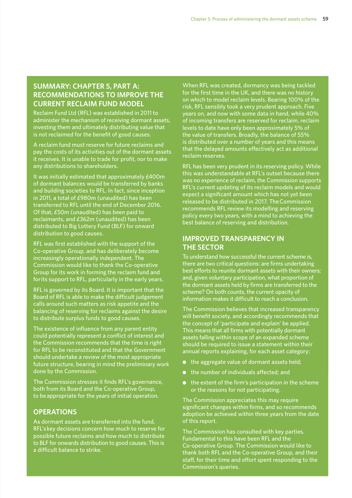# **SUMMARY: CHAPTER 5, PART A: RECOMMENDATIONS TO IMPROVE THE CURRENT RECLAIM FUND MODEL**

Reclaim Fund Ltd (RFL) was established in 2011 to administer the mechanism of receiving dormant assets, investing them and ultimately distributing value that is not reclaimed for the benefit of good causes.

A reclaim fund must reserve for future reclaims and pay the costs of its activities out of the dormant assets it receives. It is unable to trade for profit, nor to make any distributions to shareholders.

It was initially estimated that approximately £400m of dormant balances would be transferred by banks and building societies to RFL. In fact, since inception in 2011, a total of £980m (unaudited) has been transferred to RFL until the end of December 2016. Of that, £50m (unaudited) has been paid to reclaimants, and £362m (unaudited) has been distributed to Big Lottery Fund (BLF) for onward distribution to good causes.

RFL was first established with the support of the Co-operative Group, and has deliberately become increasingly operationally independent. The Commission would like to thank the Co-operative Group for its work in forming the reclaim fund and for its support to RFL, particularly in the early years.

RFL is governed by its Board. It is important that the Board of RFL is able to make the difficult judgement calls around such matters as risk appetite and the balancing of reserving for reclaims against the desire to distribute surplus funds to good causes.

The existence of influence from any parent entity could potentially represent a conflict of interest and the Commission recommends that the time is right for RFL to be reconstituted and that the Government should undertake a review of the most appropriate future structure, bearing in mind the preliminary work done by the Commission.

The Commission stresses it finds RFL's governance, both from its Board and the Co-operative Group, to be appropriate for the years of initial operation.

# **OPERATIONS**

As dormant assets are transferred into the fund, RFL's key decisions concern how much to reserve for possible future reclaims and how much to distribute to BLF for onwards distribution to good causes. This is a difficult balance to strike.

When RFL was created, dormancy was being tackled for the first time in the UK, and there was no history on which to model reclaim levels. Bearing 100% of the risk, RFL sensibly took a very prudent approach. Five years on, and now with some data in hand, while 40% of incoming transfers are reserved for reclaim, reclaim levels to date have only been approximately 5% of the value of transfers. Broadly, the balance of 55% is distributed over a number of years and this means that the delayed amounts effectively act as additional reclaim reserves.

RFL has been very prudent in its reserving policy. While this was understandable at RFL's outset because there was no experience of reclaim, the Commission supports RFL's current updating of its reclaim models and would expect a significant amount which has not yet been released to be distributed in 2017. The Commission recommends RFL review its modelling and reserving policy every two years, with a mind to achieving the best balance of reserving and distribution.

# **IMPROVED TRANSPARENCY IN THE SECTOR**

To understand how successful the current scheme is, there are two critical questions: are firms undertaking best efforts to reunite dormant assets with their owners; and, given voluntary participation, what proportion of the dormant assets held by firms are transferred to the scheme? On both counts, the current opacity of information makes it difficult to reach a conclusion.

The Commission believes that increased transparency will benefit society, and accordingly recommends that the concept of 'participate and explain' be applied. This means that all firms with potentially dormant assets falling within scope of an expanded scheme should be required to issue a statement within their annual reports explaining, for each asset category:

- the aggregate value of dormant assets held;
- the number of individuals affected; and
- the extent of the firm's participation in the scheme or the reasons for not participating.

The Commission appreciates this may require significant changes within firms, and so recommends adoption be achieved within three years from the date of this report.

The Commission has consulted with key parties. Fundamental to this have been RFL and the Co-operative Group. The Commission would like to thank both RFL and the Co-operative Group, and their staff, for their time and effort spent responding to the Commission's queries.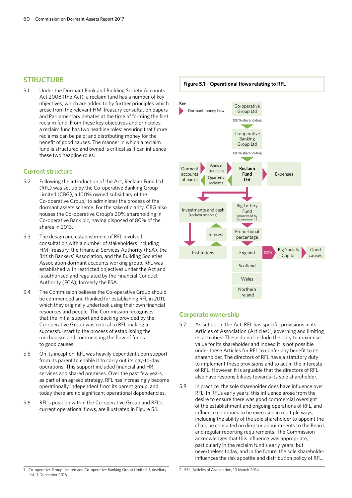## **STRUCTURE**

5.1 Under the Dormant Bank and Building Society Accounts Act 2008 (the Act), a reclaim fund has a number of key objectives, which are added to by further principles which arose from the relevant HM Treasury consultation papers and Parliamentary debates at the time of forming the first reclaim fund. From these key objectives and principles, a reclaim fund has two headline roles: ensuring that future reclaims can be paid; and distributing money for the benefit of good causes. The manner in which a reclaim fund is structured and owned is critical as it can influence these two headline roles.

## **Current structure**

- 5.2 Following the introduction of the Act, Reclaim Fund Ltd (RFL) was set up by the Co-operative Banking Group Limited (CBG), a 100% owned subsidiary of the Co-operative Group, $1$  to administer the process of the dormant assets scheme. For the sake of clarity, CBG also houses the Co-operative Group's 20% shareholding in Co-operative Bank plc, having disposed of 80% of the shares in 2013.
- 5.3 The design and establishment of RFL involved consultation with a number of stakeholders including HM Treasury, the Financial Services Authority (FSA), the British Bankers' Association, and the Building Societies Association dormant accounts working group. RFL was established with restricted objectives under the Act and is authorised and regulated by the Financial Conduct Authority (FCA), formerly the FSA.
- 5.4 The Commission believes the Co-operative Group should be commended and thanked for establishing RFL in 2011, which they originally undertook using their own financial resources and people. The Commission recognises that the initial support and backing provided by the Co-operative Group was critical to RFL making a successful start to the process of establishing the mechanism and commencing the flow of funds to good causes.
- 5.5 On its inception, RFL was heavily dependent upon support from its parent to enable it to carry out its day-to-day operations. This support included financial and HR services and shared premises. Over the past few years, as part of an agreed strategy, RFL has increasingly become operationally independent from its parent group, and today there are no significant operational dependencies.
- 5.6 RFL's position within the Co-operative Group and RFL's current operational flows, are illustrated in Figure 5.1.



## **Corporate ownership**

- 5.7 As set out in the Act, RFL has specific provisions in its Articles of Association (Articles)<sup>2</sup>, governing and limiting its activities. These do not include the duty to maximise value for its shareholder and indeed it is not possible under these Articles for RFL to confer any benefit to its shareholder. The directors of RFL have a statutory duty to implement these provisions and to act in the interests of RFL. However, it is arguable that the directors of RFL also have responsibilities towards its sole shareholder.
- 5.8 In practice, the sole shareholder does have influence over RFL. In RFL's early years, this influence arose from the desire to ensure there was good commercial oversight of the establishment and ongoing operations of RFL, and influence continues to be exercised in multiple ways, including the ability of the sole shareholder to appoint the chair, be consulted on director appointments to the Board, and regular reporting requirements. The Commission acknowledges that this influence was appropriate, particularly in the reclaim fund's early years, but nevertheless today, and in the future, the sole shareholder influences the risk appetite and distribution policy of RFL.

<sup>2</sup> RFL, Articles of Association, 10 March 2014 1 Co-operative Group Limited and Co-operative Banking Group Limited, Subsidiary List, 7 December 2016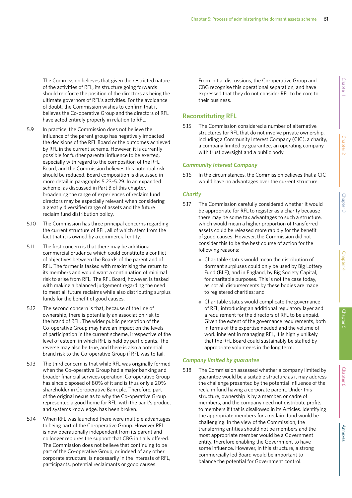The Commission believes that given the restricted nature of the activities of RFL, its structure going forwards should reinforce the position of the directors as being the ultimate governors of RFL's activities. For the avoidance of doubt, the Commission wishes to confirm that it believes the Co-operative Group and the directors of RFL have acted entirely properly in relation to RFL.

- 5.9 In practice, the Commission does not believe the influence of the parent group has negatively impacted the decisions of the RFL Board or the outcomes achieved by RFL in the current scheme. However, it is currently possible for further parental influence to be exerted, especially with regard to the composition of the RFL Board, and the Commission believes this potential risk should be reduced. Board composition is discussed in more detail in paragraphs 5.23–5.29. In an expanded scheme, as discussed in Part B of this chapter, broadening the range of experiences of reclaim fund directors may be especially relevant when considering a greatly diversified range of assets and the future reclaim fund distribution policy.
- 5.10 The Commission has three principal concerns regarding the current structure of RFL, all of which stem from the fact that it is owned by a commercial entity.
- 5.11 The first concern is that there may be additional commercial prudence which could constitute a conflict of objectives between the Boards of the parent and of RFL. The former is tasked with maximising the return to its members and would want a continuation of minimal risk to arise from RFL. The RFL Board, however, is tasked with making a balanced judgement regarding the need to meet all future reclaims while also distributing surplus funds for the benefit of good causes.
- 5.12 The second concern is that, because of the line of ownership, there is potentially an association risk to the brand of RFL. The wider public perception of the Co-operative Group may have an impact on the levels of participation in the current scheme, irrespective of the level of esteem in which RFL is held by participants. The reverse may also be true, and there is also a potential brand risk to the Co-operative Group if RFL was to fail.
- 5.13 The third concern is that while RFL was originally formed when the Co-operative Group had a major banking and broader financial services operation, Co-operative Group has since disposed of 80% of it and is thus only a 20% shareholder in Co-operative Bank plc. Therefore, part of the original nexus as to why the Co-operative Group represented a good home for RFL, with the bank's product and systems knowledge, has been broken.
- 5.14 When RFL was launched there were multiple advantages to being part of the Co-operative Group. However RFL is now operationally independent from its parent and no longer requires the support that CBG initially offered. The Commission does not believe that continuing to be part of the Co-operative Group, or indeed of any other corporate structure, is necessarily in the interests of RFL, participants, potential reclaimants or good causes.

From initial discussions, the Co-operative Group and CBG recognise this operational separation, and have expressed that they do not consider RFL to be core to their business.

## **Reconstituting RFL**

5.15 The Commission considered a number of alternative structures for RFL that do not involve private ownership, including a Community Interest Company (CIC), a charity, a company limited by guarantee, an operating company with trust oversight and a public body.

### *Community Interest Company*

5.16 In the circumstances, the Commission believes that a CIC would have no advantages over the current structure.

## *Charity*

- 5.17 The Commission carefully considered whether it would be appropriate for RFL to register as a charity because there may be some tax advantages to such a structure, which would mean a higher proportion of transferred assets could be released more rapidly for the benefit of good causes. However, the Commission did not consider this to be the best course of action for the following reasons:
	- Charitable status would mean the distribution of dormant surpluses could only be used by Big Lottery Fund (BLF), and in England, by Big Society Capital, for charitable purposes. This is not the case today, as not all disbursements by these bodies are made to registered charities; and
	- Charitable status would complicate the governance of RFL, introducing an additional regulatory layer and a requirement for the directors of RFL to be unpaid. Given the extent of the governance requirements, both in terms of the expertise needed and the volume of work inherent in managing RFL, it is highly unlikely that the RFL Board could sustainably be staffed by appropriate volunteers in the long term.

### *Company limited by guarantee*

5.18 The Commission assessed whether a company limited by guarantee would be a suitable structure as it may address the challenge presented by the potential influence of the reclaim fund having a corporate parent. Under this structure, ownership is by a member, or cadre of members, and the company need not distribute profits to members if that is disallowed in its Articles. Identifying the appropriate members for a reclaim fund would be challenging. In the view of the Commission, the transferring entities should not be members and the most appropriate member would be a Government entity, therefore enabling the Government to have some influence. However, in this structure, a strong commercially led Board would be important to balance the potential for Government control.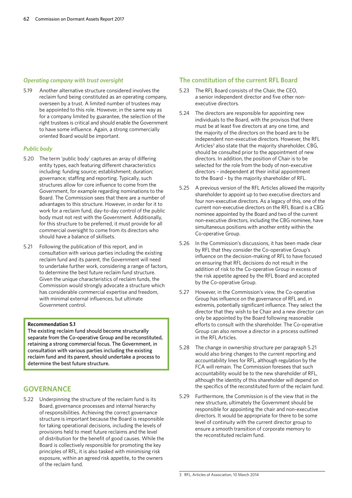## *Operating company with trust oversight*

5.19 Another alternative structure considered involves the reclaim fund being constituted as an operating company, overseen by a trust. A limited number of trustees may be appointed to this role. However, in the same way as for a company limited by guarantee, the selection of the right trustees is critical and should enable the Government to have some influence. Again, a strong commercially oriented Board would be important.

## *Public body*

- 5.20 The term 'public body' captures an array of differing entity types, each featuring different characteristics including: funding source; establishment; duration; governance; staffing and reporting. Typically, such structures allow for core influence to come from the Government, for example regarding nominations to the Board. The Commission sees that there are a number of advantages to this structure. However, in order for it to work for a reclaim fund, day-to-day control of the public body must not rest with the Government. Additionally, for this structure to be preferred, it must provide for all commercial oversight to come from its directors who should have a balance of skillsets.
- 5.21 Following the publication of this report, and in consultation with various parties including the existing reclaim fund and its parent, the Government will need to undertake further work, considering a range of factors, to determine the best future reclaim fund structure. Given the unique characteristics of reclaim funds, the Commission would strongly advocate a structure which has considerable commercial expertise and freedom, with minimal external influences, but ultimate Government control.

## **Recommendation 5.1**

The existing reclaim fund should become structurally separate from the Co-operative Group and be reconstituted, retaining a strong commercial focus. The Government, in consultation with various parties including the existing reclaim fund and its parent, should undertake a process to determine the best future structure.

# **GOVERNANCE**

5.22 Underpinning the structure of the reclaim fund is its Board, governance processes and internal hierarchy of responsibilities. Achieving the correct governance structure is important because the Board is responsible for taking operational decisions, including the levels of provisions held to meet future reclaims and the level of distribution for the benefit of good causes. While the Board is collectively responsible for promoting the key principles of RFL, it is also tasked with minimising risk exposure, within an agreed risk appetite, to the owners of the reclaim fund.

## **The constitution of the current RFL Board**

- 5.23 The RFL Board consists of the Chair, the CEO, a senior independent director and five other nonexecutive directors.
- 5.24 The directors are responsible for appointing new individuals to the Board, with the provisos that there must be at least five directors at any one time, and the majority of the directors on the board are to be independent non-executive directors. However, the RFL Articles<sup>3</sup> also state that the majority shareholder, CBG, should be consulted prior to the appointment of new directors. In addition, the position of Chair is to be selected for the role from the body of non-executive directors – independent at their initial appointment to the Board – by the majority shareholder of RFL.
- 5.25 A previous version of the RFL Articles allowed the majority shareholder to appoint up to two executive directors and four non-executive directors. As a legacy of this, one of the current non-executive directors on the RFL Board is a CBG nominee appointed by the Board and two of the current non-executive directors, including the CBG nominee, have simultaneous positions with another entity within the Co-operative Group.
- 5.26 In the Commission's discussions, it has been made clear by RFL that they consider the Co-operative Group's influence on the decision-making of RFL to have focused on ensuring that RFL decisions do not result in the addition of risk to the Co-operative Group in excess of the risk appetite agreed by the RFL Board and accepted by the Co-operative Group.
- 5.27 However, in the Commission's view, the Co-operative Group has influence on the governance of RFL and, in extremis, potentially significant influence. They select the director that they wish to be Chair and a new director can only be appointed by the Board following reasonable efforts to consult with the shareholder. The Co-operative Group can also remove a director in a process outlined in the RFL Articles.
- 5.28 The change in ownership structure per paragraph 5.21 would also bring changes to the current reporting and accountability lines for RFL, although regulation by the FCA will remain. The Commission foresees that such accountability would be to the new shareholder of RFL, although the identity of this shareholder will depend on the specifics of the reconstituted form of the reclaim fund.
- 5.29 Furthermore, the Commission is of the view that in the new structure, ultimately the Government should be responsible for appointing the chair and non-executive directors. It would be appropriate for there to be some level of continuity with the current director group to ensure a smooth transition of corporate memory to the reconstituted reclaim fund.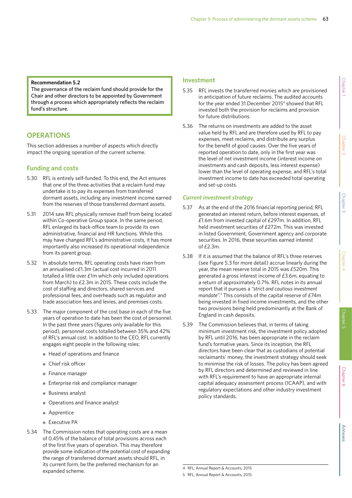#### **Recommendation 5.2**

The governance of the reclaim fund should provide for the Chair and other directors to be appointed by Government through a process which appropriately reflects the reclaim fund's structure.

# **OPERATIONS**

This section addresses a number of aspects which directly impact the ongoing operation of the current scheme.

## **Funding and costs**

- 5.30 RFL is entirely self-funded. To this end, the Act ensures that one of the three activities that a reclaim fund may undertake is to pay its expenses from transferred dormant assets, including any investment income earned from the reserves of those transferred dormant assets.
- 5.31 2014 saw RFL physically remove itself from being located within Co-operative Group space. In the same period, RFL enlarged its back-office team to provide its own administrative, financial and HR functions. While this may have changed RFL's administrative costs, it has more importantly also increased its operational independence from its parent group.
- 5.32 In absolute terms, RFL operating costs have risen from an annualised c£1.3m (actual cost incurred in 2011 totalled a little over £1m which only included operations from March) to £2.3m in 2015. These costs include the cost of staffing and directors, shared services and professional fees, and overheads such as regulator and trade association fees and levies, and premises costs.
- 5.33 The major component of the cost base in each of the five years of operation to date has been the cost of personnel. In the past three years (figures only available for this period), personnel costs totalled between 35% and 42% of RFL's annual cost. In addition to the CEO, RFL currently engages eight people in the following roles:
	- Head of operations and finance
	- Chief risk officer
	- Finance manager
	- Enterprise risk and compliance manager
	- Business analyst
	- Operations and finance analyst
	- Apprentice
	- Executive PA
- 5.34 The Commission notes that operating costs are a mean of 0.45% of the balance of total provisions across each of the first five years of operation. This may therefore provide some indication of the potential cost of expanding the range of transferred dormant assets should RFL, in its current form, be the preferred mechanism for an expanded scheme.

## **Investment**

- 5.35 RFL invests the transferred monies which are provisioned in anticipation of future reclaims. The audited accounts for the year ended 31 December 20154 showed that RFL invested both the provision for reclaims and provision for future distributions.
- 5.36 The returns on investments are added to the asset value held by RFL and are therefore used by RFL to pay expenses, meet reclaims, and distribute any surplus for the benefit of good causes. Over the five years of reported operation to date, only in the first year was the level of net investment income (interest income on investments and cash deposits, less interest expense) lower than the level of operating expense, and RFL's total investment income to date has exceeded total operating and set-up costs.

## *Current investment strategy*

- 5.37 As at the end of the 2016 financial reporting period, RFL generated an interest return, before interest expenses, of £1.6m from invested capital of £297m. In addition, RFL held investment securities of £272m. This was invested in listed Government, Government agency and corporate securities. In 2016, these securities earned interest of  $f2.3m$ .
- 5.38 If it is assumed that the balance of RFL's three reserves (see Figure 5.3 for more detail) accrue linearly during the year, the mean reserve total in 2015 was £520m. This generated a gross interest income of £3.6m, equating to a return of approximately 0.7%. RFL notes in its annual report that it pursues a *"strict and cautious investment mandate".5* This consists of the capital reserve of £74m being invested in fixed income investments, and the other two provisions being held predominantly at the Bank of England in cash deposits.
- 5.39 The Commission believes that, in terms of taking minimum investment risk, the investment policy adopted by RFL until 2016, has been appropriate in the reclaim fund's formative years. Since its inception, the RFL directors have been clear that as custodians of potential reclaimants' money, the investment strategy should seek to minimise the risk of losses. The policy has been agreed by RFL directors and determined and reviewed in line with RFL's requirement to have an appropriate internal capital adequacy assessment process (ICAAP), and with regulatory expectations and other industry investment policy standards.

Chapter 5

<sup>5</sup> RFL, Annual Report & Accounts, 2015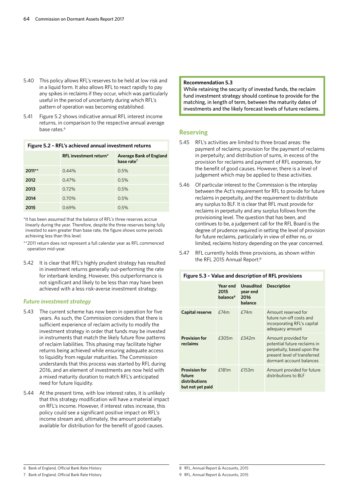- 5.40 This policy allows RFL's reserves to be held at low risk and in a liquid form. It also allows RFL to react rapidly to pay any spikes in reclaims if they occur, which was particularly useful in the period of uncertainty during which RFL's pattern of operation was becoming established.
- 5.41 Figure 5.2 shows indicative annual RFL interest income returns, in comparison to the respective annual average base rates.<sup>6</sup>

| Figure 5.2 - RFL's achieved annual investment returns |                        |                                                          |  |  |
|-------------------------------------------------------|------------------------|----------------------------------------------------------|--|--|
|                                                       | RFL investment return* | <b>Average Bank of England</b><br>base rate <sup>7</sup> |  |  |
| $2011**$                                              | 0.44%                  | 0.5%                                                     |  |  |
| 2012                                                  | 0.47%                  | 0.5%                                                     |  |  |
| 2013                                                  | 0.72%                  | 0.5%                                                     |  |  |
| 2014                                                  | $0.70\%$               | $0.5\%$                                                  |  |  |

\*It has been assumed that the balance of RFL's three reserves accrue linearly during the year. Therefore, despite the three reserves being fully invested to earn greater than base rate, the figure shows some periods achieving less than this level.

**2015** 0.69% 0.5%

- \*\*2011 return does not represent a full calendar year as RFL commenced operation mid-year.
- 5.42 It is clear that RFL's highly prudent strategy has resulted in investment returns generally out-performing the rate for interbank lending. However, this outperformance is not significant and likely to be less than may have been achieved with a less risk-averse investment strategy.

### *Future investment strategy*

- 5.43 The current scheme has now been in operation for five years. As such, the Commission considers that there is sufficient experience of reclaim activity to modify the investment strategy in order that funds may be invested in instruments that match the likely future flow patterns of reclaim liabilities. This phasing may facilitate higher returns being achieved while ensuring adequate access to liquidity from regular maturities. The Commission understands that this process was started by RFL during 2016, and an element of investments are now held with a mixed maturity duration to match RFL's anticipated need for future liquidity.
- 5.44 At the present time, with low interest rates, it is unlikely that this strategy modification will have a material impact on RFL's income. However, if interest rates increase, this policy could see a significant positive impact on RFL's income stream and, ultimately, the amount potentially available for distribution for the benefit of good causes.

#### **Recommendation 5.3**

While retaining the security of invested funds, the reclaim fund investment strategy should continue to provide for the matching, in length of term, between the maturity dates of investments and the likely forecast levels of future reclaims.

## **Reserving**

- 5.45 RFL's activities are limited to three broad areas: the payment of reclaims; provision for the payment of reclaims in perpetuity; and distribution of sums, in excess of the provision for reclaims and payment of RFL expenses, for the benefit of good causes. However, there is a level of judgement which may be applied to these activities.
- 5.46 Of particular interest to the Commission is the interplay between the Act's requirement for RFL to provide for future reclaims in perpetuity, and the requirement to distribute any surplus to BLF. It is clear that RFL must provide for reclaims in perpetuity and any surplus follows from the provisioning level. The question that has been, and continues to be, a judgement call for the RFL Board is the degree of prudence required in setting the level of provision for future reclaims, particularly in view of either no, or limited, reclaims history depending on the year concerned.
- 5.47 RFL currently holds three provisions, as shown within the RFL 2015 Annual Report:<sup>8</sup>

| Figure 5.3 - Value and description of RFL provisions                |                                          |                                                 |                                                                                                                                               |  |
|---------------------------------------------------------------------|------------------------------------------|-------------------------------------------------|-----------------------------------------------------------------------------------------------------------------------------------------------|--|
|                                                                     | Year end<br>2015<br>balance <sup>9</sup> | <b>Unaudited</b><br>year end<br>2016<br>balance | <b>Description</b>                                                                                                                            |  |
| <b>Capital reserve</b>                                              | E74m                                     | E74m                                            | Amount reserved for<br>future run-off costs and<br>incorporating RFL's capital<br>adeguacy amount                                             |  |
| <b>Provision for</b><br>reclaims                                    | £305m                                    | £342m                                           | Amount provided for<br>potential future reclaims in<br>perpetuity, based upon the<br>present level of transferred<br>dormant account balances |  |
| <b>Provision for</b><br>future<br>distributions<br>but not yet paid | £181m                                    | £153m                                           | Amount provided for future<br>distributions to BLF                                                                                            |  |

## 6 Bank of England, Official Bank Rate History

<sup>7</sup> Bank of England, Official Bank Rate History

<sup>8</sup> RFL, Annual Report & Accounts, 2015

<sup>9</sup> RFL, Annual Report & Accounts, 2015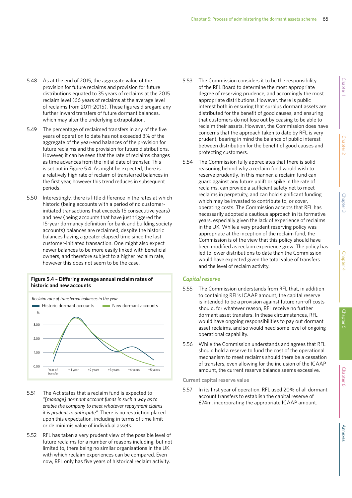- 5.48 As at the end of 2015, the aggregate value of the provision for future reclaims and provision for future distributions equated to 35 years of reclaims at the 2015 reclaim level (66 years of reclaims at the average level of reclaims from 2011–2015). These figures disregard any further inward transfers of future dormant balances, which may alter the underlying extrapolation.
- 5.49 The percentage of reclaimed transfers in any of the five years of operation to date has not exceeded 3% of the aggregate of the year-end balances of the provision for future reclaims and the provision for future distributions. However, it can be seen that the rate of reclaims changes as time advances from the initial date of transfer. This is set out in Figure 5.4. As might be expected, there is a relatively high rate of reclaim of transferred balances in the first year, however this trend reduces in subsequent periods.
- 5.50 Interestingly, there is little difference in the rates at which historic (being accounts with a period of no customerinitiated transactions that exceeds 15 consecutive years) and new (being accounts that have just triggered the 15-year dormancy definition for bank and building society accounts) balances are reclaimed, despite the historic balances having a greater elapsed time since the last customer-initiated transaction. One might also expect newer balances to be more easily linked with beneficial owners, and therefore subject to a higher reclaim rate, however this does not seem to be the case.

## **Figure 5.4 – Differing average annual reclaim rates of historic and new accounts**



- 5.51 The Act states that a reclaim fund is expected to *"[manage] dormant account funds in such a way as to enable the company to meet whatever repayment claims it is prudent to anticipate".* There is no restriction placed upon this expectation, including in terms of time limit or de minimis value of individual assets.
- 5.52 RFL has taken a very prudent view of the possible level of future reclaims for a number of reasons including, but not limited to, there being no similar organisations in the UK with which reclaim experiences can be compared. Even now, RFL only has five years of historical reclaim activity.
- 5.53 The Commission considers it to be the responsibility of the RFL Board to determine the most appropriate degree of reserving prudence, and accordingly the most appropriate distributions. However, there is public interest both in ensuring that surplus dormant assets are distributed for the benefit of good causes, and ensuring that customers do not lose out by ceasing to be able to reclaim their assets. However, the Commission does have concerns that the approach taken to date by RFL is very prudent, bearing in mind the balance of public interest between distribution for the benefit of good causes and protecting customers.
- 5.54 The Commission fully appreciates that there is solid reasoning behind why a reclaim fund would wish to reserve prudently. In this manner, a reclaim fund can guard against any future uplift or spike in the rate of reclaims, can provide a sufficient safety net to meet reclaims in perpetuity, and can hold significant funding which may be invested to contribute to, or cover, operating costs. The Commission accepts that RFL has necessarily adopted a cautious approach in its formative years, especially given the lack of experience of reclaims in the UK. While a very prudent reserving policy was appropriate at the inception of the reclaim fund, the Commission is of the view that this policy should have been modified as reclaim experience grew. The policy has led to lower distributions to date than the Commission would have expected given the total value of transfers and the level of reclaim activity.

## *Capital reserve*

- 5.55 The Commission understands from RFL that, in addition to containing RFL's ICAAP amount, the capital reserve is intended to be a provision against future run-off costs should, for whatever reason, RFL receive no further dormant asset transfers. In these circumstances, RFL would have ongoing responsibilities to pay out dormant asset reclaims, and so would need some level of ongoing operational capability.
- 5.56 While the Commission understands and agrees that RFL should hold a reserve to fund the cost of the operational mechanism to meet reclaims should there be a cessation of transfers, even allowing for the inclusion of the ICAAP amount, the current reserve balance seems excessive.

**Current capital reserve value**

5.57 In its first year of operation, RFL used 20% of all dormant account transfers to establish the capital reserve of £74m, incorporating the appropriate ICAAP amount.

Chapter 6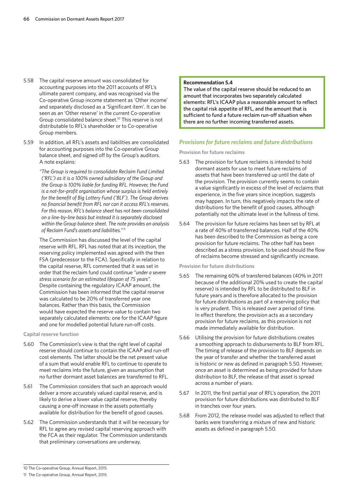- 5.58 The capital reserve amount was consolidated for accounting purposes into the 2011 accounts of RFL's ultimate parent company, and was recognised via the Co-operative Group income statement as 'Other income' and separately disclosed as a 'Significant item'. It can be seen as an 'Other reserve' in the current Co-operative Group consolidated balance sheet.10 This reserve is not distributable to RFL's shareholder or to Co-operative Group members.
- 5.59 In addition, all RFL's assets and liabilities are consolidated for accounting purposes into the Co-operative Group balance sheet, and signed off by the Group's auditors. A note explains:

*"The Group is required to consolidate Reclaim Fund Limited ('RFL') as it is a 100% owned subsidiary of the Group and the Group is 100% liable for funding RFL. However, the Fund is a not-for-profit organisation whose surplus is held entirely for the benefit of Big Lottery Fund ('BLF'). The Group derives no financial benefit from RFL nor can it access RFL's reserves. For this reason, RFL's balance sheet has not been consolidated on a line-by-line basis but instead it is separately disclosed within the Group balance sheet. The note provides an analysis of Reclaim Fund's assets and liabilities."11*

The Commission has discussed the level of the capital reserve with RFL. RFL has noted that at its inception, the reserving policy implemented was agreed with the then FSA (predecessor to the FCA). Specifically in relation to the capital reserve, RFL commented that it was set in order that the reclaim fund could continue *"under a severe stress scenario for an estimated lifespan of 75 years".*  Despite containing the regulatory ICAAP amount, the Commission has been informed that the capital reserve was calculated to be 20% of transferred year one balances. Rather than this basis, the Commission would have expected the reserve value to contain two separately calculated elements: one for the ICAAP figure and one for modelled potential future run-off costs.

#### **Capital reserve function**

- 5.60 The Commission's view is that the right level of capital reserve should continue to contain the ICAAP and run-off cost elements. The latter should be the net present value of a sum that would enable RFL to continue to operate to meet reclaims into the future, given an assumption that no further dormant asset balances are transferred to RFL.
- 5.61 The Commission considers that such an approach would deliver a more accurately valued capital reserve, and is likely to derive a lower value capital reserve, thereby causing a one-off increase in the assets potentially available for distribution for the benefit of good causes.
- 5.62 The Commission understands that it will be necessary for RFL to agree any revised capital reserving approach with the FCA as their regulator. The Commission understands that preliminary conversations are underway.

#### **Recommendation 5.4**

The value of the capital reserve should be reduced to an amount that incorporates two separately calculated elements: RFL's ICAAP plus a reasonable amount to reflect the capital risk appetite of RFL, and the amount that is sufficient to fund a future reclaim run-off situation when there are no further incoming transferred assets.

## *Provisions for future reclaims and future distributions*

**Provision for future reclaims**

- 5.63 The provision for future reclaims is intended to hold dormant assets for use to meet future reclaims of assets that have been transferred up until the date of the provision. The provision currently seems to contain a value significantly in excess of the level of reclaims that experience, in the five years since inception, suggests may happen. In turn, this negatively impacts the rate of distributions for the benefit of good causes, although potentially not the ultimate level in the fullness of time.
- 5.64 The provision for future reclaims has been set by RFL at a rate of 40% of transferred balances. Half of the 40% has been described to the Commission as being a core provision for future reclaims. The other half has been described as a stress provision, to be used should the flow of reclaims become stressed and significantly increase.

**Provision for future distributions**

- 5.65 The remaining 60% of transferred balances (40% in 2011 because of the additional 20% used to create the capital reserve) is intended by RFL to be distributed to BLF in future years and is therefore allocated to the provision for future distributions as part of a reserving policy that is very prudent. This is released over a period of time. In effect therefore, the provision acts as a secondary provision for future reclaims, as this provision is not made immediately available for distribution.
- 5.66 Utilising the provision for future distributions creates a smoothing approach to disbursements to BLF from RFL. The timing of release of the provision to BLF depends on the year of transfer and whether the transferred asset is historic or new as defined in paragraph 5.50. However, once an asset is determined as being provided for future distribution to BLF, the release of that asset is spread across a number of years.
- 5.67 In 2011, the first partial year of RFL's operation, the 2011 provision for future distributions was distributed to BLF in tranches over four years.
- 5.68 From 2012, the release model was adjusted to reflect that banks were transferring a mixture of new and historic assets as defined in paragraph 5.50.

<sup>10</sup> The Co-operative Group, Annual Report, 2015

<sup>11</sup> The Co-operative Group, Annual Report, 2015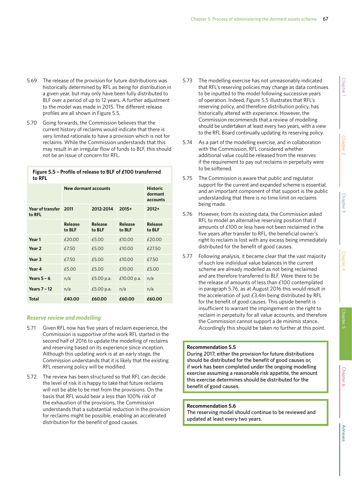- 5.69 The release of the provision for future distributions was historically determined by RFL as being for distribution in a given year, but may only have been fully distributed to BLF over a period of up to 12 years. A further adjustment to the model was made in 2015. The different release profiles are all shown in Figure 5.5.
- 5.70 Going forwards, the Commission believes that the current history of reclaims would indicate that there is very limited rationale to have a provision which is not for reclaims. While the Commission understands that this may result in an irregular flow of funds to BLF, this should not be an issue of concern for RFL.

| Figure 5.5 - Profile of release to BLF of £100 transferred |
|------------------------------------------------------------|
| to RFL                                                     |

|                            | New dormant accounts         | <b>Historic</b><br>dormant<br>accounts |                   |                          |
|----------------------------|------------------------------|----------------------------------------|-------------------|--------------------------|
| Year of transfer<br>to RFL | 2011<br>2012-2014<br>$2015+$ |                                        |                   | $2012+$                  |
|                            | <b>Release</b><br>to BLF     | Release<br>to BLF                      | Release<br>to BLF | <b>Release</b><br>to BLF |
| Year 1                     | £20.00                       | £5.00                                  | £10.00            | £20.00                   |
| Year <sub>2</sub>          | £7.50                        | £5.00                                  | £10.00            | £27.50                   |
| Year <sub>3</sub>          | £7.50                        | £5.00                                  | £10.00            | £7.50                    |
| Year 4                     | £5.00                        | £5.00                                  | £10.00            | £5.00                    |
| Years $5 - 6$              | n/a                          | £5.00 p.a.                             | £10.00 p.a.       | n/a                      |
| <b>Years 7 - 12</b>        | n/a                          | £5.00 p.a.                             | n/a               | n/a                      |
| <b>Total</b>               | £40.00                       | £60.00                                 | £60.00            | £60.00                   |

### *Reserve review and modelling*

- 5.71 Given RFL now has five years of reclaim experience, the Commission is supportive of the work RFL started in the second half of 2016 to update the modelling of reclaims and reserving based on its experience since inception. Although this updating work is at an early stage, the Commission understands that it is likely that the existing RFL reserving policy will be modified.
- 5.72 The review has been structured so that RFL can decide the level of risk it is happy to take that future reclaims will not be able to be met from the provisions. On the basis that RFL would bear a less than 100% risk of the exhaustion of the provisions, the Commission understands that a substantial reduction in the provision for reclaims might be possible, enabling an accelerated distribution for the benefit of good causes.
- 5.73 The modelling exercise has not unreasonably indicated that RFL's reserving policies may change as data continues to be inputted to the model following successive years of operation. Indeed, Figure 5.5 illustrates that RFL's reserving policy, and therefore distribution policy, has historically altered with experience. However, the Commission recommends that a review of modelling should be undertaken at least every two years, with a view to the RFL Board continually updating its reserving policy.
- 5.74 As a part of the modelling exercise, and in collaboration with the Commission, RFL considered whether additional value could be released from the reserves if the requirement to pay out reclaims in perpetuity were to be softened.
- 5.75 The Commission is aware that public and regulator support for the current and expanded scheme is essential, and an important component of that support is the public understanding that there is no time limit on reclaims being made.
- 5.76 However, from its existing data, the Commission asked RFL to model an alternative reserving position that if amounts of £100 or less have not been reclaimed in the five years after transfer to RFL, the beneficial owner's right to reclaim is lost with any excess being immediately distributed for the benefit of good causes.
- 5.77 Following analysis, it became clear that the vast majority of such low individual value balances in the current scheme are already modelled as not being reclaimed and are therefore transferred to BLF. Were there to be the release of amounts of less than £100 contemplated in paragraph 5.76, as at August 2016 this would result in the acceleration of just £3.4m being distributed by RFL for the benefit of good causes. This upside benefit is insufficient to warrant the impingement on the right to reclaim in perpetuity for all value accounts, and therefore the Commission cannot support a de minimis stance. Accordingly this should be taken no further at this point.

## **Recommendation 5.5**

During 2017, either the provision for future distributions should be distributed for the benefit of good causes or, if work has been completed under the ongoing modelling exercise assuming a reasonable risk appetite, the amount this exercise determines should be distributed for the benefit of good causes.

### **Recommendation 5.6**

The reserving model should continue to be reviewed and updated at least every two years.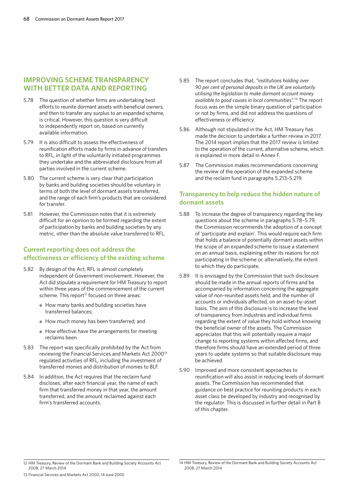# **IMPROVING SCHEME TRANSPARENCY WITH BETTER DATA AND REPORTING**

- 5.78 The question of whether firms are undertaking best efforts to reunite dormant assets with beneficial owners, and then to transfer any surplus to an expanded scheme, is critical. However, this question is very difficult to independently report on, based on currently available information.
- 5.79 It is also difficult to assess the effectiveness of reunification efforts made by firms in advance of transfers to RFL, in light of the voluntarily initiated programmes they undertake and the abbreviated disclosure from all parties involved in the current scheme.
- 5.80 The current scheme is very clear that participation by banks and building societies should be voluntary in terms of both the level of dormant assets transferred, and the range of each firm's products that are considered for transfer.
- 5.81 However, the Commission notes that it is extremely difficult for an opinion to be formed regarding the extent of participation by banks and building societies by any metric, other than the absolute value transferred to RFL.

# **Current reporting does not address the effectiveness or efficiency of the existing scheme**

- 5.82 By design of the Act, RFL is almost completely independent of Government involvement. However, the Act did stipulate a requirement for HM Treasury to report within three years of the commencement of the current scheme. This report<sup>12</sup> focused on three areas:
	- How many banks and building societies have transferred balances;
	- How much money has been transferred; and
	- How effective have the arrangements for meeting reclaims been.
- 5.83 The report was specifically prohibited by the Act from reviewing the Financial Services and Markets Act 200013 regulated activities of RFL, including the investment of transferred monies and distribution of monies to BLF.
- 5.84 In addition, the Act requires that the reclaim fund discloses, after each financial year, the name of each firm that transferred money in that year, the amount transferred, and the amount reclaimed against each firm's transferred accounts.
- 5.85 The report concludes that, *"institutions holding over 90 per cent of personal deposits in the UK are voluntarily utilising the legislation to make dormant account money available to good causes in local communities".*14 The report focus was on the simple binary question of participation or not by firms, and did not address the questions of effectiveness or efficiency.
- 5.86 Although not stipulated in the Act, HM Treasury has made the decision to undertake a further review in 2017. The 2014 report implies that the 2017 review is limited to the operation of the current, alternative scheme, which is explained in more detail in Annex F.
- 5.87 The Commission makes recommendations concerning the review of the operation of the expanded scheme and the reclaim fund in paragraphs 5.213–5.219.

# **Transparency to help reduce the hidden nature of dormant assets**

- 5.88 To increase the degree of transparency regarding the key questions about the scheme in paragraphs 5.78–5.79, the Commission recommends the adoption of a concept of 'participate and explain'. This would require each firm that holds a balance of potentially dormant assets within the scope of an expanded scheme to issue a statement on an annual basis, explaining either its reasons for not participating in the scheme or, alternatively, the extent to which they do participate.
- 5.89 It is envisaged by the Commission that such disclosure should be made in the annual reports of firms and be accompanied by information concerning the aggregate value of non-reunited assets held, and the number of accounts or individuals affected, on an asset-by-asset basis. The aim of this disclosure is to increase the level of transparency from industries and individual firms regarding the extent of value they hold without knowing the beneficial owner of the assets. The Commission appreciates that this will potentially require a major change to reporting systems within affected firms, and therefore firms should have an extended period of three years to update systems so that suitable disclosure may be achieved.
- 5.90 Improved and more consistent approaches to reunification will also assist in reducing levels of dormant assets. The Commission has recommended that guidance on best practice for reuniting products in each asset class be developed by industry and recognised by the regulator. This is discussed in further detail in Part B of this chapter.

<sup>12</sup> HM Treasury, Review of the Dormant Bank and Building Society Accounts Act 2008, 27 March 2014

<sup>14</sup> HM Treasury, Review of the Dormant Bank and Building Society Accounts Act 2008, 27 March 2014

<sup>13</sup> Financial Services and Markets Act 2000, 14 June 2000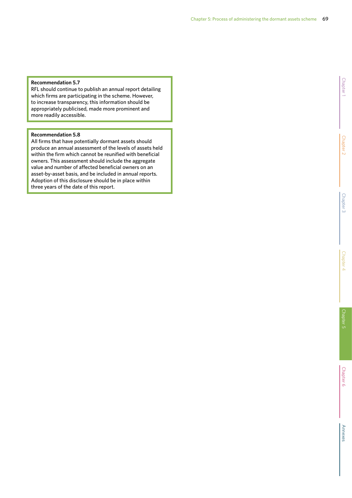## **Recommendation 5.7**

RFL should continue to publish an annual report detailing which firms are participating in the scheme. However, to increase transparency, this information should be appropriately publicised, made more prominent and more readily accessible.

## **Recommendation 5.8**

All firms that have potentially dormant assets should produce an annual assessment of the levels of assets held within the firm which cannot be reunified with beneficial owners. This assessment should include the aggregate value and number of affected beneficial owners on an asset-by-asset basis, and be included in annual reports. Adoption of this disclosure should be in place within three years of the date of this report.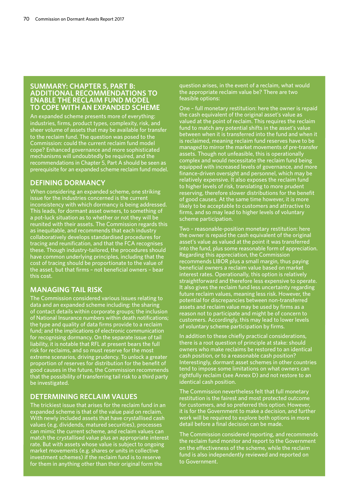## **SUMMARY: CHAPTER 5, PART B: ADDITIONAL RECOMMENDATIONS TO ENABLE THE RECLAIM FUND MODEL TO COPE WITH AN EXPANDED SCHEME**

An expanded scheme presents more of everything: industries, firms, product types, complexity, risk, and sheer volume of assets that may be available for transfer to the reclaim fund. The question was posed to the Commission: could the current reclaim fund model cope? Enhanced governance and more sophisticated mechanisms will undoubtedly be required, and the recommendations in Chapter 5, Part A should be seen as prerequisite for an expanded scheme reclaim fund model.

## **DEFINING DORMANCY**

When considering an expanded scheme, one striking issue for the industries concerned is the current inconsistency with which dormancy is being addressed. This leads, for dormant asset owners, to something of a pot-luck situation as to whether or not they will be reunited with their assets. The Commission regards this as inequitable, and recommends that each industry collaboratively develops standardised procedures for tracing and reunification, and that the FCA recognises these. Though industry-tailored, the procedures should have common underlying principles, including that the cost of tracing should be proportionate to the value of the asset, but that firms – not beneficial owners – bear this cost.

# **MANAGING TAIL RISK**

The Commission considered various issues relating to data and an expanded scheme including: the sharing of contact details within corporate groups; the inclusion of National Insurance numbers within death notifications; the type and quality of data firms provide to a reclaim fund; and the implications of electronic communication for recognising dormancy. On the separate issue of tail liability, it is notable that RFL at present bears the full risk for reclaims, and so must reserve for the most extreme scenarios, driving prudency. To unlock a greater proportion of reserves for distribution for the benefit of good causes in the future, the Commission recommends that the possibility of transferring tail risk to a third party be investigated.

# **DETERMINING RECLAIM VALUES**

The trickiest issue that arises for the reclaim fund in an expanded scheme is that of the value paid on reclaim. With newly included assets that have crystallised cash values (e.g. dividends, matured securities), processe can mimic the current scheme, and reclaim values can match the crystallised value plus an appropriate interest rate. But with assets whose value is subject to ongoing market movements (e.g. shares or units in collective investment schemes) if the reclaim fund is to reserve for them in anything other than their original form the

question arises, in the event of a reclaim, what would the appropriate reclaim value be? There are two feasible options:

One – full monetary restitution: here the owner is repaid the cash equivalent of the original asset's value as valued at the point of reclaim. This requires the reclaim fund to match any potential shifts in the asset's value between when it is transferred into the fund and when it is reclaimed, meaning reclaim fund reserves have to be managed to mirror the market movements of pre-transfer assets. Though not unfeasible, this is operationally complex and would necessitate the reclaim fund being equipped with increased levels of governance, and more finance-driven oversight and personnel, which may be relatively expensive. It also exposes the reclaim fund to higher levels of risk, translating to more prudent reserving, therefore slower distributions for the benefit of good causes. At the same time however, it is more likely to be acceptable to customers and attractive to firms, and so may lead to higher levels of voluntary scheme participation.

Two – reasonable-position monetary restitution: here the owner is repaid the cash equivalent of the original asset's value as valued at the point it was transferred into the fund, plus some reasonable form of appreciation. Regarding this appreciation, the Commission recommends LIBOR plus a small margin, thus paying beneficial owners a reclaim value based on market interest rates. Operationally, this option is relatively straightforward and therefore less expensive to operate. It also gives the reclaim fund less uncertainty regarding future reclaim values, meaning less risk. However, the potential for discrepancies between non-transferred assets and reclaim value may be used by firms as a reason not to participate and might be of concern to customers. Accordingly, this may lead to lower levels of voluntary scheme participation by firms.

In addition to these chiefly practical considerations, there is a root question of principle at stake: should owners who make reclaims be restored to an identical cash position, or to a reasonable cash position? Interestingly, dormant asset schemes in other countries tend to impose some limitations on what owners can rightfully reclaim (see Annex D) and not restore to an identical cash position.

The Commission nevertheless felt that full monetary restitution is the fairest and most protected outcome for customers, and so preferred this option. However, it is for the Government to make a decision, and further work will be required to explore both options in more detail before a final decision can be made.

The Commission considered reporting, and recommends the reclaim fund monitor and report to the Government on the effectiveness of the scheme, while the reclaim fund is also independently reviewed and reported on to Government.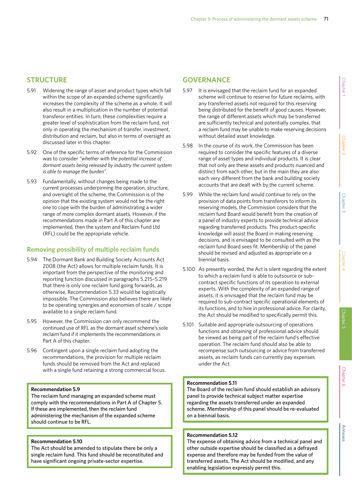# **STRUCTURE**

- 5.91 Widening the range of asset and product types which fall within the scope of an expanded scheme significantly increases the complexity of the scheme as a whole. It will also result in a multiplication in the number of potential transferor entities. In turn, these complexities require a greater level of sophistication from the reclaim fund, not only in operating the mechanism of transfer, investment, distribution and reclaim, but also in terms of oversight as discussed later in this chapter.
- 5.92 One of the specific terms of reference for the Commission was to consider *"whether with the potential increase of dormant assets being released by industry the current system is able to manage the burden".*
- 5.93 Fundamentally, without changes being made to the current processes underpinning the operation, structure, and oversight of the scheme, the Commission is of the opinion that the existing system would not be the right one to cope with the burden of administrating a wider range of more complex dormant assets. However, if the recommendations made in Part A of this chapter are implemented, then the system and Reclaim Fund Ltd (RFL) could be the appropriate vehicle.

# **Removing possibility of multiple reclaim funds**

- 5.94 The Dormant Bank and Building Society Accounts Act 2008 (the Act) allows for multiple reclaim funds. It is important from the perspective of the monitoring and reporting function discussed in paragraphs 5.215–5.219 that there is only one reclaim fund going forwards, as otherwise, Recommendation 5.33 would be logistically impossible. The Commission also believes there are likely to be operating synergies and economies of scale / scope available to a single reclaim fund.
- 5.95 However, the Commission can only recommend the continued use of RFL as the dormant asset scheme's sole reclaim fund if it implements the recommendations in Part A of this chapter.
- 5.96 Contingent upon a single reclaim fund adopting the recommendations, the provision for multiple reclaim funds should be removed from the Act and replaced with a single fund retaining a strong commercial focus.

### **Recommendation 5.9**

The reclaim fund managing an expanded scheme must comply with the recommendations in Part A of Chapter 5. If these are implemented, then the reclaim fund administering the mechanism of the expanded scheme should continue to be RFL.

### **Recommendation 5.10**

The Act should be amended to stipulate there be only a single reclaim fund. This fund should be reconstituted and have significant ongoing private-sector expertise.

# **GOVERNANCE**

- 5.97 It is envisaged that the reclaim fund for an expanded scheme will continue to reserve for future reclaims, with any transferred assets not required for this reserving being distributed for the benefit of good causes. However, the range of different assets which may be transferred are sufficiently technical and potentially complex, that a reclaim fund may be unable to make reserving decisions without detailed asset knowledge.
- 5.98 In the course of its work, the Commission has been required to consider the specific features of a diverse range of asset types and individual products. It is clear that not only are these assets and products nuanced and distinct from each other, but in the main they are also each very different from the bank and building society accounts that are dealt with by the current scheme.
- 5.99 While the reclaim fund would continue to rely on the provision of data points from transferors to inform its reserving models, the Commission considers that the reclaim fund Board would benefit from the creation of a panel of industry experts to provide technical advice regarding transferred products. This product-specific knowledge will assist the Board in making reserving decisions, and is envisaged to be consulted with as the reclaim fund Board sees fit. Membership of the panel should be revised and adjusted as appropriate on a biennial basis.
- 5.100 As presently worded, the Act is silent regarding the extent to which a reclaim fund is able to outsource or subcontract specific functions of its operation to external experts. With the complexity of an expanded range of assets, it is envisaged that the reclaim fund may be required to sub-contract specific operational elements of its functions, and to hire in professional advice. For clarity, the Act should be modified to specifically permit this.
- 5.101 Suitable and appropriate outsourcing of operations functions and obtaining of professional advice should be viewed as being part of the reclaim fund's effective operation. The reclaim fund should also be able to recompense such outsourcing or advice from transferred assets, as reclaim funds can currently pay expenses under the Act.

## **Recommendation 5.11**

The Board of the reclaim fund should establish an advisory panel to provide technical subject matter expertise regarding the assets transferred under an expanded scheme. Membership of this panel should be re-evaluated on a biennial basis.

## **Recommendation 5.12**

The expense of obtaining advice from a technical panel and other outside expertise should be classified as a defrayed expense and therefore may be funded from the value of transferred assets. The Act should be modified, and any enabling legislation expressly permit this.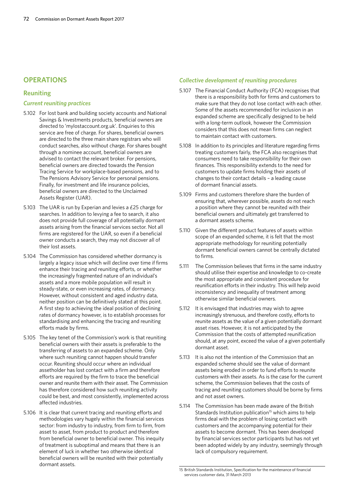## **OPERATIONS**

## **Reuniting**

### *Current reuniting practices*

- 5.102 For lost bank and building society accounts and National Savings & Investments products, beneficial owners are directed to 'mylostaccount.org.uk'. Enquiries to this service are free of charge. For shares, beneficial owners are directed to the three main share registrars who will conduct searches, also without charge. For shares bought through a nominee account, beneficial owners are advised to contact the relevant broker. For pensions, beneficial owners are directed towards the Pension Tracing Service for workplace-based pensions, and to The Pensions Advisory Service for personal pensions. Finally, for investment and life insurance policies, beneficial owners are directed to the Unclaimed Assets Register (UAR).
- 5.103 The UAR is run by Experian and levies a £25 charge for searches. In addition to levying a fee to search, it also does not provide full coverage of all potentially dormant assets arising from the financial services sector. Not all firms are registered for the UAR, so even if a beneficial owner conducts a search, they may not discover all of their lost assets.
- 5.104 The Commission has considered whether dormancy is largely a legacy issue which will decline over time if firms enhance their tracing and reuniting efforts, or whether the increasingly fragmented nature of an individual's assets and a more mobile population will result in steady-state, or even increasing rates, of dormancy. However, without consistent and aged industry data, neither position can be definitively stated at this point. A first step to achieving the ideal position of declining rates of dormancy however, is to establish processes for standardising and enhancing the tracing and reuniting efforts made by firms.
- 5.105 The key tenet of the Commission's work is that reuniting beneficial owners with their assets is preferable to the transferring of assets to an expanded scheme. Only where such reuniting cannot happen should transfer occur. Reuniting should occur where an individual assetholder has lost contact with a firm and therefore efforts are required by the firm to trace the beneficial owner and reunite them with their asset. The Commission has therefore considered how such reuniting activity could be best, and most consistently, implemented across affected industries.
- 5.106 It is clear that current tracing and reuniting efforts and methodologies vary hugely within the financial services sector: from industry to industry, from firm to firm, from asset to asset, from product to product and therefore from beneficial owner to beneficial owner. This inequity of treatment is suboptimal and means that there is an element of luck in whether two otherwise identical beneficial owners will be reunited with their potentially dormant assets.

## *Collective development of reuniting procedures*

- 5.107 The Financial Conduct Authority (FCA) recognises that there is a responsibility both for firms and customers to make sure that they do not lose contact with each other. Some of the assets recommended for inclusion in an expanded scheme are specifically designed to be held with a long-term outlook, however the Commission considers that this does not mean firms can neglect to maintain contact with customers.
- 5.108 In addition to its principles and literature regarding firms treating customers fairly, the FCA also recognises that consumers need to take responsibility for their own finances. This responsibility extends to the need for customers to update firms holding their assets of changes to their contact details – a leading cause of dormant financial assets.
- 5.109 Firms and customers therefore share the burden of ensuring that, wherever possible, assets do not reach a position where they cannot be reunited with their beneficial owners and ultimately get transferred to a dormant assets scheme.
- 5.110 Given the different product features of assets within scope of an expanded scheme, it is felt that the most appropriate methodology for reuniting potentially dormant beneficial owners cannot be centrally dictated to firms.
- 5.111 The Commission believes that firms in the same industry should utilise their expertise and knowledge to co-create the most appropriate and consistent procedure for reunification efforts in their industry. This will help avoid inconsistency and inequality of treatment among otherwise similar beneficial owners.
- 5.112 It is envisaged that industries may wish to agree increasingly strenuous, and therefore costly, efforts to reunite assets as the value of a given potentially dormant asset rises. However, it is not anticipated by the Commission that the costs of attempted reunification should, at any point, exceed the value of a given potentially dormant asset.
- 5.113 It is also not the intention of the Commission that an expanded scheme should see the value of dormant assets being eroded in order to fund efforts to reunite customers with their assets. As is the case for the current scheme, the Commission believes that the costs of tracing and reuniting customers should be borne by firms and not asset owners.
- 5.114 The Commission has been made aware of the British Standards Institution publication<sup>15</sup> which aims to help firms deal with the problem of losing contact with customers and the accompanying potential for their assets to become dormant. This has been developed by financial services sector participants but has not yet been adopted widely by any industry, seemingly through lack of compulsory requirement.

<sup>15</sup> British Standards Institution, Specification for the maintenance of financial services customer data, 31 March 2013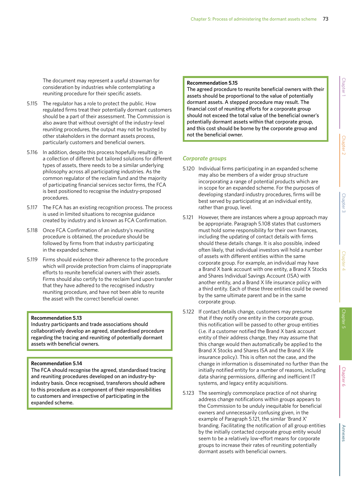The document may represent a useful strawman for consideration by industries while contemplating a reuniting procedure for their specific assets.

- 5.115 The regulator has a role to protect the public. How regulated firms treat their potentially dormant customers should be a part of their assessment. The Commission is also aware that without oversight of the industry-level reuniting procedures, the output may not be trusted by other stakeholders in the dormant assets process, particularly customers and beneficial owners.
- 5.116 In addition, despite this process hopefully resulting in a collection of different but tailored solutions for different types of assets, there needs to be a similar underlying philosophy across all participating industries. As the common regulator of the reclaim fund and the majority of participating financial services sector firms, the FCA is best positioned to recognise the industry-proposed procedures.
- 5.117 The FCA has an existing recognition process. The process is used in limited situations to recognise guidance created by industry and is known as FCA Confirmation.
- 5.118 Once FCA Confirmation of an industry's reuniting procedure is obtained, the procedure should be followed by firms from that industry participating in the expanded scheme.
- 5.119 Firms should evidence their adherence to the procedure which will provide protection from claims of inappropriate efforts to reunite beneficial owners with their assets. Firms should also certify to the reclaim fund upon transfer that they have adhered to the recognised industry reuniting procedure, and have not been able to reunite the asset with the correct beneficial owner.

## **Recommendation 5.13**

Industry participants and trade associations should collaboratively develop an agreed, standardised procedure regarding the tracing and reuniting of potentially dormant assets with beneficial owners.

## **Recommendation 5.14**

The FCA should recognise the agreed, standardised tracing and reuniting procedures developed on an industry-byindustry basis. Once recognised, transferors should adhere to this procedure as a component of their responsibilities to customers and irrespective of participating in the expanded scheme.

## **Recommendation 5.15**

The agreed procedure to reunite beneficial owners with their assets should be proportional to the value of potentially dormant assets. A stepped procedure may result. The financial cost of reuniting efforts for a corporate group should not exceed the total value of the beneficial owner's potentially dormant assets within that corporate group, and this cost should be borne by the corporate group and not the beneficial owner.

# *Corporate groups*

- 5.120 Individual firms participating in an expanded scheme may also be members of a wider group structure incorporating a range of potential products which are in scope for an expanded scheme. For the purposes of developing standard industry procedures, firms will be best served by participating at an individual entity, rather than group, level.
- 5.121 However, there are instances where a group approach may be appropriate. Paragraph 5.108 states that customers must hold some responsibility for their own finances, including the updating of contact details with firms should these details change. It is also possible, indeed often likely, that individual investors will hold a number of assets with different entities within the same corporate group. For example, an individual may have a Brand X bank account with one entity, a Brand X Stocks and Shares Individual Savings Account (ISA) with another entity, and a Brand X life insurance policy with a third entity. Each of these three entities could be owned by the same ultimate parent and be in the same corporate group.
- 5.122 If contact details change, customers may presume that if they notify one entity in the corporate group, this notification will be passed to other group entities (i.e. if a customer notified the Brand X bank account entity of their address change, they may assume that this change would then automatically be applied to the Brand X Stocks and Shares ISA and the Brand X life insurance policy). This is often not the case, and the change in information is disseminated no further than the initially notified entity for a number of reasons, including data sharing permissions, differing and inefficient IT systems, and legacy entity acquisitions.
- 5.123 The seemingly commonplace practice of not sharing address change notifications within groups appears to the Commission to be unduly inequitable for beneficial owners and unnecessarily confusing given, in the example of Paragraph 5.121, the similar 'Brand X' branding. Facilitating the notification of all group entities by the initially contacted corporate group entity would seem to be a relatively low-effort means for corporate groups to increase their rates of reuniting potentially dormant assets with beneficial owners.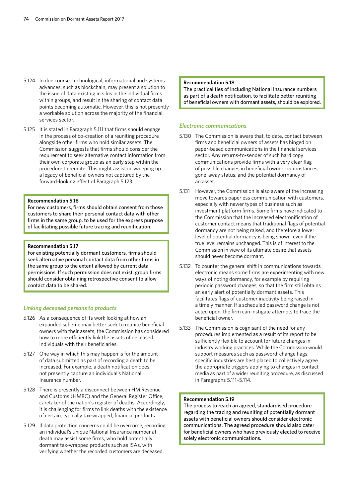- 5.124 In due course, technological, informational and systems advances, such as blockchain, may present a solution to the issue of data existing in silos in the individual firms within groups, and result in the sharing of contact data points becoming automatic. However, this is not presently a workable solution across the majority of the financial services sector.
- 5.125 It is stated in Paragraph 5.111 that firms should engage in the process of co-creation of a reuniting procedure alongside other firms who hold similar assets. The Commission suggests that firms should consider the requirement to seek alternative contact information from their own corporate group as an early step within the procedure to reunite. This might assist in sweeping up a legacy of beneficial owners not captured by the forward-looking effect of Paragraph 5.123.

## **Recommendation 5.16**

For new customers, firms should obtain consent from those customers to share their personal contact data with other firms in the same group, to be used for the express purpose of facilitating possible future tracing and reunification.

### **Recommendation 5.17**

For existing potentially dormant customers, firms should seek alternative personal contact data from other firms in the same group to the extent allowed by current data permissions. If such permission does not exist, group firms should consider obtaining retrospective consent to allow contact data to be shared.

## *Linking deceased persons to products*

- 5.126 As a consequence of its work looking at how an expanded scheme may better seek to reunite beneficial owners with their assets, the Commission has considered how to more efficiently link the assets of deceased individuals with their beneficiaries.
- 5.127 One way in which this may happen is for the amount of data submitted as part of recording a death to be increased. For example, a death notification does not presently capture an individual's National Insurance number.
- 5.128 There is presently a disconnect between HM Revenue and Customs (HMRC) and the General Register Office, caretaker of the nation's register of deaths. Accordingly, it is challenging for firms to link deaths with the existence of certain, typically tax-wrapped, financial products.
- 5.129 If data protection concerns could be overcome, recording an individual's unique National Insurance number at death may assist some firms, who hold potentially dormant tax-wrapped products such as ISAs, with verifying whether the recorded customers are deceased.

#### **Recommendation 5.18**

The practicalities of including National Insurance numbers as part of a death notification, to facilitate better reuniting of beneficial owners with dormant assets, should be explored.

## *Electronic communications*

- 5.130 The Commission is aware that, to date, contact between firms and beneficial owners of assets has hinged on paper-based communications in the financial services sector. Any returns-to-sender of such hard copy communications provide firms with a very clear flag of possible changes in beneficial owner circumstances, gone-away status, and the potential dormancy of an asset.
- 5.131 However, the Commission is also aware of the increasing move towards paperless communication with customers, especially with newer types of business such as investment platform firms. Some firms have indicated to the Commission that the increased electronification of customer contact means that traditional flags of potential dormancy are not being raised, and therefore a lower level of potential dormancy is being shown, even if the true level remains unchanged. This is of interest to the Commission in view of its ultimate desire that assets should never become dormant.
- 5.132 To counter the general shift in communications towards electronic means some firms are experimenting with new ways of noting dormancy, for example by requiring periodic password changes, so that the firm still obtains an early alert of potentially dormant assets. This facilitates flags of customer inactivity being raised in a timely manner. If a scheduled password change is not acted upon, the firm can instigate attempts to trace the beneficial owner.
- 5.133 The Commission is cognisant of the need for any procedures implemented as a result of its report to be sufficiently flexible to account for future changes in industry working practices. While the Commission would support measures such as password-change flags, specific industries are best placed to collectively agree the appropriate triggers applying to changes in contact media as part of a wider reuniting procedure, as discussed in Paragraphs 5.111–5.114.

## **Recommendation 5.19**

The process to reach an agreed, standardised procedure regarding the tracing and reuniting of potentially dormant assets with beneficial owners should consider electronic communications. The agreed procedure should also cater for beneficial owners who have previously elected to receive solely electronic communications.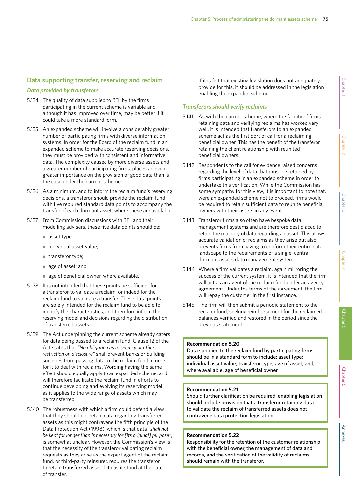# **Data supporting transfer, reserving and reclaim**

## *Data provided by transferors*

- 5.134 The quality of data supplied to RFL by the firms participating in the current scheme is variable and, although it has improved over time, may be better if it could take a more standard form.
- 5.135 An expanded scheme will involve a considerably greater number of participating firms with diverse information systems. In order for the Board of the reclaim fund in an expanded scheme to make accurate reserving decisions, they must be provided with consistent and informative data. The complexity caused by more diverse assets and a greater number of participating firms, places an even greater importance on the provision of good data than is the case under the current scheme.
- 5.136 As a minimum, and to inform the reclaim fund's reserving decisions, a transferor should provide the reclaim fund with five required standard data points to accompany the transfer of each dormant asset, where these are available.
- 5.137 From Commission discussions with RFL and their modelling advisers, these five data points should be:
	- asset type;
	- individual asset value;
	- transferor type;
	- age of asset; and
	- age of beneficial owner, where available.
- 5.138 It is not intended that these points be sufficient for a transferor to validate a reclaim, or indeed for the reclaim fund to validate a transfer. These data points are solely intended for the reclaim fund to be able to identify the characteristics, and therefore inform the reserving model and decisions regarding the distribution of transferred assets.
- 5.139 The Act underpinning the current scheme already caters for data being passed to a reclaim fund. Clause 12 of the Act states that *"No obligation as to secrecy or other restriction on disclosure"* shall prevent banks or building societies from passing data to the reclaim fund in order for it to deal with reclaims. Wording having the same effect should equally apply to an expanded scheme, and will therefore facilitate the reclaim fund in efforts to continue developing and evolving its reserving model as it applies to the wide range of assets which may be transferred.
- 5.140 The robustness with which a firm could defend a view that they should not retain data regarding transferred assets as this might contravene the fifth principle of the Data Protection Act (1998), which is that data *"shall not be kept for longer than is necessary for [its original] purpose"*, is somewhat unclear. However, the Commission's view is that the necessity of the transferor validating reclaim requests as they arise as the expert agent of the reclaim fund, or third-party reinsurer, requires the transferor to retain transferred asset data as it stood at the date of transfer.

If it is felt that existing legislation does not adequately provide for this, it should be addressed in the legislation enabling the expanded scheme.

## *Transferors should verify reclaims*

- 5.141 As with the current scheme, where the facility of firms retaining data and verifying reclaims has worked very well, it is intended that transferors to an expanded scheme act as the first port of call for a reclaiming beneficial owner. This has the benefit of the transferor retaining the client relationship with reunited beneficial owners.
- 5.142 Respondents to the call for evidence raised concerns regarding the level of data that must be retained by firms participating in an expanded scheme in order to undertake this verification. While the Commission has some sympathy for this view, it is important to note that, were an expanded scheme not to proceed, firms would be required to retain sufficient data to reunite beneficial owners with their assets in any event.
- 5.143 Transferor firms also often have bespoke data management systems and are therefore best placed to retain the majority of data regarding an asset. This allows accurate validation of reclaims as they arise but also prevents firms from having to conform their entire data landscape to the requirements of a single, central dormant assets data management system.
- 5.144 Where a firm validates a reclaim, again mirroring the success of the current system, it is intended that the firm will act as an agent of the reclaim fund under an agency agreement. Under the terms of the agreement, the firm will repay the customer in the first instance.
- 5.145 The firm will then submit a periodic statement to the reclaim fund, seeking reimbursement for the reclaimed balances verified and restored in the period since the previous statement.

## **Recommendation 5.20**

Data supplied to the reclaim fund by participating firms should be in a standard form to include: asset type; individual asset value; transferor type; age of asset; and, where available, age of beneficial owner.

## **Recommendation 5.21**

Should further clarification be required, enabling legislation should include provision that a transferor retaining data to validate the reclaim of transferred assets does not contravene data protection legislation.

## **Recommendation 5.22**

Responsibility for the retention of the customer relationship with the beneficial owner, the management of data and records, and the verification of the validity of reclaims, should remain with the transferor.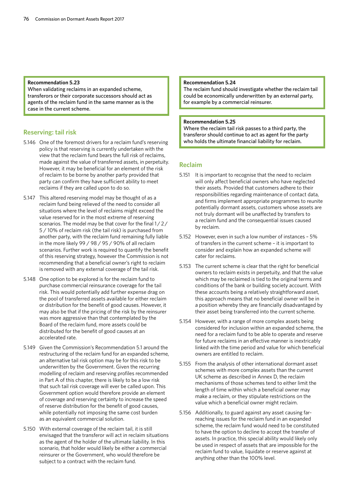## **Recommendation 5.23**

When validating reclaims in an expanded scheme, transferors or their corporate successors should act as agents of the reclaim fund in the same manner as is the case in the current scheme.

## **Reserving: tail risk**

- 5.146 One of the foremost drivers for a reclaim fund's reserving policy is that reserving is currently undertaken with the view that the reclaim fund bears the full risk of reclaims, made against the value of transferred assets, in perpetuity. However, it may be beneficial for an element of the risk of reclaim to be borne by another party provided that party can confirm they have sufficient ability to meet reclaims if they are called upon to do so.
- 5.147 This altered reserving model may be thought of as a reclaim fund being relieved of the need to consider all situations where the level of reclaims might exceed the value reserved for in the most extreme of reserving scenarios. The model may be that cover for the final 1/2/ 5 / 10% of reclaim risk (the tail risk) is purchased from another party, with the reclaim fund remaining fully liable in the more likely 99 / 98 / 95 / 90% of all reclaim scenarios. Further work is required to quantify the benefit of this reserving strategy, however the Commission is not recommending that a beneficial owner's right to reclaim is removed with any external coverage of the tail risk.
- 5.148 One option to be explored is for the reclaim fund to purchase commercial reinsurance coverage for the tail risk. This would potentially add further expense drag on the pool of transferred assets available for either reclaim or distribution for the benefit of good causes. However, it may also be that if the pricing of the risk by the reinsurer was more aggressive than that contemplated by the Board of the reclaim fund, more assets could be distributed for the benefit of good causes at an accelerated rate.
- 5.149 Given the Commission's Recommendation 5.1 around the restructuring of the reclaim fund for an expanded scheme, an alternative tail risk option may be for this risk to be underwritten by the Government. Given the recurring modelling of reclaim and reserving profiles recommended in Part A of this chapter, there is likely to be a low risk that such tail risk coverage will ever be called upon. This Government option would therefore provide an element of coverage and reserving certainty to increase the speed of reserve distribution for the benefit of good causes, while potentially not imposing the same cost burden as an equivalent commercial solution.
- 5.150 With external coverage of the reclaim tail, it is still envisaged that the transferor will act in reclaim situations as the agent of the holder of the ultimate liability. In this scenario, that holder would likely be either a commercial reinsurer or the Government, who would therefore be subject to a contract with the reclaim fund.

#### **Recommendation 5.24**

The reclaim fund should investigate whether the reclaim tail could be economically underwritten by an external party, for example by a commercial reinsurer.

## **Recommendation 5.25**

Where the reclaim tail risk passes to a third party, the transferor should continue to act as agent for the party who holds the ultimate financial liability for reclaim.

## **Reclaim**

- 5.151 It is important to recognise that the need to reclaim will only affect beneficial owners who have neglected their assets. Provided that customers adhere to their responsibilities regarding maintenance of contact data, and firms implement appropriate programmes to reunite potentially dormant assets, customers whose assets are not truly dormant will be unaffected by transfers to a reclaim fund and the consequential issues caused by reclaim.
- 5.152 However, even in such a low number of instances 5% of transfers in the current scheme – it is important to consider and explain how an expanded scheme will cater for reclaims.
- 5.153 The current scheme is clear that the right for beneficial owners to reclaim exists in perpetuity, and that the value which may be reclaimed is tied to the original terms and conditions of the bank or building society account. With these accounts being a relatively straightforward asset, this approach means that no beneficial owner will be in a position whereby they are financially disadvantaged by their asset being transferred into the current scheme.
- 5.154 However, with a range of more complex assets being considered for inclusion within an expanded scheme, the need for a reclaim fund to be able to operate and reserve for future reclaims in an effective manner is inextricably linked with the time period and value for which beneficial owners are entitled to reclaim.
- 5.155 From the analysis of other international dormant asset schemes with more complex assets than the current UK scheme as described in Annex D, the reclaim mechanisms of those schemes tend to either limit the length of time within which a beneficial owner may make a reclaim, or they stipulate restrictions on the value which a beneficial owner might reclaim.
- 5.156 Additionally, to guard against any asset causing farreaching issues for the reclaim fund in an expanded scheme, the reclaim fund would need to be constituted to have the option to decline to accept the transfer of assets. In practice, this special ability would likely only be used in respect of assets that are impossible for the reclaim fund to value, liquidate or reserve against at anything other than the 100% level.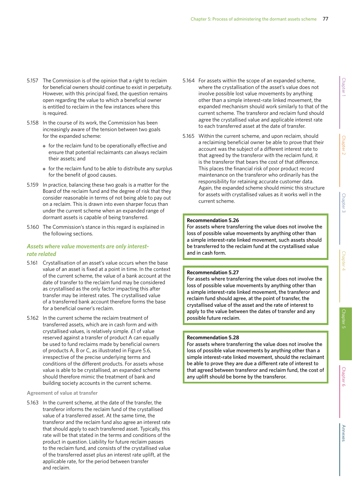- 5.157 The Commission is of the opinion that a right to reclaim for beneficial owners should continue to exist in perpetuity. However, with this principal fixed, the question remains open regarding the value to which a beneficial owner is entitled to reclaim in the few instances where this is required.
- 5.158 In the course of its work, the Commission has been increasingly aware of the tension between two goals for the expanded scheme:
	- for the reclaim fund to be operationally effective and ensure that potential reclaimants can always reclaim their assets; and
	- for the reclaim fund to be able to distribute any surplus for the benefit of good causes.
- 5.159 In practice, balancing these two goals is a matter for the Board of the reclaim fund and the degree of risk that they consider reasonable in terms of not being able to pay out on a reclaim. This is drawn into even sharper focus than under the current scheme when an expanded range of dormant assets is capable of being transferred.
- 5.160 The Commission's stance in this regard is explained in the following sections.

# *Assets where value movements are only interestrate related*

- 5.161 Crystallisation of an asset's value occurs when the base value of an asset is fixed at a point in time. In the context of the current scheme, the value of a bank account at the date of transfer to the reclaim fund may be considered as crystallised as the only factor impacting this after transfer may be interest rates. The crystallised value of a transferred bank account therefore forms the base for a beneficial owner's reclaim.
- 5.162 In the current scheme the reclaim treatment of transferred assets, which are in cash form and with crystallised values, is relatively simple. £1 of value reserved against a transfer of product A can equally be used to fund reclaims made by beneficial owners of products A, B or C, as illustrated in Figure 5.6, irrespective of the precise underlying terms and conditions of the different products. For assets whose value is able to be crystallised, an expanded scheme should therefore mimic the treatment of bank and building society accounts in the current scheme.

## **Agreement of value at transfer**

5.163 In the current scheme, at the date of the transfer, the transferor informs the reclaim fund of the crystallised value of a transferred asset. At the same time, the transferor and the reclaim fund also agree an interest rate that should apply to each transferred asset. Typically, this rate will be that stated in the terms and conditions of the product in question. Liability for future reclaim passes to the reclaim fund, and consists of the crystallised value of the transferred asset plus an interest rate uplift, at the applicable rate, for the period between transfer and reclaim.

- 5.164 For assets within the scope of an expanded scheme, where the crystallisation of the asset's value does not involve possible lost value movements by anything other than a simple interest-rate linked movement, the expanded mechanism should work similarly to that of the current scheme. The transferor and reclaim fund should agree the crystallised value and applicable interest rate to each transferred asset at the date of transfer.
- 5.165 Within the current scheme, and upon reclaim, should a reclaiming beneficial owner be able to prove that their account was the subject of a different interest rate to that agreed by the transferor with the reclaim fund, it is the transferor that bears the cost of that difference. This places the financial risk of poor product record maintenance on the transferor who ordinarily has the responsibility for retaining accurate customer data. Again, the expanded scheme should mimic this structure for assets with crystallised values as it works well in the current scheme.

## **Recommendation 5.26**

For assets where transferring the value does not involve the loss of possible value movements by anything other than a simple interest-rate linked movement, such assets should be transferred to the reclaim fund at the crystallised value and in cash form.

## **Recommendation 5.27**

For assets where transferring the value does not involve the loss of possible value movements by anything other than a simple interest-rate linked movement, the transferor and reclaim fund should agree, at the point of transfer, the crystallised value of the asset and the rate of interest to apply to the value between the dates of transfer and any possible future reclaim.

## **Recommendation 5.28**

For assets where transferring the value does not involve the loss of possible value movements by anything other than a simple interest-rate linked movement, should the reclaimant be able to prove they are due a different rate of interest to that agreed between transferor and reclaim fund, the cost of any uplift should be borne by the transferor.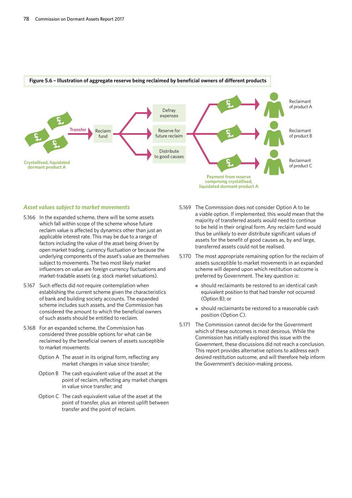

## **Figure 5.6 – Illustration of aggregate reserve being reclaimed by beneficial owners of different products**

#### *Asset values subject to market movements*

- 5.166 In the expanded scheme, there will be some assets which fall within scope of the scheme whose future reclaim value is affected by dynamics other than just an applicable interest rate. This may be due to a range of factors including the value of the asset being driven by open market trading, currency fluctuation or because the underlying components of the asset's value are themselves subject to movements. The two most likely market influencers on value are foreign currency fluctuations and market-tradable assets (e.g. stock market valuations).
- 5.167 Such effects did not require contemplation when establishing the current scheme given the characteristics of bank and building society accounts. The expanded scheme includes such assets, and the Commission has considered the amount to which the beneficial owners of such assets should be entitled to reclaim.
- 5.168 For an expanded scheme, the Commission has considered three possible options for what can be reclaimed by the beneficial owners of assets susceptible to market movements:
	- Option A The asset in its original form, reflecting any market changes in value since transfer;
	- Option B The cash equivalent value of the asset at the point of reclaim, reflecting any market changes in value since transfer; and
	- Option C The cash equivalent value of the asset at the point of transfer, plus an interest uplift between transfer and the point of reclaim.
- 5.169 The Commission does not consider Option A to be a viable option. If implemented, this would mean that the majority of transferred assets would need to continue to be held in their original form. Any reclaim fund would thus be unlikely to ever distribute significant values of assets for the benefit of good causes as, by and large, transferred assets could not be realised.
- 5.170 The most appropriate remaining option for the reclaim of assets susceptible to market movements in an expanded scheme will depend upon which restitution outcome is preferred by Government. The key question is:
	- should reclaimants be restored to an identical cash equivalent position to that had transfer not occurred (Option B); or
	- should reclaimants be restored to a reasonable cash position (Option C).
- 5.171 The Commission cannot decide for the Government which of these outcomes is most desirous. While the Commission has initially explored this issue with the Government, these discussions did not reach a conclusion. This report provides alternative options to address each desired restitution outcome, and will therefore help inform the Government's decision-making process.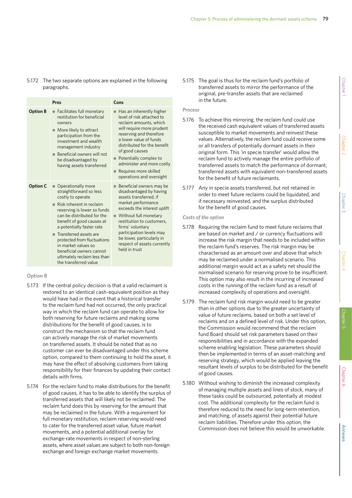## 5.172 The two separate options are explained in the following paragraphs.

|                 | Pros                                                                                                                                                                                                                                                                                                                                                                                                   | Cons                                                                                                                                                                                                                                                                                                                              |
|-----------------|--------------------------------------------------------------------------------------------------------------------------------------------------------------------------------------------------------------------------------------------------------------------------------------------------------------------------------------------------------------------------------------------------------|-----------------------------------------------------------------------------------------------------------------------------------------------------------------------------------------------------------------------------------------------------------------------------------------------------------------------------------|
| <b>Option B</b> | • Facilitates full monetary<br>restitution for beneficial<br>owners<br>• More likely to attract<br>participation from the<br>investment and wealth<br>management industry<br>• Beneficial owners will not<br>be disadvantaged by<br>having assets transferred                                                                                                                                          | • Has an inherently higher<br>level of risk attached to<br>reclaim amounts, which<br>will require more prudent<br>reserving and therefore<br>a lower value of funds<br>distributed for the benefit<br>of good causes<br>Potentially complex to<br>administer and more costly<br>Requires more skilled<br>operations and oversight |
| <b>Option C</b> | Operationally more<br>straightforward so less<br>costly to operate<br>$\bullet$ Risk inherent in reclaim<br>reserving is lower so funds<br>can be distributed for the<br>benefit of good causes at<br>a potentially faster rate<br>• Transferred assets are<br>protected from fluctuations<br>in market values so<br>beneficial owners cannot<br>ultimately reclaim less than<br>the transferred value | Beneficial owners may be<br>disadvantaged by having<br>assets transferred, if<br>market performance<br>exceeds the interest uplift<br>Without full monetary<br>restitution to customers,<br>firms' voluntary<br>participation levels may<br>be lower, particularly in<br>respect of assets currently<br>held in trust             |

# **Option B**

- 5.173 If the central policy decision is that a valid reclaimant is restored to an identical cash-equivalent position as they would have had in the event that a historical transfer to the reclaim fund had not occurred, the only practical way in which the reclaim fund can operate to allow for both reserving for future reclaims and making some distributions for the benefit of good causes, is to construct the mechanism so that the reclaim fund can actively manage the risk of market movements on transferred assets. It should be noted that as no customer can ever be disadvantaged under this scheme option, compared to them continuing to hold the asset, it may have the effect of absolving customers from taking responsibility for their finances by updating their contact details with firms.
- 5.174 For the reclaim fund to make distributions for the benefit of good causes, it has to be able to identify the surplus of transferred assets that will likely not be reclaimed. The reclaim fund does this by reserving for the amount that may be reclaimed in the future. With a requirement for full monetary restitution, reclaim reserving would need to cater for the transferred asset value, future market movements, and a potential additional overlay for exchange-rate movements in respect of non-sterling assets, where asset values are subject to both non-foreign exchange and foreign exchange market movements.

5.175 The goal is thus for the reclaim fund's portfolio of transferred assets to mirror the performance of the original, pre-transfer assets that are reclaimed in the future.

# *Process*

- 5.176 To achieve this mirroring, the reclaim fund could use the received cash equivalent values of transferred assets susceptible to market movements and reinvest these values. Alternatively, the reclaim fund could receive some or all transfers of potentially dormant assets in their original form. This 'in specie transfer' would allow the reclaim fund to actively manage the entire portfolio of transferred assets to match the performance of dormant, transferred assets with equivalent non-transferred assets for the benefit of future reclaimants.
- 5.177 Any in specie assets transferred, but not retained in order to meet future reclaims could be liquidated, and if necessary reinvested, and the surplus distributed for the benefit of good causes.

## *Costs of the option*

- 5.178 Requiring the reclaim fund to meet future reclaims that are based on market and / or currency fluctuations will increase the risk margin that needs to be included within the reclaim fund's reserves. The risk margin may be characterised as an amount over and above that which may be reclaimed under a normalised scenario. This additional margin would act as a safety net should the normalised scenario for reserving prove to be insufficient. This option may also result in the incurring of increased costs in the running of the reclaim fund as a result of increased complexity of operations and oversight.
- 5.179 The reclaim fund risk margin would need to be greater than in other options due to the greater uncertainty of value of future reclaims, based on both a set level of reclaims and on a defined level of risk. Under this option, the Commission would recommend that the reclaim fund Board should set risk parameters based on their responsibilities and in accordance with the expanded scheme enabling legislation. These parameters should then be implemented in terms of an asset-matching and reserving strategy, which would be applied leaving the resultant levels of surplus to be distributed for the benefit of good causes.
- 5.180 Without wishing to diminish the increased complexity of managing multiple assets and lines of stock, many of these tasks could be outsourced, potentially at modest cost. The additional complexity for the reclaim fund is therefore reduced to the need for long-term retention, and matching, of assets against their potential future reclaim liabilities. Therefore under this option, the Commission does not believe this would be unworkable.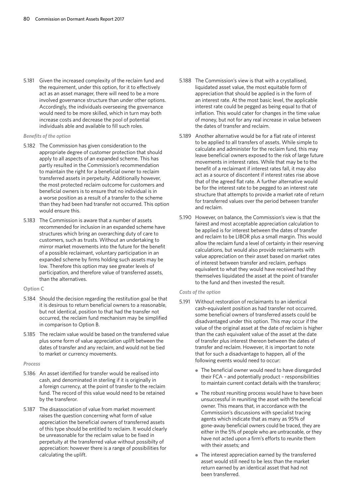5.181 Given the increased complexity of the reclaim fund and the requirement, under this option, for it to effectively act as an asset manager, there will need to be a more involved governance structure than under other options. Accordingly, the individuals overseeing the governance would need to be more skilled, which in turn may both increase costs and decrease the pool of potential individuals able and available to fill such roles.

## *Benefits of the option*

- 5.182 The Commission has given consideration to the appropriate degree of customer protection that should apply to all aspects of an expanded scheme. This has partly resulted in the Commission's recommendation to maintain the right for a beneficial owner to reclaim transferred assets in perpetuity. Additionally however, the most protected reclaim outcome for customers and beneficial owners is to ensure that no individual is in a worse position as a result of a transfer to the scheme than they had been had transfer not occurred. This option would ensure this.
- 5.183 The Commission is aware that a number of assets recommended for inclusion in an expanded scheme have structures which bring an overarching duty of care to customers, such as trusts. Without an undertaking to mirror market movements into the future for the benefit of a possible reclaimant, voluntary participation in an expanded scheme by firms holding such assets may be low. Therefore this option may see greater levels of participation, and therefore value of transferred assets, than the alternatives.

## **Option C**

- 5.184 Should the decision regarding the restitution goal be that it is desirous to return beneficial owners to a reasonable, but not identical, position to that had the transfer not occurred, the reclaim fund mechanism may be simplified in comparison to Option B.
- 5.185 The reclaim value would be based on the transferred value plus some form of value appreciation uplift between the dates of transfer and any reclaim, and would not be tied to market or currency movements.

## *Process*

- 5.186 An asset identified for transfer would be realised into cash, and denominated in sterling if it is originally in a foreign currency, at the point of transfer to the reclaim fund. The record of this value would need to be retained by the transferor.
- 5.187 The disassociation of value from market movement raises the question concerning what form of value appreciation the beneficial owners of transferred assets of this type should be entitled to reclaim. It would clearly be unreasonable for the reclaim value to be fixed in perpetuity at the transferred value without possibilty of appreciation: however there is a range of possibilities for calculating the uplift.
- 5.188 The Commission's view is that with a crystallised, liquidated asset value, the most equitable form of appreciation that should be applied is in the form of an interest rate. At the most basic level, the applicable interest rate could be pegged as being equal to that of inflation. This would cater for changes in the time value of money, but not for any real increase in value between the dates of transfer and reclaim.
- 5.189 Another alternative would be for a flat rate of interest to be applied to all transfers of assets. While simple to calculate and administer for the reclaim fund, this may leave beneficial owners exposed to the risk of large future movements in interest rates. While that may be to the benefit of a reclaimant if interest rates fall, it may also act as a source of discontent if interest rates rise above that of the agreed flat rate. A further alternative would be for the interest rate to be pegged to an interest rate structure that attempts to provide a market rate of return for transferred values over the period between transfer and reclaim.
- 5.190 However, on balance, the Commission's view is that the fairest and most acceptable appreciation calculation to be applied is for interest between the dates of transfer and reclaim to be LIBOR plus a small margin. This would allow the reclaim fund a level of certainty in their reserving calculations, but would also provide reclaimants with value appreciation on their asset based on market rates of interest between transfer and reclaim, perhaps equivalent to what they would have received had they themselves liquidated the asset at the point of transfer to the fund and then invested the result.

## *Costs of the option*

- 5.191 Without restoration of reclaimants to an identical cash-equivalent position as had transfer not occurred, some beneficial owners of transferred assets could be disadvantaged under this option. This may occur if the value of the original asset at the date of reclaim is higher than the cash equivalent value of the asset at the date of transfer plus interest thereon between the dates of transfer and reclaim. However, it is important to note that for such a disadvantage to happen, all of the following events would need to occur:
	- The beneficial owner would need to have disregarded their FCA – and potentially product – responsibilities to maintain current contact details with the transferor;
	- The robust reuniting process would have to have been unsuccessful in reuniting the asset with the beneficial owner. This means that, in accordance with the Commission's discussions with specialist tracing agents which indicate that as many as 95% of gone-away beneficial owners could be traced, they are either in the 5% of people who are untraceable, or they have not acted upon a firm's efforts to reunite them with their assets; and
	- The interest appreciation earned by the transferred asset would still need to be less than the market return earned by an identical asset that had not been transferred.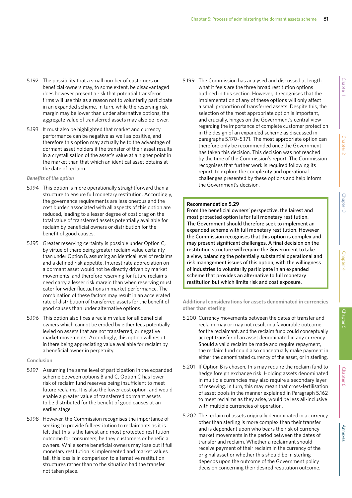- 5.192 The possibility that a small number of customers or beneficial owners may, to some extent, be disadvantaged does however present a risk that potential transferor firms will use this as a reason not to voluntarily participate in an expanded scheme. In turn, while the reserving risk margin may be lower than under alternative options, the aggregate value of transferred assets may also be lower.
- 5.193 It must also be highlighted that market and currency performance can be negative as well as positive, and therefore this option may actually be to the advantage of dormant asset holders if the transfer of their asset results in a crystallisation of the asset's value at a higher point in the market than that which an identical asset obtains at the date of reclaim.

## *Benefits of the option*

- 5.194 This option is more operationally straightforward than a structure to ensure full monetary restitution. Accordingly, the governance requirements are less onerous and the cost burden associated with all aspects of this option are reduced, leading to a lesser degree of cost drag on the total value of transferred assets potentially available for reclaim by beneficial owners or distribution for the benefit of good causes.
- 5.195 Greater reserving certainty is possible under Option C, by virtue of there being greater reclaim value certainty than under Option B, assuming an identical level of reclaims and a defined risk appetite. Interest rate appreciation on a dormant asset would not be directly driven by market movements, and therefore reserving for future reclaims need carry a lesser risk margin than when reserving must cater for wider fluctuations in market performance. The combination of these factors may result in an accelerated rate of distribution of transferred assets for the benefit of good causes than under alternative options.
- 5.196 This option also fixes a reclaim value for all beneficial owners which cannot be eroded by either fees potentially levied on assets that are not transferred, or negative market movements. Accordingly, this option will result in there being appreciating value available for reclaim by a beneficial owner in perpetuity.

## **Conclusion**

- 5.197 Assuming the same level of participation in the expanded scheme between options B and C, Option C has lower risk of reclaim fund reserves being insufficient to meet future reclaims. It is also the lower cost option, and would enable a greater value of transferred dormant assets to be distributed for the benefit of good causes at an earlier stage.
- 5.198 However, the Commission recognises the importance of seeking to provide full restitution to reclaimants as it is felt that this is the fairest and most protected restitution outcome for consumers, be they customers or beneficial owners. While some beneficial owners may lose out if full monetary restitution is implemented and market values fall, this loss is in comparison to alternative restitution structures rather than to the situation had the transfer not taken place.

5.199 The Commission has analysed and discussed at length what it feels are the three broad restitution options outlined in this section. However, it recognises that the implementation of any of these options will only affect a small proportion of transferred assets. Despite this, the selection of the most appropriate option is important, and crucially, hinges on the Government's central view regarding the importance of complete customer protection in the design of an expanded scheme as discussed in paragraphs 5.170–5.171. The most appropriate option can therefore only be recommended once the Government has taken this decision. This decision was not reached by the time of the Commission's report. The Commission recognises that further work is required following its report, to explore the complexity and operational challenges presented by these options and help inform the Government's decision.

## **Recommendation 5.29**

From the beneficial owners' perspective, the fairest and most protected option is for full monetary restitution. The Government should therefore seek to implement an expanded scheme with full monetary restitution. However the Commission recognises that this option is complex and may present significant challenges. A final decision on the restitution structure will require the Government to take a view, balancing the potentially substantial operational and risk management issues of this option, with the willingness of industries to voluntarily participate in an expanded scheme that provides an alternative to full monetary restitution but which limits risk and cost exposure.

**Additional considerations for assets denominated in currencies other than sterling**

- 5.200 Currency movements between the dates of transfer and reclaim may or may not result in a favourable outcome for the reclaimant, and the reclaim fund could conceptually accept transfer of an asset denominated in any currency. Should a valid reclaim be made and require repayment, the reclaim fund could also conceptually make payment in either the denominated currency of the asset, or in sterling.
- 5.201 If Option B is chosen, this may require the reclaim fund to hedge foreign exchange risk. Holding assets denominated in multiple currencies may also require a secondary layer of reserving. In turn, this may mean that cross-fertilisation of asset pools in the manner explained in Paragraph 5.162 to meet reclaims as they arise, would be less all-inclusive with multiple currencies of operation.
- 5.202 The reclaim of assets originally denominated in a currency other than sterling is more complex than their transfer and is dependent upon who bears the risk of currency market movements in the period between the dates of transfer and reclaim. Whether a reclaimant should receive payment of their reclaim in the currency of the original asset or whether this should be in sterling depends upon the outcome of the Government policy decision concerning their desired restitution outcome.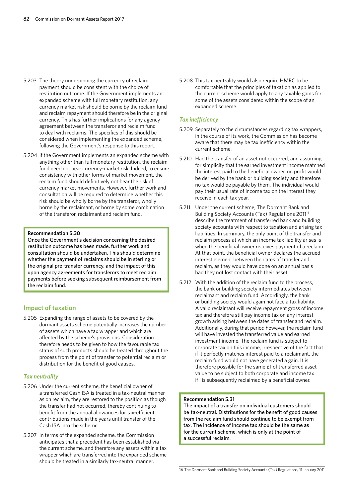- 5.203 The theory underpinning the currency of reclaim payment should be consistent with the choice of restitution outcome. If the Government implements an expanded scheme with full monetary restitution, any currency market risk should be borne by the reclaim fund and reclaim repayment should therefore be in the original currency. This has further implications for any agency agreement between the transferor and reclaim fund to deal with reclaims. The specifics of this should be considered when implementing the expanded scheme, following the Government's response to this report.
- 5.204 If the Government implements an expanded scheme with anything other than full monetary restitution, the reclaim fund need not bear currency-market risk. Indeed, to ensure consistency with other forms of market movement, the reclaim fund should definitively not bear the risk of currency market movements. However, further work and consultation will be required to determine whether this risk should be wholly borne by the transferor, wholly borne by the reclaimant, or borne by some combination of the transferor, reclaimant and reclaim fund.

## **Recommendation 5.30**

Once the Government's decision concerning the desired restitution outcome has been made, further work and consultation should be undertaken. This should determine whether the payment of reclaims should be in sterling or the original pre-transfer currency, and the impact of this upon agency agreements for transferors to meet reclaim payments before seeking subsequent reimbursement from the reclaim fund.

## **Impact of taxation**

5.205 Expanding the range of assets to be covered by the dormant assets scheme potentially increases the number of assets which have a tax wrapper and which are affected by the scheme's provisions. Consideration therefore needs to be given to how the favourable tax status of such products should be treated throughout the process from the point of transfer to potential reclaim or distribution for the benefit of good causes.

## *Tax neutrality*

- 5.206 Under the current scheme, the beneficial owner of a transferred Cash ISA is treated in a tax-neutral manner as on reclaim, they are restored to the position as though the transfer had not occurred, thereby continuing to benefit from the annual allowances for tax-efficient contributions made in the years until transfer of the Cash ISA into the scheme.
- 5.207 In terms of the expanded scheme, the Commission anticipates that a precedent has been established via the current scheme, and therefore any assets within a tax wrapper which are transferred into the expanded scheme should be treated in a similarly tax-neutral manner.

5.208 This tax neutrality would also require HMRC to be comfortable that the principles of taxation as applied to the current scheme would apply to any taxable gains for some of the assets considered within the scope of an expanded scheme.

## *Tax inefficiency*

- 5.209 Separately to the circumstances regarding tax wrappers, in the course of its work, the Commission has become aware that there may be tax inefficiency within the current scheme.
- 5.210 Had the transfer of an asset not occurred, and assuming for simplicity that the earned investment income matched the interest paid to the beneficial owner, no profit would be derived by the bank or building society and therefore no tax would be payable by them. The individual would pay their usual rate of income tax on the interest they receive in each tax year.
- 5.211 Under the current scheme, The Dormant Bank and Building Society Accounts (Tax) Regulations 2011<sup>16</sup> describe the treatment of transferred bank and building society accounts with respect to taxation and arising tax liabilities. In summary, the only point of the transfer and reclaim process at which an income tax liability arises is when the beneficial owner receives payment of a reclaim. At that point, the beneficial owner declares the accrued interest element between the dates of transfer and reclaim, as they would have done on an annual basis had they not lost contact with their asset.
- 5.212 With the addition of the reclaim fund to the process, the bank or building society intermediates between reclaimant and reclaim fund. Accordingly, the bank or building society would again not face a tax liability. A valid reclaimant will receive repayment gross of income tax and therefore still pay income tax on any interest growth arising between the dates of transfer and reclaim. Additionally, during that period however, the reclaim fund will have invested the transferred value and earned investment income. The reclaim fund is subject to corporate tax on this income, irrespective of the fact that if it perfectly matches interest paid to a reclaimant, the reclaim fund would not have generated a gain. It is therefore possible for the same £1 of transferred asset value to be subject to both corporate and income tax if i is subsequently reclaimed by a beneficial owner.

## **Recommendation 5.31**

The impact of a transfer on individual customers should be tax-neutral. Distributions for the benefit of good causes from the reclaim fund should continue to be exempt from tax. The incidence of income tax should be the same as for the current scheme, which is only at the point of a successful reclaim.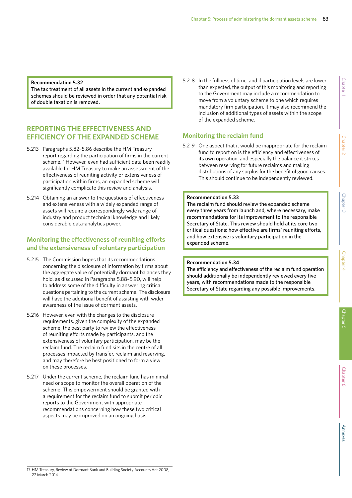The tax treatment of all assets in the current and expanded schemes should be reviewed in order that any potential risk of double taxation is removed.

# **REPORTING THE EFFECTIVENESS AND EFFICIENCY OF THE EXPANDED SCHEME**

- 5.213 Paragraphs 5.82–5.86 describe the HM Treasury report regarding the participation of firms in the current scheme.<sup>17</sup> However, even had sufficient data been readily available for HM Treasury to make an assessment of the effectiveness of reuniting activity or extensiveness of participation within firms, an expanded scheme will significantly complicate this review and analysis.
- 5.214 Obtaining an answer to the questions of effectiveness and extensiveness with a widely expanded range of assets will require a correspondingly wide range of industry and product technical knowledge and likely considerable data-analytics power.

# **Monitoring the effectiveness of reuniting efforts and the extensiveness of voluntary participation**

- 5.215 The Commission hopes that its recommendations concerning the disclosure of information by firms about the aggregate value of potentially dormant balances they hold, as discussed in Paragraphs 5.88–5.90, will help to address some of the difficulty in answering critical questions pertaining to the current scheme. The disclosure will have the additional benefit of assisting with wider awareness of the issue of dormant assets.
- 5.216 However, even with the changes to the disclosure requirements, given the complexity of the expanded scheme, the best party to review the effectiveness of reuniting efforts made by participants, and the extensiveness of voluntary participation, may be the reclaim fund. The reclaim fund sits in the centre of all processes impacted by transfer, reclaim and reserving, and may therefore be best positioned to form a view on these processes.
- 5.217 Under the current scheme, the reclaim fund has minimal need or scope to monitor the overall operation of the scheme. This empowerment should be granted with a requirement for the reclaim fund to submit periodic reports to the Government with appropriate recommendations concerning how these two critical aspects may be improved on an ongoing basis.

5.218 In the fullness of time, and if participation levels are lower than expected, the output of this monitoring and reporting to the Government may include a recommendation to move from a voluntary scheme to one which requires mandatory firm participation. It may also recommend the inclusion of additional types of assets within the scope of the expanded scheme.

# **Monitoring the reclaim fund**

5.219 One aspect that it would be inappropriate for the reclaim fund to report on is the efficiency and effectiveness of its own operation, and especially the balance it strikes between reserving for future reclaims and making distributions of any surplus for the benefit of good causes. This should continue to be independently reviewed.

## **Recommendation 5.33**

The reclaim fund should review the expanded scheme every three years from launch and, where necessary, make recommendations for its improvement to the responsible Secretary of State. This review should hold at its core two critical questions: how effective are firms' reuniting efforts, and how extensive is voluntary participation in the expanded scheme.

## **Recommendation 5.34**

The efficiency and effectiveness of the reclaim fund operation should additionally be independently reviewed every five years, with recommendations made to the responsible Secretary of State regarding any possible improvements.

<sup>17</sup> HM Treasury, Review of Dormant Bank and Building Society Accounts Act 2008, 27 March 2014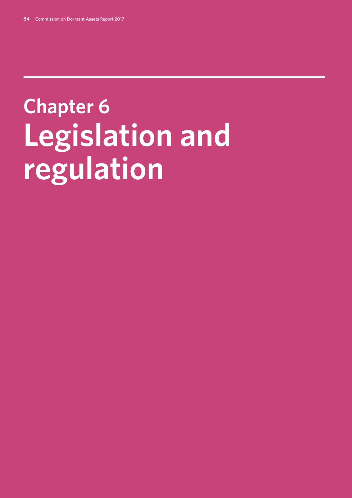# **Chapter 6: Legislation and regulation**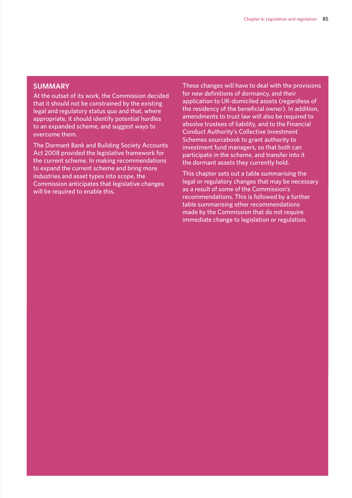# **SUMMARY**

At the outset of its work, the Commission decided that it should not be constrained by the existing legal and regulatory status quo and that, where appropriate, it should identify potential hurdles to an expanded scheme, and suggest ways to overcome them.

The Dormant Bank and Building Society Accounts Act 2008 provided the legislative framework for the current scheme. In making recommendations to expand the current scheme and bring more industries and asset types into scope, the Commission anticipates that legislative changes will be required to enable this.

These changes will have to deal with the provisions for new definitions of dormancy, and their application to UK-domiciled assets (regardless of the residency of the beneficial owner). In addition, amendments to trust law will also be required to absolve trustees of liability, and to the Financial Conduct Authority's Collective Investment Schemes sourcebook to grant authority to investment fund managers, so that both can participate in the scheme, and transfer into it the dormant assets they currently hold.

This chapter sets out a table summarising the legal or regulatory changes that may be necessary as a result of some of the Commission's recommendations. This is followed by a further table summarising other recommendations made by the Commission that do not require immediate change to legislation or regulation.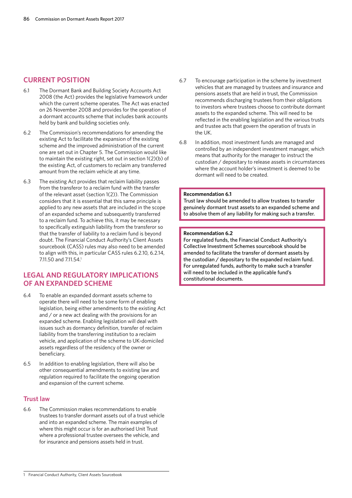# **CURRENT POSITION**

- 6.1 The Dormant Bank and Building Society Accounts Act 2008 (the Act) provides the legislative framework under which the current scheme operates. The Act was enacted on 26 November 2008 and provides for the operation of a dormant accounts scheme that includes bank accounts held by bank and building societies only.
- 6.2 The Commission's recommendations for amending the existing Act to facilitate the expansion of the existing scheme and the improved administration of the current one are set out in Chapter 5. The Commission would like to maintain the existing right, set out in section 1(2)(b) of the existing Act, of customers to reclaim any transferred amount from the reclaim vehicle at any time.
- 6.3 The existing Act provides that reclaim liability passes from the transferor to a reclaim fund with the transfer of the relevant asset (section 1(2)). The Commission considers that it is essential that this same principle is applied to any new assets that are included in the scope of an expanded scheme and subsequently transferred to a reclaim fund. To achieve this, it may be necessary to specifically extinguish liability from the transferor so that the transfer of liability to a reclaim fund is beyond doubt. The Financial Conduct Authority's Client Assets sourcebook (CASS) rules may also need to be amended to align with this, in particular CASS rules 6.2.10, 6.2.14, 7.11.50 and 7.11.54.<sup>1</sup>

# **LEGAL AND REGULATORY IMPLICATIONS OF AN EXPANDED SCHEME**

- 6.4 To enable an expanded dormant assets scheme to operate there will need to be some form of enabling legislation, being either amendments to the existing Act and / or a new act dealing with the provisions for an expanded scheme. Enabling legislation will deal with issues such as dormancy definition, transfer of reclaim liability from the transferring institution to a reclaim vehicle, and application of the scheme to UK-domiciled assets regardless of the residency of the owner or beneficiary.
- 6.5 In addition to enabling legislation, there will also be other consequential amendments to existing law and regulation required to facilitate the ongoing operation and expansion of the current scheme.

# **Trust law**

6.6 The Commission makes recommendations to enable trustees to transfer dormant assets out of a trust vehicle and into an expanded scheme. The main examples of where this might occur is for an authorised Unit Trust where a professional trustee oversees the vehicle, and for insurance and pensions assets held in trust.

- 6.7 To encourage participation in the scheme by investment vehicles that are managed by trustees and insurance and pensions assets that are held in trust, the Commission recommends discharging trustees from their obligations to investors where trustees choose to contribute dormant assets to the expanded scheme. This will need to be reflected in the enabling legislation and the various trusts and trustee acts that govern the operation of trusts in the UK.
- 6.8 In addition, most investment funds are managed and controlled by an independent investment manager, which means that authority for the manager to instruct the custodian / depositary to release assets in circumstances where the account holder's investment is deemed to be dormant will need to be created.

## **Recommendation 6.1**

Trust law should be amended to allow trustees to transfer genuinely dormant trust assets to an expanded scheme and to absolve them of any liability for making such a transfer.

#### **Recommendation 6.2**

For regulated funds, the Financial Conduct Authority's Collective Investment Schemes sourcebook should be amended to facilitate the transfer of dormant assets by the custodian / depositary to the expanded reclaim fund. For unregulated funds, authority to make such a transfer will need to be included in the applicable fund's constitutional documents.

<sup>1</sup> Financial Conduct Authority, Client Assets Sourcebook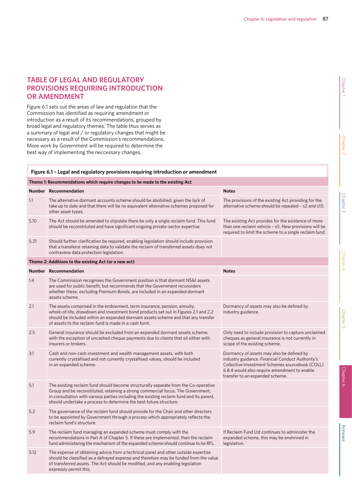# **TABLE OF LEGAL AND REGULATORY PROVISIONS REQUIRING INTRODUCTION OR AMENDMENT**

Figure 6.1 sets out the areas of law and regulation that the Commission has identified as requiring amendment or introduction as a result of its recommendations, grouped by broad legal and regulatory themes. The table thus serves as a summary of legal and / or regulatory changes that might be necessary as a result of the Commission's recommendations. More work by Government will be required to determine the best way of implementing the neccessary changes.

## **Figure 6.1 – Legal and regulatory provisions requiring introduction or amendment**

|      | Theme 1: Recommendations which require changes to be made to the existing Act                                                                                                                                                                                                                                                             |                                                                                                                                                                                                                                     |
|------|-------------------------------------------------------------------------------------------------------------------------------------------------------------------------------------------------------------------------------------------------------------------------------------------------------------------------------------------|-------------------------------------------------------------------------------------------------------------------------------------------------------------------------------------------------------------------------------------|
|      | Number Recommendation                                                                                                                                                                                                                                                                                                                     | <b>Notes</b>                                                                                                                                                                                                                        |
| 1.1  | The alternative dormant accounts scheme should be abolished, given the lack of<br>take up to date and that there will be no equivalent alternative schemes proposed for<br>other asset types.                                                                                                                                             | The provisions of the existing Act providing for the<br>alternative scheme should be repealed - s2 and s13.                                                                                                                         |
| 5.10 | The Act should be amended to stipulate there be only a single reclaim fund. This fund<br>should be reconstituted and have significant ongoing private-sector expertise.                                                                                                                                                                   | The existing Act provides for the existence of more<br>than one reclaim vehicle - s5. New provisions will be<br>required to limit the scheme to a single reclaim fund.                                                              |
| 5.21 | Should further clarification be required, enabling legislation should include provision<br>that a transferor retaining data to validate the reclaim of transferred assets does not<br>contravene data protection legislation.                                                                                                             |                                                                                                                                                                                                                                     |
|      | Theme 2: Additions to the existing Act (or a new act)                                                                                                                                                                                                                                                                                     |                                                                                                                                                                                                                                     |
|      | Number Recommendation                                                                                                                                                                                                                                                                                                                     | <b>Notes</b>                                                                                                                                                                                                                        |
| 1.4  | The Commission recognises the Government position is that dormant NS&I assets<br>are used for public benefit, but recommends that the Government reconsiders<br>whether these, excluding Premium Bonds, are included in an expanded dormant<br>assets scheme.                                                                             |                                                                                                                                                                                                                                     |
| 2.1  | The assets comprised in the endowment, term insurance, pension, annuity,<br>whole-of-life, drawdown and investment bond products set out in Figures 2.1 and 2.2<br>should be included within an expanded dormant assets scheme and that any transfer<br>of assets to the reclaim fund is made in a cash form.                             | Dormancy of assets may also be defined by<br>industry guidance.                                                                                                                                                                     |
| 2.5  | General insurance should be excluded from an expanded dormant assets scheme,<br>with the exception of uncashed cheque payments due to clients that sit either with<br>insurers or brokers.                                                                                                                                                | Only need to include provision to capture unclaimed<br>cheques as general insurance is not currently in<br>scope of the existing scheme.                                                                                            |
| 3.1  | Cash and non-cash investment and wealth management assets, with both<br>currently crystallised and not currently crystallised values, should be included<br>in an expanded scheme.                                                                                                                                                        | Dormancy of assets may also be defined by<br>industry guidance. Financial Conduct Authority's<br>Collective Investment Schemes sourcebook (COLL)<br>6.8.4 would also require amendment to enable<br>transfer to an expanded scheme. |
| 5.1  | The existing reclaim fund should become structurally separate from the Co-operative<br>Group and be reconstituted, retaining a strong commercial focus. The Government,<br>in consultation with various parties including the existing reclaim fund and its parent,<br>should undertake a process to determine the best future structure. |                                                                                                                                                                                                                                     |
| 5.2  | The governance of the reclaim fund should provide for the Chair and other directors<br>to be appointed by Government through a process which appropriately reflects the<br>reclaim fund's structure.                                                                                                                                      |                                                                                                                                                                                                                                     |
| 5.9  | The reclaim fund managing an expanded scheme must comply with the<br>recommendations in Part A of Chapter 5. If these are implemented, then the reclaim<br>fund administering the mechanism of the expanded scheme should continue to be RFL.                                                                                             | If Reclaim Fund Ltd continues to administer the<br>expanded scheme, this may be enshrined in<br>legislation.                                                                                                                        |
| 5.12 | The expense of obtaining advice from a technical panel and other outside expertise<br>should be classified as a defrayed expense and therefore may be funded from the value<br>of transferred assets. The Act should be modified, and any enabling legislation<br>expressly permit this.                                                  |                                                                                                                                                                                                                                     |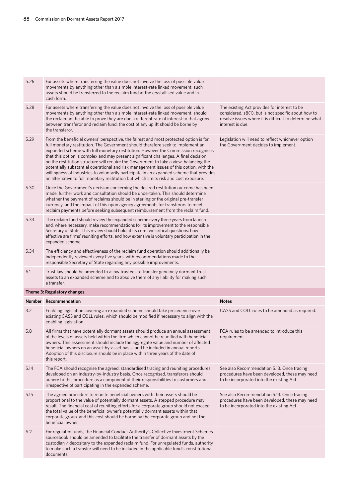| 5.26 | For assets where transferring the value does not involve the loss of possible value<br>movements by anything other than a simple interest-rate linked movement, such<br>assets should be transferred to the reclaim fund at the crystallised value and in<br>cash form.                                                                                                                                                                                                                                                                                                                                                                                                                                                        |                                                                                                                                                                                   |
|------|--------------------------------------------------------------------------------------------------------------------------------------------------------------------------------------------------------------------------------------------------------------------------------------------------------------------------------------------------------------------------------------------------------------------------------------------------------------------------------------------------------------------------------------------------------------------------------------------------------------------------------------------------------------------------------------------------------------------------------|-----------------------------------------------------------------------------------------------------------------------------------------------------------------------------------|
| 5.28 | For assets where transferring the value does not involve the loss of possible value<br>movements by anything other than a simple interest-rate linked movement, should<br>the reclaimant be able to prove they are due a different rate of interest to that agreed<br>between transferor and reclaim fund, the cost of any uplift should be borne by<br>the transferor.                                                                                                                                                                                                                                                                                                                                                        | The existing Act provides for interest to be<br>considered, s8(1), but is not specific about how to<br>resolve issues where it is difficult to determine what<br>interest is due. |
| 5.29 | From the beneficial owners' perspective, the fairest and most protected option is for<br>full monetary restitution. The Government should therefore seek to implement an<br>expanded scheme with full monetary restitution. However the Commission recognises<br>that this option is complex and may present significant challenges. A final decision<br>on the restitution structure will require the Government to take a view, balancing the<br>potentially substantial operational and risk management issues of this option, with the<br>willingness of industries to voluntarily participate in an expanded scheme that provides<br>an alternative to full monetary restitution but which limits risk and cost exposure. | Legislation will need to reflect whichever option<br>the Government decides to implement.                                                                                         |
| 5.30 | Once the Government's decision concerning the desired restitution outcome has been<br>made, further work and consultation should be undertaken. This should determine<br>whether the payment of reclaims should be in sterling or the original pre-transfer<br>currency, and the impact of this upon agency agreements for transferors to meet<br>reclaim payments before seeking subsequent reimbursement from the reclaim fund.                                                                                                                                                                                                                                                                                              |                                                                                                                                                                                   |
| 5.33 | The reclaim fund should review the expanded scheme every three years from launch<br>and, where necessary, make recommendations for its improvement to the responsible<br>Secretary of State. This review should hold at its core two critical questions: how<br>effective are firms' reuniting efforts, and how extensive is voluntary participation in the<br>expanded scheme.                                                                                                                                                                                                                                                                                                                                                |                                                                                                                                                                                   |
| 5.34 | The efficiency and effectiveness of the reclaim fund operation should additionally be<br>independently reviewed every five years, with recommendations made to the<br>responsible Secretary of State regarding any possible improvements.                                                                                                                                                                                                                                                                                                                                                                                                                                                                                      |                                                                                                                                                                                   |
| 6.1  | Trust law should be amended to allow trustees to transfer genuinely dormant trust                                                                                                                                                                                                                                                                                                                                                                                                                                                                                                                                                                                                                                              |                                                                                                                                                                                   |
|      | assets to an expanded scheme and to absolve them of any liability for making such<br>a transfer.                                                                                                                                                                                                                                                                                                                                                                                                                                                                                                                                                                                                                               |                                                                                                                                                                                   |
|      | Theme 3: Regulatory changes                                                                                                                                                                                                                                                                                                                                                                                                                                                                                                                                                                                                                                                                                                    |                                                                                                                                                                                   |
|      | Number Recommendation                                                                                                                                                                                                                                                                                                                                                                                                                                                                                                                                                                                                                                                                                                          | <b>Notes</b>                                                                                                                                                                      |
| 3.2  | Enabling legislation covering an expanded scheme should take precedence over<br>existing CASS and COLL rules, which should be modified if necessary to align with the<br>enabling legislation.                                                                                                                                                                                                                                                                                                                                                                                                                                                                                                                                 | CASS and COLL rules to be amended as required.                                                                                                                                    |
| 5.8  | All firms that have potentially dormant assets should produce an annual assessment<br>of the levels of assets held within the firm which cannot be reunified with beneficial<br>owners. This assessment should include the aggregate value and number of affected<br>beneficial owners on an asset-by-asset basis, and be included in annual reports.<br>Adoption of this disclosure should be in place within three years of the date of<br>this report.                                                                                                                                                                                                                                                                      | FCA rules to be amended to introduce this<br>requirement.                                                                                                                         |
| 5.14 | The FCA should recognise the agreed, standardised tracing and reuniting procedures<br>developed on an industry-by-industry basis. Once recognised, transferors should<br>adhere to this procedure as a component of their responsibilities to customers and<br>irrespective of participating in the expanded scheme.                                                                                                                                                                                                                                                                                                                                                                                                           | See also Recommendation 5.13. Once tracing<br>procedures have been developed, these may need<br>to be incorporated into the existing Act.                                         |
| 5.15 | The agreed procedure to reunite beneficial owners with their assets should be<br>proportional to the value of potentially dormant assets. A stepped procedure may<br>result. The financial cost of reuniting efforts for a corporate group should not exceed<br>the total value of the beneficial owner's potentially dormant assets within that<br>corporate group, and this cost should be borne by the corporate group and not the<br>beneficial owner.                                                                                                                                                                                                                                                                     | See also Recommendation 5.13. Once tracing<br>procedures have been developed, these may need<br>to be incorporated into the existing Act.                                         |
| 6.2  | For regulated funds, the Financial Conduct Authority's Collective Investment Schemes<br>sourcebook should be amended to facilitate the transfer of dormant assets by the<br>custodian / depositary to the expanded reclaim fund. For unregulated funds, authority<br>to make such a transfer will need to be included in the applicable fund's constitutional<br>documents.                                                                                                                                                                                                                                                                                                                                                    |                                                                                                                                                                                   |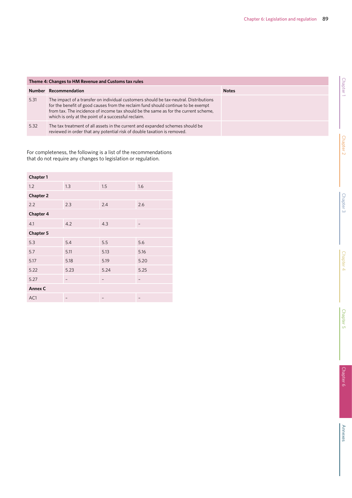| Theme 4: Changes to HM Revenue and Customs tax rules |                                                                                                                                                                                                                                                                                                                          |              |  |  |
|------------------------------------------------------|--------------------------------------------------------------------------------------------------------------------------------------------------------------------------------------------------------------------------------------------------------------------------------------------------------------------------|--------------|--|--|
|                                                      | Number Recommendation                                                                                                                                                                                                                                                                                                    | <b>Notes</b> |  |  |
| 5.31                                                 | The impact of a transfer on individual customers should be tax-neutral. Distributions<br>for the benefit of good causes from the reclaim fund should continue to be exempt<br>from tax. The incidence of income tax should be the same as for the current scheme,<br>which is only at the point of a successful reclaim. |              |  |  |
| 5.32                                                 | The tax treatment of all assets in the current and expanded schemes should be<br>reviewed in order that any potential risk of double taxation is removed.                                                                                                                                                                |              |  |  |

For completeness, the following is a list of the recommendations that do not require any changes to legislation or regulation.

| Chapter 1        |                   |      |                   |  |  |  |  |  |
|------------------|-------------------|------|-------------------|--|--|--|--|--|
| 1.2              | 1.3               | 1.5  | 1.6               |  |  |  |  |  |
| <b>Chapter 2</b> |                   |      |                   |  |  |  |  |  |
| 2.2              | 2.3               | 2.4  | 2.6               |  |  |  |  |  |
| Chapter 4        |                   |      |                   |  |  |  |  |  |
| 4.1              | 4.2               | 4.3  |                   |  |  |  |  |  |
| Chapter 5        |                   |      |                   |  |  |  |  |  |
| 5.3              | 5.4               | 5.5  | 5.6               |  |  |  |  |  |
| 5.7              | 5.11              | 5.13 | 5.16              |  |  |  |  |  |
| 5.17             | 5.18              | 5.19 | 5.20              |  |  |  |  |  |
| 5.22             | 5.23              | 5.24 | 5.25              |  |  |  |  |  |
| 5.27             | $\qquad \qquad -$ | -    | $\qquad \qquad -$ |  |  |  |  |  |
| Annex C          |                   |      |                   |  |  |  |  |  |
| AC1              |                   |      |                   |  |  |  |  |  |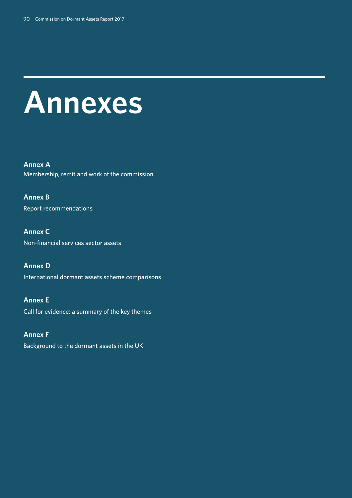# **Annexes**

**Annex A**  Membership, remit and work of the commission

**Annex B**  Report recommendations

**Annex C**  Non-financial services sector assets

**Annex D**  International dormant assets scheme comparisons

**Annex E**  Call for evidence: a summary of the key themes

**Annex F**  Background to the dormant assets in the UK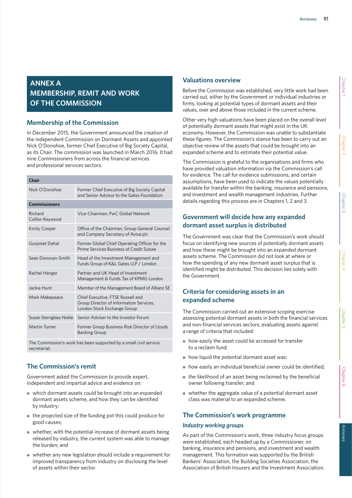# **ANNEX A MEMBERSHIP, REMIT AND WORK OF THE COMMISSION**

# **Membership of the Commission**

In December 2015, the Government announced the creation of the independent Commission on Dormant Assets and appointed Nick O'Donohoe, former Chief Executive of Big Society Capital, as its Chair. The commission was launched in March 2016. It had nine Commissioners from across the financial services and professional services sectors.

| Chair                      |                                                                                                             |  |  |  |
|----------------------------|-------------------------------------------------------------------------------------------------------------|--|--|--|
| Nick O'Donohoe             | Former Chief Executive of Big Society Capital<br>and Senior Advisor to the Gates Foundation                 |  |  |  |
| <b>Commissioners</b>       |                                                                                                             |  |  |  |
| Richard<br>Collier-Keywood | Vice-Chairman, PwC Global Network                                                                           |  |  |  |
| Kirsty Cooper              | Office of the Chairman, Group General Counsel<br>and Company Secretary of Aviva plc                         |  |  |  |
| <b>Gurpreet Dehal</b>      | Former Global Chief Operating Officer for the<br>Prime Services Business of Credit Suisse                   |  |  |  |
| Sean Donovan-Smith         | Head of the Investment Management and<br>Funds Group of K&L Gates LLP / London                              |  |  |  |
| Rachel Hanger              | Partner and UK Head of Investment<br>Management & Funds Tax of KPMG London                                  |  |  |  |
| Jackie Hunt                | Member of the Management Board of Allianz SE                                                                |  |  |  |
| Mark Makepeace             | Chief Executive, FTSE Russell and<br>Group Director of Information Services,<br>London Stock Exchange Group |  |  |  |
| Susan Sternglass Noble     | Senior Adviser to the Investor Forum                                                                        |  |  |  |
| Martin Turner              | Former Group Business Risk Director of Lloyds<br><b>Banking Group</b>                                       |  |  |  |

The Commission's work has been supported by a small civil service secretariat.

# **The Commission's remit**

Government asked the Commission to provide expert, independent and impartial advice and evidence on:

- which dormant assets could be brought into an expanded dormant assets scheme, and how they can be identified by industry;
- the projected size of the funding pot this could produce for good causes;
- whether, with the potential increase of dormant assets being released by industry, the current system was able to manage the burden; and
- whether any new legislation should include a requirement for improved transparency from industry on disclosing the level of assets within their sector.

# **Valuations overview**

Before the Commission was established, very little work had been carried out, either by the Government or individual industries or firms, looking at potential types of dormant assets and their values, over and above those included in the current scheme.

Other very high valuations have been placed on the overall level of potentially dormant assets that might exist in the UK economy. However, the Commission was unable to substantiate these figures. The Commission's stance has been to carry out an objective review of the assets that could be brought into an expanded scheme and to estimate their potential value.

The Commission is grateful to the organisations and firms who have provided valuation information via the Commission's call for evidence. The call for evidence submissions, and certain assumptions, have been used to indicate the values potentially available for transfer within the banking, insurance and pensions, and investment and wealth management industries. Further details regarding this process are in Chapters 1, 2 and 3.

# **Government will decide how any expanded dormant asset surplus is distributed**

The Government was clear that the Commission's work should focus on identifying new sources of potentially dormant assets and how these might be brought into an expanded dormant assets scheme. The Commission did not look at where or how the spending of any new dormant asset surplus that is identified might be distributed. This decision lies solely with the Government.

# **Criteria for considering assets in an expanded scheme**

The Commission carried out an extensive scoping exercise assessing potential dormant assets in both the financial services and non-financial services sectors, evaluating assets against a range of criteria that included:

- how easily the asset could be accessed for transfer to a reclaim fund;
- how liquid the potential dormant asset was;
- how easily an individual beneficial owner could be identified;
- the likelihood of an asset being reclaimed by the beneficial owner following transfer; and
- whether the aggregate value of a potential dormant asset class was material to an expanded scheme.

# **The Commission's work programme**

## *Industry working groups*

As part of the Commission's work, three industry focus groups were established, each headed up by a Commissioner, on banking, insurance and pensions, and investment and wealth management. This formation was supported by the British Bankers' Association, the Building Societies Association, the Association of British Insurers and the Investment Association.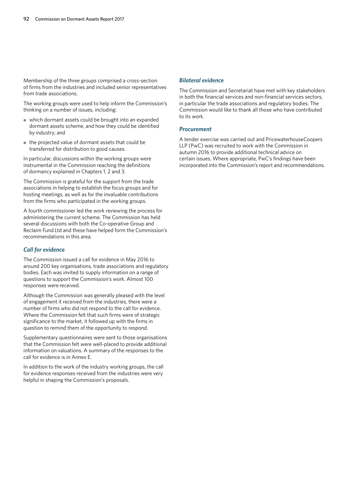Membership of the three groups comprised a cross-section of firms from the industries and included senior representatives from trade associations.

The working groups were used to help inform the Commission's thinking on a number of issues, including:

- which dormant assets could be brought into an expanded dormant assets scheme, and how they could be identified by industry; and
- the projected value of dormant assets that could be transferred for distribution to good causes.

In particular, discussions within the working groups were instrumental in the Commission reaching the definitions of dormancy explained in Chapters 1, 2 and 3.

The Commission is grateful for the support from the trade associations in helping to establish the focus groups and for hosting meetings, as well as for the invaluable contributions from the firms who participated in the working groups.

A fourth commissioner led the work reviewing the process for administering the current scheme. The Commission has held several discussions with both the Co-operative Group and Reclaim Fund Ltd and these have helped form the Commission's recommendations in this area.

## *Call for evidence*

The Commission issued a call for evidence in May 2016 to around 200 key organisations, trade associations and regulatory bodies. Each was invited to supply information on a range of questions to support the Commission's work. Almost 100 responses were received.

Although the Commission was generally pleased with the level of engagement it received from the industries, there were a number of firms who did not respond to the call for evidence. Where the Commission felt that such firms were of strategic significance to the market, it followed up with the firms in question to remind them of the opportunity to respond.

Supplementary questionnaires were sent to those organisations that the Commission felt were well-placed to provide additional information on valuations. A summary of the responses to the call for evidence is in Annex E.

In addition to the work of the industry working groups, the call for evidence responses received from the industries were very helpful in shaping the Commission's proposals.

## *Bilateral evidence*

The Commission and Secretariat have met with key stakeholders in both the financial services and non-financial services sectors, in particular the trade associations and regulatory bodies. The Commission would like to thank all those who have contributed to its work.

## *Procurement*

A tender exercise was carried out and PricewaterhouseCoopers LLP (PwC) was recruited to work with the Commission in autumn 2016 to provide additional technical advice on certain issues. Where appropriate, PwC's findings have been incorporated into the Commission's report and recommendations.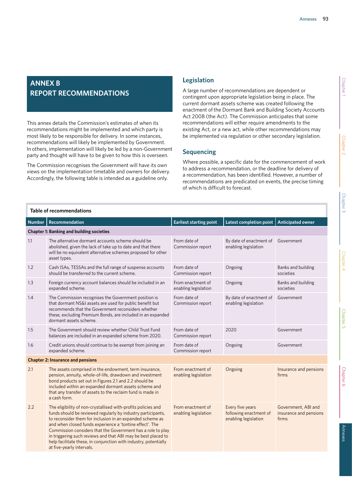# **ANNEX B REPORT RECOMMENDATIONS**

This annex details the Commission's estimates of when its recommendations might be implemented and which party is most likely to be responsible for delivery. In some instances, recommendations will likely be implemented by Government. In others, implementation will likely be led by a non-Government party and thought will have to be given to how this is overseen.

The Commission recognises the Government will have its own views on the implementation timetable and owners for delivery. Accordingly, the following table is intended as a guideline only.

# **Legislation**

A large number of recommendations are dependent or contingent upon appropriate legislation being in place. The current dormant assets scheme was created following the enactment of the Dormant Bank and Building Society Accounts Act 2008 (the Act). The Commission anticipates that some recommendations will either require amendments to the existing Act, or a new act, while other recommendations may be implemented via regulation or other secondary legislation.

# **Sequencing**

Where possible, a specific date for the commencement of work to address a recommendation, or the deadline for delivery of a recommendation, has been identified. However, a number of recommendations are predicated on events, the precise timing of which is difficult to forecast.

|               | Table of recommendations                                                                                                                                                                                                                                                                                                                                                                                                                                                                |                                           |                                                                    |                                                        |
|---------------|-----------------------------------------------------------------------------------------------------------------------------------------------------------------------------------------------------------------------------------------------------------------------------------------------------------------------------------------------------------------------------------------------------------------------------------------------------------------------------------------|-------------------------------------------|--------------------------------------------------------------------|--------------------------------------------------------|
| <b>Number</b> | Recommendation                                                                                                                                                                                                                                                                                                                                                                                                                                                                          | <b>Earliest starting point</b>            | Latest completion point                                            | <b>Anticipated owner</b>                               |
|               | <b>Chapter 1: Banking and building societies</b>                                                                                                                                                                                                                                                                                                                                                                                                                                        |                                           |                                                                    |                                                        |
| 1.1           | The alternative dormant accounts scheme should be<br>abolished, given the lack of take up to date and that there<br>will be no equivalent alternative schemes proposed for other<br>asset types.                                                                                                                                                                                                                                                                                        | From date of<br>Commission report         | By date of enactment of<br>enabling legislation                    | Government                                             |
| 1.2           | Cash ISAs, TESSAs and the full range of suspense accounts<br>should be transferred to the current scheme.                                                                                                                                                                                                                                                                                                                                                                               | From date of<br>Commission report         | Ongoing                                                            | Banks and building<br>societies                        |
| 1.3           | Foreign currency account balances should be included in an<br>expanded scheme.                                                                                                                                                                                                                                                                                                                                                                                                          | From enactment of<br>enabling legislation | Ongoing                                                            | Banks and building<br>societies                        |
| 1.4           | The Commission recognises the Government position is<br>that dormant NS&I assets are used for public benefit but<br>recommends that the Government reconsiders whether<br>these, excluding Premium Bonds, are included in an expanded<br>dormant assets scheme.                                                                                                                                                                                                                         | From date of<br>Commission report         | By date of enactment of<br>enabling legislation                    | Government                                             |
| 1.5           | The Government should review whether Child Trust Fund<br>balances are included in an expanded scheme from 2020.                                                                                                                                                                                                                                                                                                                                                                         | From date of<br>Commission report         | 2020                                                               | Government                                             |
| 1.6           | Credit unions should continue to be exempt from joining an<br>expanded scheme.                                                                                                                                                                                                                                                                                                                                                                                                          | From date of<br>Commission report         | Ongoing                                                            | Government                                             |
|               | <b>Chapter 2: Insurance and pensions</b>                                                                                                                                                                                                                                                                                                                                                                                                                                                |                                           |                                                                    |                                                        |
| 2.1           | The assets comprised in the endowment, term insurance,<br>pension, annuity, whole-of-life, drawdown and investment<br>bond products set out in Figures 2.1 and 2.2 should be<br>included within an expanded dormant assets scheme and<br>that any transfer of assets to the reclaim fund is made in<br>a cash form.                                                                                                                                                                     | From enactment of<br>enabling legislation | Ongoing                                                            | Insurance and pensions<br>firms                        |
| 2.2           | The eligibility of non-crystallised with-profits policies and<br>funds should be reviewed regularly by industry participants,<br>to reconsider them for inclusion in an expanded scheme as<br>and when closed funds experience a 'tontine effect'. The<br>Commission considers that the Government has a role to play<br>in triggering such reviews and that ABI may be best placed to<br>help facilitate these, in conjunction with industry, potentially<br>at five-yearly intervals. | From enactment of<br>enabling legislation | Every five years<br>following enactment of<br>enabling legislation | Government, ABI and<br>insurance and pensions<br>firms |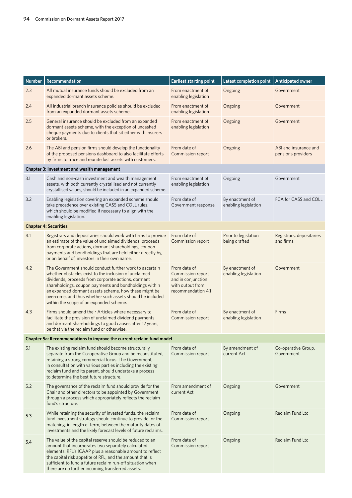| <b>Number</b> | Recommendation                                                                                                                                                                                                                                                                                                                                                                                     | <b>Earliest starting point</b>                                                                    | Latest completion point                 | <b>Anticipated owner</b>                    |
|---------------|----------------------------------------------------------------------------------------------------------------------------------------------------------------------------------------------------------------------------------------------------------------------------------------------------------------------------------------------------------------------------------------------------|---------------------------------------------------------------------------------------------------|-----------------------------------------|---------------------------------------------|
| 2.3           | All mutual insurance funds should be excluded from an<br>expanded dormant assets scheme.                                                                                                                                                                                                                                                                                                           | From enactment of<br>enabling legislation                                                         | Ongoing                                 | Government                                  |
| 2.4           | All industrial branch insurance policies should be excluded<br>from an expanded dormant assets scheme.                                                                                                                                                                                                                                                                                             | From enactment of<br>enabling legislation                                                         | Ongoing                                 | Government                                  |
| 2.5           | General insurance should be excluded from an expanded<br>dormant assets scheme, with the exception of uncashed<br>cheque payments due to clients that sit either with insurers<br>or brokers.                                                                                                                                                                                                      | From enactment of<br>enabling legislation                                                         | Ongoing                                 | Government                                  |
| 2.6           | The ABI and pension firms should develop the functionality<br>of the proposed pensions dashboard to also facilitate efforts<br>by firms to trace and reunite lost assets with customers.                                                                                                                                                                                                           | From date of<br>Commission report                                                                 | Ongoing                                 | ABI and insurance and<br>pensions providers |
|               | Chapter 3: Investment and wealth management                                                                                                                                                                                                                                                                                                                                                        |                                                                                                   |                                         |                                             |
| 3.1           | Cash and non-cash investment and wealth management<br>assets, with both currently crystallised and not currently<br>crystallised values, should be included in an expanded scheme.                                                                                                                                                                                                                 | From enactment of<br>enabling legislation                                                         | Ongoing                                 | Government                                  |
| 3.2           | Enabling legislation covering an expanded scheme should<br>take precedence over existing CASS and COLL rules,<br>which should be modified if necessary to align with the<br>enabling legislation.                                                                                                                                                                                                  | From date of<br>Government response                                                               | By enactment of<br>enabling legislation | FCA for CASS and COLL                       |
|               | <b>Chapter 4: Securities</b>                                                                                                                                                                                                                                                                                                                                                                       |                                                                                                   |                                         |                                             |
| 4.1           | Registrars and depositaries should work with firms to provide<br>an estimate of the value of unclaimed dividends, proceeds<br>from corporate actions, dormant shareholdings, coupon<br>payments and bondholdings that are held either directly by,<br>or on behalf of, investors in their own name.                                                                                                | From date of<br>Commission report                                                                 | Prior to legislation<br>being drafted   | Registrars, depositaries<br>and firms       |
| 4.2           | The Government should conduct further work to ascertain<br>whether obstacles exist to the inclusion of unclaimed<br>dividends, proceeds from corporate actions, dormant<br>shareholdings, coupon payments and bondholdings within<br>an expanded dormant assets scheme, how these might be<br>overcome, and thus whether such assets should be included<br>within the scope of an expanded scheme. | From date of<br>Commission report<br>and in conjunction<br>with output from<br>recommendation 4.1 | By enactment of<br>enabling legislation | Government                                  |
| 4.3           | Firms should amend their Articles where necessary to<br>facilitate the provision of unclaimed dividend payments<br>and dormant shareholdings to good causes after 12 years,<br>be that via the reclaim fund or otherwise.                                                                                                                                                                          | From date of<br>Commission report                                                                 | By enactment of<br>enabling legislation | Firms                                       |
|               | Chapter 5a: Recommendations to improve the current reclaim fund model                                                                                                                                                                                                                                                                                                                              |                                                                                                   |                                         |                                             |
| 5.1           | The existing reclaim fund should become structurally<br>separate from the Co-operative Group and be reconstituted,<br>retaining a strong commercial focus. The Government,<br>in consultation with various parties including the existing<br>reclaim fund and its parent, should undertake a process<br>to determine the best future structure.                                                    | From date of<br>Commission report                                                                 | By amendment of<br>current Act          | Co-operative Group,<br>Government           |
| 5.2           | The governance of the reclaim fund should provide for the<br>Chair and other directors to be appointed by Government<br>through a process which appropriately reflects the reclaim<br>fund's structure.                                                                                                                                                                                            | From amendment of<br>current Act                                                                  | Ongoing                                 | Government                                  |
| 5.3           | While retaining the security of invested funds, the reclaim<br>fund investment strategy should continue to provide for the<br>matching, in length of term, between the maturity dates of<br>investments and the likely forecast levels of future reclaims.                                                                                                                                         | From date of<br>Commission report                                                                 | Ongoing                                 | Reclaim Fund Ltd                            |
| 5.4           | The value of the capital reserve should be reduced to an<br>amount that incorporates two separately calculated<br>elements: RFL's ICAAP plus a reasonable amount to reflect<br>the capital risk appetite of RFL, and the amount that is<br>sufficient to fund a future reclaim run-off situation when<br>there are no further incoming transferred assets.                                         | From date of<br>Commission report                                                                 | Ongoing                                 | Reclaim Fund Ltd                            |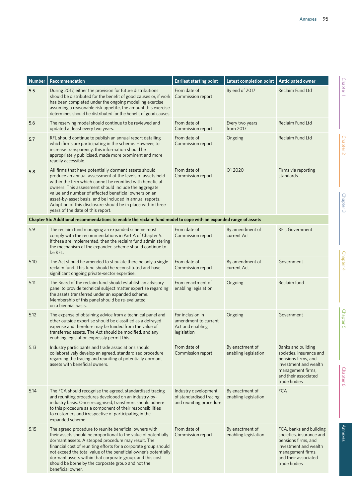| <b>Number</b> | <b>Recommendation</b>                                                                                                                                                                                                                                                                                                                                                                                                                                            | <b>Earliest starting point</b>                                              | Latest completion point                 | <b>Anticipated owner</b>                                                                                                                                         |
|---------------|------------------------------------------------------------------------------------------------------------------------------------------------------------------------------------------------------------------------------------------------------------------------------------------------------------------------------------------------------------------------------------------------------------------------------------------------------------------|-----------------------------------------------------------------------------|-----------------------------------------|------------------------------------------------------------------------------------------------------------------------------------------------------------------|
| 5.5           | During 2017, either the provision for future distributions<br>should be distributed for the benefit of good causes or, if work<br>has been completed under the ongoing modelling exercise<br>assuming a reasonable risk appetite, the amount this exercise<br>determines should be distributed for the benefit of good causes.                                                                                                                                   | From date of<br>Commission report                                           | By end of 2017                          | Reclaim Fund Ltd                                                                                                                                                 |
| 5.6           | The reserving model should continue to be reviewed and<br>updated at least every two years.                                                                                                                                                                                                                                                                                                                                                                      | From date of<br>Commission report                                           | Every two years<br>from 2017            | Reclaim Fund Ltd                                                                                                                                                 |
| 5.7           | RFL should continue to publish an annual report detailing<br>which firms are participating in the scheme. However, to<br>increase transparency, this information should be<br>appropriately publicised, made more prominent and more<br>readily accessible.                                                                                                                                                                                                      | From date of<br>Commission report                                           | Ongoing                                 | Reclaim Fund Ltd                                                                                                                                                 |
| 5.8           | All firms that have potentially dormant assets should<br>produce an annual assessment of the levels of assets held<br>within the firm which cannot be reunified with beneficial<br>owners. This assessment should include the aggregate<br>value and number of affected beneficial owners on an<br>asset-by-asset basis, and be included in annual reports.<br>Adoption of this disclosure should be in place within three<br>years of the date of this report.  | From date of<br>Commission report                                           | Q12020                                  | Firms via reporting<br>standards                                                                                                                                 |
|               | Chapter 5b: Additional recommendations to enable the reclaim fund model to cope with an expanded range of assets                                                                                                                                                                                                                                                                                                                                                 |                                                                             |                                         |                                                                                                                                                                  |
| 5.9           | The reclaim fund managing an expanded scheme must<br>comply with the recommendations in Part A of Chapter 5.<br>If these are implemented, then the reclaim fund administering<br>the mechanism of the expanded scheme should continue to<br>be RFL.                                                                                                                                                                                                              | From date of<br>Commission report                                           | By amendment of<br>current Act          | RFL, Government                                                                                                                                                  |
| 5.10          | The Act should be amended to stipulate there be only a single<br>reclaim fund. This fund should be reconstituted and have<br>significant ongoing private-sector expertise.                                                                                                                                                                                                                                                                                       | From date of<br>Commission report                                           | By amendment of<br>current Act          | Government                                                                                                                                                       |
| 5.11          | The Board of the reclaim fund should establish an advisory<br>panel to provide technical subject matter expertise regarding<br>the assets transferred under an expanded scheme.<br>Membership of this panel should be re-evaluated<br>on a biennial basis.                                                                                                                                                                                                       | From enactment of<br>enabling legislation                                   | Ongoing                                 | Reclaim fund                                                                                                                                                     |
| 5.12          | The expense of obtaining advice from a technical panel and<br>other outside expertise should be classified as a defrayed<br>expense and therefore may be funded from the value of<br>transferred assets. The Act should be modified, and any<br>enabling legislation expressly permit this.                                                                                                                                                                      | For inclusion in<br>amendment to current<br>Act and enabling<br>legislation | Ongoing                                 | Government                                                                                                                                                       |
| 5.13          | Industry participants and trade associations should<br>collaboratively develop an agreed, standardised procedure<br>regarding the tracing and reuniting of potentially dormant<br>assets with beneficial owners.                                                                                                                                                                                                                                                 | From date of<br>Commission report                                           | By enactment of<br>enabling legislation | Banks and building<br>societies, insurance and<br>pensions firms, and<br>investment and wealth<br>management firms,<br>and their associated<br>trade bodies      |
| 5.14          | The FCA should recognise the agreed, standardised tracing<br>and reuniting procedures developed on an industry-by-<br>industry basis. Once recognised, transferors should adhere<br>to this procedure as a component of their responsibilities<br>to customers and irrespective of participating in the<br>expanded scheme.                                                                                                                                      | Industry development<br>of standardised tracing<br>and reuniting procedure  | By enactment of<br>enabling legislation | <b>FCA</b>                                                                                                                                                       |
| 5.15          | The agreed procedure to reunite beneficial owners with<br>their assets should be proportional to the value of potentially<br>dormant assets. A stepped procedure may result. The<br>financial cost of reuniting efforts for a corporate group should<br>not exceed the total value of the beneficial owner's potentially<br>dormant assets within that corporate group, and this cost<br>should be borne by the corporate group and not the<br>beneficial owner. | From date of<br>Commission report                                           | By enactment of<br>enabling legislation | FCA, banks and building<br>societies, insurance and<br>pensions firms, and<br>investment and wealth<br>management firms,<br>and their associated<br>trade bodies |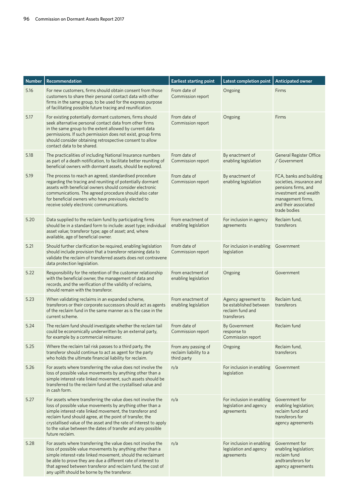| <b>Number</b> | Recommendation                                                                                                                                                                                                                                                                                                                                                                                           | <b>Earliest starting point</b>                               | <b>Latest completion point</b>                                                   | <b>Anticipated owner</b>                                                                                                                                         |
|---------------|----------------------------------------------------------------------------------------------------------------------------------------------------------------------------------------------------------------------------------------------------------------------------------------------------------------------------------------------------------------------------------------------------------|--------------------------------------------------------------|----------------------------------------------------------------------------------|------------------------------------------------------------------------------------------------------------------------------------------------------------------|
| 5.16          | For new customers, firms should obtain consent from those<br>customers to share their personal contact data with other<br>firms in the same group, to be used for the express purpose<br>of facilitating possible future tracing and reunification.                                                                                                                                                      | From date of<br>Commission report                            | Ongoing                                                                          | Firms                                                                                                                                                            |
| 5.17          | For existing potentially dormant customers, firms should<br>seek alternative personal contact data from other firms<br>in the same group to the extent allowed by current data<br>permissions. If such permission does not exist, group firms<br>should consider obtaining retrospective consent to allow<br>contact data to be shared.                                                                  | From date of<br>Commission report                            | Ongoing                                                                          | Firms                                                                                                                                                            |
| 5.18          | The practicalities of including National Insurance numbers<br>as part of a death notification, to facilitate better reuniting of<br>beneficial owners with dormant assets, should be explored.                                                                                                                                                                                                           | From date of<br>Commission report                            | By enactment of<br>enabling legislation                                          | <b>General Register Office</b><br>/ Government                                                                                                                   |
| 5.19          | The process to reach an agreed, standardised procedure<br>regarding the tracing and reuniting of potentially dormant<br>assets with beneficial owners should consider electronic<br>communications. The agreed procedure should also cater<br>for beneficial owners who have previously elected to<br>receive solely electronic communications.                                                          | From date of<br>Commission report                            | By enactment of<br>enabling legislation                                          | FCA, banks and building<br>societies, insurance and<br>pensions firms, and<br>investment and wealth<br>management firms,<br>and their associated<br>trade bodies |
| 5.20          | Data supplied to the reclaim fund by participating firms<br>should be in a standard form to include: asset type; individual<br>asset value; transferor type; age of asset; and, where<br>available, age of beneficial owner.                                                                                                                                                                             | From enactment of<br>enabling legislation                    | For inclusion in agency<br>agreements                                            | Reclaim fund,<br>transferors                                                                                                                                     |
| 5.21          | Should further clarification be required, enabling legislation<br>should include provision that a transferor retaining data to<br>validate the reclaim of transferred assets does not contravene<br>data protection legislation.                                                                                                                                                                         | From date of<br>Commission report                            | For inclusion in enabling<br>legislation                                         | Government                                                                                                                                                       |
| 5.22          | Responsibility for the retention of the customer relationship<br>with the beneficial owner, the management of data and<br>records, and the verification of the validity of reclaims,<br>should remain with the transferor.                                                                                                                                                                               | From enactment of<br>enabling legislation                    | Ongoing                                                                          | Government                                                                                                                                                       |
| 5.23          | When validating reclaims in an expanded scheme,<br>transferors or their corporate successors should act as agents<br>of the reclaim fund in the same manner as is the case in the<br>current scheme.                                                                                                                                                                                                     | From enactment of<br>enabling legislation                    | Agency agreement to<br>be established between<br>reclaim fund and<br>transferors | Reclaim fund,<br>transferors                                                                                                                                     |
| 5.24          | The reclaim fund should investigate whether the reclaim tail<br>could be economically underwritten by an external party,<br>for example by a commercial reinsurer.                                                                                                                                                                                                                                       | From date of<br>Commission report                            | By Government<br>response to<br>Commission report                                | Reclaim fund                                                                                                                                                     |
| 5.25          | Where the reclaim tail risk passes to a third party, the<br>transferor should continue to act as agent for the party<br>who holds the ultimate financial liability for reclaim.                                                                                                                                                                                                                          | From any passing of<br>reclaim liability to a<br>third party | Ongoing                                                                          | Reclaim fund,<br>transferors                                                                                                                                     |
| 5.26          | For assets where transferring the value does not involve the<br>loss of possible value movements by anything other than a<br>simple interest-rate linked movement, such assets should be<br>transferred to the reclaim fund at the crystallised value and<br>in cash form.                                                                                                                               | n/a                                                          | For inclusion in enabling<br>legislation                                         | Government                                                                                                                                                       |
| 5.27          | For assets where transferring the value does not involve the<br>loss of possible value movements by anything other than a<br>simple interest-rate linked movement, the transferor and<br>reclaim fund should agree, at the point of transfer, the<br>crystallised value of the asset and the rate of interest to apply<br>to the value between the dates of transfer and any possible<br>future reclaim. | n/a                                                          | For inclusion in enabling<br>legislation and agency<br>agreements                | Government for<br>enabling legislation;<br>reclaim fund and<br>transferors for<br>agency agreements                                                              |
| 5.28          | For assets where transferring the value does not involve the<br>loss of possible value movements by anything other than a<br>simple interest-rate linked movement, should the reclaimant<br>be able to prove they are due a different rate of interest to<br>that agreed between transferor and reclaim fund, the cost of<br>any uplift should be borne by the transferor.                               | n/a                                                          | For inclusion in enabling<br>legislation and agency<br>agreements                | Government for<br>enabling legislation;<br>reclaim fund<br>andtransferors for<br>agency agreements                                                               |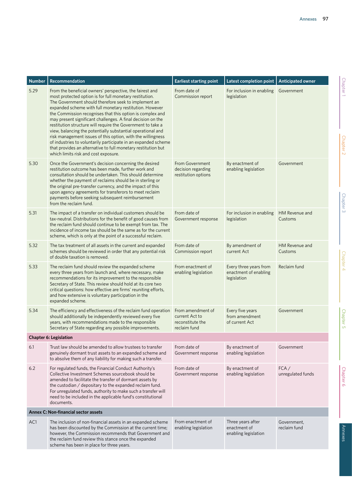| <b>Number</b> | Recommendation                                                                                                                                                                                                                                                                                                                                                                                                                                                                                                                                                                                                                                                                                                                             | <b>Earliest starting point</b>                                          | Latest completion point                                        | <b>Anticipated owner</b>    |
|---------------|--------------------------------------------------------------------------------------------------------------------------------------------------------------------------------------------------------------------------------------------------------------------------------------------------------------------------------------------------------------------------------------------------------------------------------------------------------------------------------------------------------------------------------------------------------------------------------------------------------------------------------------------------------------------------------------------------------------------------------------------|-------------------------------------------------------------------------|----------------------------------------------------------------|-----------------------------|
| 5.29          | From the beneficial owners' perspective, the fairest and<br>most protected option is for full monetary restitution.<br>The Government should therefore seek to implement an<br>expanded scheme with full monetary restitution. However<br>the Commission recognises that this option is complex and<br>may present significant challenges. A final decision on the<br>restitution structure will require the Government to take a<br>view, balancing the potentially substantial operational and<br>risk management issues of this option, with the willingness<br>of industries to voluntarily participate in an expanded scheme<br>that provides an alternative to full monetary restitution but<br>which limits risk and cost exposure. | From date of<br>Commission report                                       | For inclusion in enabling<br>legislation                       | Government                  |
| 5.30          | Once the Government's decision concerning the desired<br>restitution outcome has been made, further work and<br>consultation should be undertaken. This should determine<br>whether the payment of reclaims should be in sterling or<br>the original pre-transfer currency, and the impact of this<br>upon agency agreements for transferors to meet reclaim<br>payments before seeking subsequent reimbursement<br>from the reclaim fund.                                                                                                                                                                                                                                                                                                 | From Government<br>decision regarding<br>restitution options            | By enactment of<br>enabling legislation                        | Government                  |
| 5.31          | The impact of a transfer on individual customers should be<br>tax-neutral. Distributions for the benefit of good causes from<br>the reclaim fund should continue to be exempt from tax. The<br>incidence of income tax should be the same as for the current<br>scheme, which is only at the point of a successful reclaim.                                                                                                                                                                                                                                                                                                                                                                                                                | From date of<br>Government response                                     | For inclusion in enabling<br>legislation                       | HM Revenue and<br>Customs   |
| 5.32          | The tax treatment of all assets in the current and expanded<br>schemes should be reviewed in order that any potential risk<br>of double taxation is removed.                                                                                                                                                                                                                                                                                                                                                                                                                                                                                                                                                                               | From date of<br>Commission report                                       | By amendment of<br>current Act                                 | HM Revenue and<br>Customs   |
| 5.33          | The reclaim fund should review the expanded scheme<br>every three years from launch and, where necessary, make<br>recommendations for its improvement to the responsible<br>Secretary of State. This review should hold at its core two<br>critical questions: how effective are firms' reuniting efforts,<br>and how extensive is voluntary participation in the<br>expanded scheme.                                                                                                                                                                                                                                                                                                                                                      | From enactment of<br>enabling legislation                               | Every three years from<br>enactment of enabling<br>legislation | Reclaim fund                |
| 5.34          | The efficiency and effectiveness of the reclaim fund operation<br>should additionally be independently reviewed every five<br>years, with recommendations made to the responsible<br>Secretary of State regarding any possible improvements.                                                                                                                                                                                                                                                                                                                                                                                                                                                                                               | From amendment of<br>current Act to<br>reconstitute the<br>reclaim fund | Every five years<br>from amendment<br>of current Act           | Government                  |
|               | <b>Chapter 6: Legislation</b>                                                                                                                                                                                                                                                                                                                                                                                                                                                                                                                                                                                                                                                                                                              |                                                                         |                                                                |                             |
| 6.1           | Trust law should be amended to allow trustees to transfer<br>genuinely dormant trust assets to an expanded scheme and<br>to absolve them of any liability for making such a transfer.                                                                                                                                                                                                                                                                                                                                                                                                                                                                                                                                                      | From date of<br>Government response                                     | By enactment of<br>enabling legislation                        | Government                  |
| 6.2           | For regulated funds, the Financial Conduct Authority's<br>Collective Investment Schemes sourcebook should be<br>amended to facilitate the transfer of dormant assets by<br>the custodian / depositary to the expanded reclaim fund.<br>For unregulated funds, authority to make such a transfer will<br>need to be included in the applicable fund's constitutional<br>documents.                                                                                                                                                                                                                                                                                                                                                          | From date of<br>Government response                                     | By enactment of<br>enabling legislation                        | FCA/<br>unregulated funds   |
|               | <b>Annex C: Non-financial sector assets</b>                                                                                                                                                                                                                                                                                                                                                                                                                                                                                                                                                                                                                                                                                                |                                                                         |                                                                |                             |
| AC1           | The inclusion of non-financial assets in an expanded scheme<br>has been discounted by the Commission at the current time;<br>however, the Commission recommends that Government and<br>the reclaim fund review this stance once the expanded<br>scheme has been in place for three years.                                                                                                                                                                                                                                                                                                                                                                                                                                                  | From enactment of<br>enabling legislation                               | Three years after<br>enactment of<br>enabling legislation      | Government,<br>reclaim fund |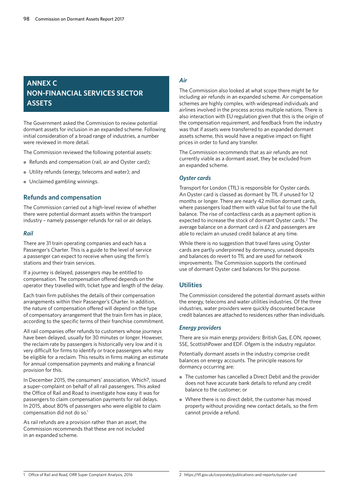# **ANNEX C NON-FINANCIAL SERVICES SECTOR ASSETS**

The Government asked the Commission to review potential dormant assets for inclusion in an expanded scheme. Following initial consideration of a broad range of industries, a number were reviewed in more detail.

The Commission reviewed the following potential assets:

- Refunds and compensation (rail, air and Oyster card);
- Utility refunds (energy, telecoms and water); and
- Unclaimed gambling winnings.

# **Refunds and compensation**

The Commission carried out a high-level review of whether there were potential dormant assets within the transport industry – namely passenger refunds for rail or air delays.

## *Rail*

There are 31 train operating companies and each has a Passenger's Charter. This is a guide to the level of service a passenger can expect to receive when using the firm's stations and their train services.

If a journey is delayed, passengers may be entitled to compensation. The compensation offered depends on the operator they travelled with, ticket type and length of the delay.

Each train firm publishes the details of their compensation arrangements within their Passenger's Charter. In addition, the nature of compensation offered will depend on the type of compensatory arrangement that the train firm has in place, according to the specific terms of their franchise commitment.

All rail companies offer refunds to customers whose journeys have been delayed, usually for 30 minutes or longer. However, the reclaim rate by passengers is historically very low and it is very difficult for firms to identify or trace passengers who may be eligible for a reclaim. This results in firms making an estimate for annual compensation payments and making a financial provision for this.

In December 2015, the consumers' association, Which?, issued a super-complaint on behalf of all rail passengers. This asked the Office of Rail and Road to investigate how easy it was for passengers to claim compensation payments for rail delays. In 2015, about 80% of passengers who were eligible to claim compensation did not do so.<sup>1</sup>

As rail refunds are a provision rather than an asset, the Commission recommends that these are not included in an expanded scheme.

# *Air*

The Commission also looked at what scope there might be for including air refunds in an expanded scheme. Air compensation schemes are highly complex, with widespread individuals and airlines involved in the process across multiple nations. There is also interaction with EU regulation given that this is the origin of the compensation requirement, and feedback from the industry was that if assets were transferred to an expanded dormant assets scheme, this would have a negative impact on flight prices in order to fund any transfer.

The Commission recommends that as air refunds are not currently viable as a dormant asset, they be excluded from an expanded scheme.

## *Oyster cards*

Transport for London (TfL) is responsible for Oyster cards. An Oyster card is classed as dormant by TfL if unused for 12 months or longer. There are nearly 42 million dormant cards, where passengers load them with value but fail to use the full balance. The rise of contactless cards as a payment option is expected to increase the stock of dormant Oyster cards.<sup>2</sup> The average balance on a dormant card is £2 and passengers are able to reclaim an unused credit balance at any time.

While there is no suggestion that travel fares using Oyster cards are partly underpinned by dormancy, unused deposits and balances do revert to TfL and are used for network improvements. The Commission supports the continued use of dormant Oyster card balances for this purpose.

# **Utilities**

The Commission considered the potential dormant assets within the energy, telecoms and water utilities industries. Of the three industries, water providers were quickly discounted because credit balances are attached to residences rather than individuals.

## *Energy providers*

There are six main energy providers: British Gas, E.ON, npower, SSE, ScottishPower and EDF. Ofgem is the industry regulator.

Potentially dormant assets in the industry comprise credit balances on energy accounts. The principle reasons for dormancy occurring are:

- The customer has cancelled a Direct Debit and the provider does not have accurate bank details to refund any credit balance to the customer; or
- Where there is no direct debit, the customer has moved property without providing new contact details, so the firm cannot provide a refund.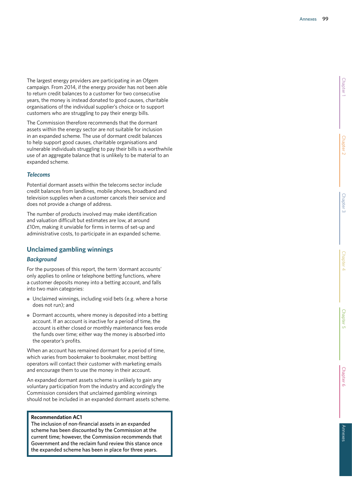The largest energy providers are participating in an Ofgem campaign. From 2014, if the energy provider has not been able to return credit balances to a customer for two consecutive years, the money is instead donated to good causes, charitable organisations of the individual supplier's choice or to support customers who are struggling to pay their energy bills.

The Commission therefore recommends that the dormant assets within the energy sector are not suitable for inclusion in an expanded scheme. The use of dormant credit balances to help support good causes, charitable organisations and vulnerable individuals struggling to pay their bills is a worthwhile use of an aggregate balance that is unlikely to be material to an expanded scheme.

## *Telecoms*

Potential dormant assets within the telecoms sector include credit balances from landlines, mobile phones, broadband and television supplies when a customer cancels their service and does not provide a change of address.

The number of products involved may make identification and valuation difficult but estimates are low, at around £10m, making it unviable for firms in terms of set-up and administrative costs, to participate in an expanded scheme.

# **Unclaimed gambling winnings**

## *Background*

For the purposes of this report, the term 'dormant accounts' only applies to online or telephone betting functions, where a customer deposits money into a betting account, and falls into two main categories:

- Unclaimed winnings, including void bets (e.g. where a horse does not run); and
- Dormant accounts, where money is deposited into a betting account. If an account is inactive for a period of time, the account is either closed or monthly maintenance fees erode the funds over time; either way the money is absorbed into the operator's profits.

When an account has remained dormant for a period of time, which varies from bookmaker to bookmaker, most betting operators will contact their customer with marketing emails and encourage them to use the money in their account.

An expanded dormant assets scheme is unlikely to gain any voluntary participation from the industry and accordingly the Commission considers that unclaimed gambling winnings should not be included in an expanded dormant assets scheme.

## **Recommendation AC1**

The inclusion of non-financial assets in an expanded scheme has been discounted by the Commission at the current time; however, the Commission recommends that Government and the reclaim fund review this stance once the expanded scheme has been in place for three years.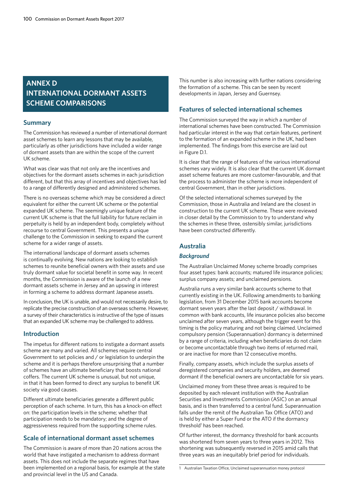# **ANNEX D INTERNATIONAL DORMANT ASSETS SCHEME COMPARISONS**

# **Summary**

The Commission has reviewed a number of international dormant asset schemes to learn any lessons that may be available, particularly as other jurisdictions have included a wider range of dormant assets than are within the scope of the current UK scheme.

What was clear was that not only are the incentives and objectives for the dormant assets schemes in each jurisdiction different, but that this array of incentives and objectives has led to a range of differently designed and administered schemes.

There is no overseas scheme which may be considered a direct equivalent for either the current UK scheme or the potential expanded UK scheme. The seemingly unique feature of the current UK scheme is that the full liability for future reclaim in perpetuity is held by an independent body, completely without recourse to central Government. This presents a unique challenge to the Commission in seeking to expand the current scheme for a wider range of assets.

The international landscape of dormant assets schemes is continually evolving. New nations are looking to establish schemes to reunite beneficial owners with their assets and use truly dormant value for societal benefit in some way. In recent months, the Commission is aware of the launch of a new dormant assets scheme in Jersey and an upswing in interest in forming a scheme to address dormant Japanese assets.

In conclusion, the UK is unable, and would not necessarily desire, to replicate the precise construction of an overseas scheme. However, a survey of their characteristics is instructive of the type of issues that an expanded UK scheme may be challenged to address.

# **Introduction**

The impetus for different nations to instigate a dormant assets scheme are many and varied. All schemes require central Government to set policies and / or legislation to underpin the scheme and it is perhaps therefore unsurprising that a number of schemes have an ultimate beneficiary that boosts national coffers. The current UK scheme is unusual, but not unique, in that it has been formed to direct any surplus to benefit UK society via good causes.

Different ultimate beneficiaries generate a different public perception of each scheme. In turn, this has a knock-on effect on: the participation levels in the scheme; whether that participation needs to be mandatory; and the degree of aggressiveness required from the supporting scheme rules.

# **Scale of international dormant asset schemes**

The Commission is aware of more than 20 nations across the world that have instigated a mechanism to address dormant assets. This does not include the separate regimes that have been implemented on a regional basis, for example at the state and provincial level in the US and Canada.

This number is also increasing with further nations considering the formation of a scheme. This can be seen by recent developments in Japan, Jersey and Guernsey.

# **Features of selected international schemes**

The Commission surveyed the way in which a number of international schemes have been constructed. The Commission had particular interest in the way that certain features, pertinent to the formation of an expanded scheme in the UK, had been implemented. The findings from this exercise are laid out in Figure D.1.

It is clear that the range of features of the various international schemes vary widely. It is also clear that the current UK dormant asset scheme features are more customer-favourable, and that the process to administer the scheme is more independent of central Government, than in other jurisdictions.

Of the selected international schemes surveyed by the Commission, those in Australia and Ireland are the closest in construction to the current UK scheme. These were reviewed in closer detail by the Commission to try to understand why the schemes in these three, ostensibly similar, jurisdictions have been constructed differently.

# **Australia**

# *Background*

The Australian Unclaimed Money scheme broadly comprises four asset types: bank accounts; matured life insurance policies; surplus company assets; and unclaimed pensions.

Australia runs a very similar bank accounts scheme to that currently existing in the UK. Following amendments to banking legislation, from 31 December 2015 bank accounts become dormant seven years after the last deposit / withdrawal. In common with bank accounts, life insurance policies also become unclaimed after seven years, although the trigger event for this timing is the policy maturing and not being claimed. Unclaimed compulsory pension (Superannuation) dormancy is determined by a range of criteria, including when beneficiaries do not claim or become uncontactable through two items of returned mail, or are inactive for more than 12 consecutive months.

Finally, company assets, which include the surplus assets of deregistered companies and security holders, are deemed dormant if the beneficial owners are uncontactable for six years.

Unclaimed money from these three areas is required to be deposited by each relevant institution with the Australian Securities and Investments Commission (ASIC) on an annual basis, and is then transferred to a central fund. Superannuation falls under the remit of the Australian Tax Office (ATO) and is held by either a Super Fund or the ATO if the dormancy threshold<sup>1</sup> has been reached.

Of further interest, the dormancy threshold for bank accounts was shortened from seven years to three years in 2012. This shortening was subsequently reversed in 2015 amid calls that three years was an inequitably brief period for individuals.

<sup>1</sup> Australian Taxation Office, Unclaimed superannuation money protocol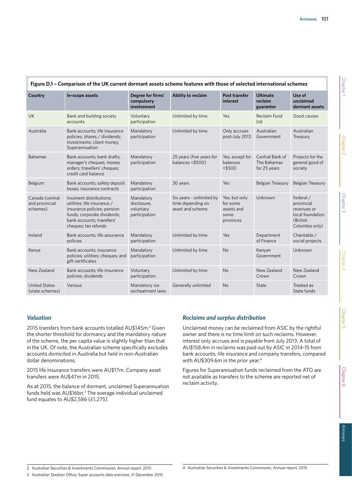| Figure D.1 - Comparison of the UK current dormant assets scheme features with those of selected international schemes |                                                                                                                                                                             |                                                        |                                                                   |                                                              |                                                |                                                                                          |
|-----------------------------------------------------------------------------------------------------------------------|-----------------------------------------------------------------------------------------------------------------------------------------------------------------------------|--------------------------------------------------------|-------------------------------------------------------------------|--------------------------------------------------------------|------------------------------------------------|------------------------------------------------------------------------------------------|
| Country                                                                                                               | In-scope assets                                                                                                                                                             | Degree for firms'<br>compulsory<br>involvement         | Ability to reclaim                                                | Post transfer<br>interest                                    | <b>Ultimate</b><br>reclaim<br>guarantor        | Use of<br>unclaimed<br>dormant assets                                                    |
| <b>UK</b>                                                                                                             | Bank and building society<br>accounts                                                                                                                                       | Voluntary<br>participation                             | Unlimited by time                                                 | Yes                                                          | Reclaim Fund<br>Ltd                            | Good causes                                                                              |
| Australia                                                                                                             | Bank accounts; life insurance<br>policies; shares / dividends;<br>investments; client money;<br>Superannuation                                                              | Mandatory<br>participation                             | Unlimited by time                                                 | Only accrues<br>post-July 2013                               | Australian<br>Government                       | Australian<br>Treasury                                                                   |
| <b>Bahamas</b>                                                                                                        | Bank accounts; bank drafts;<br>manager's cheques; money<br>orders; travellers' cheques;<br>credit card balance                                                              | Mandatory<br>participation                             | 25 years (five years for<br>balances <\$500)                      | Yes, except for<br>balances<br>$<$ \$500                     | Central Bank of<br>The Bahamas<br>for 25 years | Projects for the<br>general good of<br>society                                           |
| Belgium                                                                                                               | Bank accounts; safety deposit<br>boxes; insurance contracts                                                                                                                 | Mandatory<br>participation                             | 30 years                                                          | Yes                                                          | <b>Belgian Treasury</b>                        | <b>Belgian Treasury</b>                                                                  |
| Canada (central<br>and provincial<br>schemes)                                                                         | Insolvent distributions:<br>utilities; life insurance /<br>insurance policies; pension<br>funds; corporate dividends;<br>bank accounts; travellers'<br>cheques; tax refunds | Mandatory<br>disclosure,<br>voluntary<br>participation | Six years - unlimited by<br>time depending on<br>asset and scheme | Yes, but only<br>for some<br>assets and<br>some<br>provinces | Unknown                                        | Federal /<br>provincial<br>revenues or<br>local foundation<br>(British<br>Columbia only) |
| Ireland                                                                                                               | Bank accounts; life assurance<br>policies                                                                                                                                   | Mandatory<br>participation                             | Unlimited by time                                                 | Yes                                                          | Department<br>of Finance                       | Charitable /<br>social projects                                                          |
| Kenya                                                                                                                 | Bank accounts; insurance<br>policies; utilities; cheques; and<br>gift certificates                                                                                          | Mandatory<br>participation                             | Unlimited by time                                                 | <b>No</b>                                                    | Kenyan<br>Government                           | Unknown                                                                                  |
| New Zealand                                                                                                           | Bank accounts; life insurance<br>policies; dividends                                                                                                                        | Voluntary<br>participation                             | Unlimited by time                                                 | <b>No</b>                                                    | New Zealand<br>Crown                           | New Zealand<br>Crown                                                                     |
| <b>United States</b><br>(state schemes)                                                                               | Various                                                                                                                                                                     | Mandatory via<br>escheatment laws                      | Generally unlimited                                               | <b>No</b>                                                    | State                                          | Treated as<br>State funds                                                                |

# *Valuation*

2015 transfers from bank accounts totalled AU\$145m.<sup>2</sup> Given the shorter threshold for dormancy and the mandatory nature of the scheme, the per capita value is slightly higher than that in the UK. Of note, the Australian scheme specifically excludes accounts domiciled in Australia but held in non-Australian dollar denominations.

2015 life insurance transfers were AU\$17m. Company asset transfers were AU\$47m in 2015.

As at 2015, the balance of dormant, unclaimed Superannuation funds held was AU\$16bn.3 The average individual unclaimed fund equates to AU\$2,586 (£1,275).

# *Reclaims and surplus distribution*

Unclaimed money can be reclaimed from ASIC by the rightful owner and there is no time limit on such reclaims. However, interest only accrues and is payable from July 2013. A total of AU\$158.4m in reclaims was paid out by ASIC in 2014-15 from bank accounts, life insurance and company transfers, compared with AU\$309.6m in the prior year.<sup>4</sup>

Figures for Superannuation funds reclaimed from the ATO are not available as transfers to the scheme are reported net of reclaim activity.

2 Australian Securities & Investments Commission, Annual report, 2015

<sup>3</sup> Australian Taxation Office, Super accounts data overview, 31 December 2015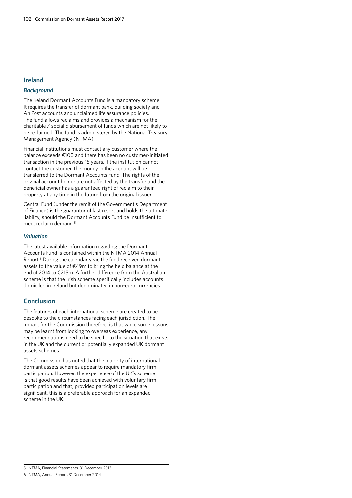## **Ireland**

# *Background*

The Ireland Dormant Accounts Fund is a mandatory scheme. It requires the transfer of dormant bank, building society and An Post accounts and unclaimed life assurance policies. The fund allows reclaims and provides a mechanism for the charitable / social disbursement of funds which are not likely to be reclaimed. The fund is administered by the National Treasury Management Agency (NTMA).

Financial institutions must contact any customer where the balance exceeds €100 and there has been no customer-initiated transaction in the previous 15 years. If the institution cannot contact the customer, the money in the account will be transferred to the Dormant Accounts Fund. The rights of the original account holder are not affected by the transfer and the beneficial owner has a guaranteed right of reclaim to their property at any time in the future from the original issuer.

Central Fund (under the remit of the Government's Department of Finance) is the guarantor of last resort and holds the ultimate liability, should the Dormant Accounts Fund be insufficient to meet reclaim demand.<sup>5</sup>

## *Valuation*

The latest available information regarding the Dormant Accounts Fund is contained within the NTMA 2014 Annual Report.<sup>6</sup> During the calendar year, the fund received dormant assets to the value of €49m to bring the held balance at the end of 2014 to €215m. A further difference from the Australian scheme is that the Irish scheme specifically includes accounts domiciled in Ireland but denominated in non-euro currencies.

# **Conclusion**

The features of each international scheme are created to be bespoke to the circumstances facing each jurisdiction. The impact for the Commission therefore, is that while some lessons may be learnt from looking to overseas experience, any recommendations need to be specific to the situation that exists in the UK and the current or potentially expanded UK dormant assets schemes.

The Commission has noted that the majority of international dormant assets schemes appear to require mandatory firm participation. However, the experience of the UK's scheme is that good results have been achieved with voluntary firm participation and that, provided participation levels are significant, this is a preferable approach for an expanded scheme in the UK.

<sup>5</sup> NTMA, Financial Statements, 31 December 2013

<sup>6</sup> NTMA, Annual Report, 31 December 2014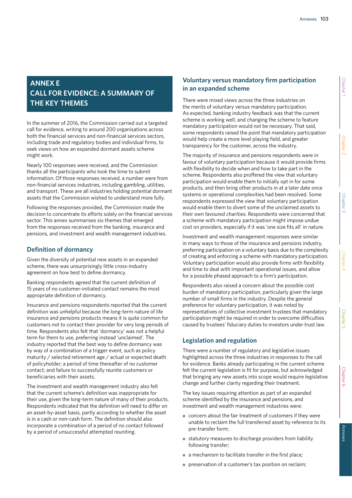# **ANNEX E CALL FOR EVIDENCE: A SUMMARY OF THE KEY THEMES**

In the summer of 2016, the Commission carried out a targeted call for evidence, writing to around 200 organisations across both the financial services and non-financial services sectors, including trade and regulatory bodies and individual firms, to seek views on how an expanded dormant assets scheme might work.

Nearly 100 responses were received, and the Commission thanks all the participants who took the time to submit information. Of those responses received, a number were from non-financial services industries, including gambling, utilities, and transport. These are all industries holding potential dormant assets that the Commission wished to understand more fully.

Following the responses provided, the Commission made the decision to concentrate its efforts solely on the financial services sector. This annex summarises six themes that emerged from the responses received from the banking, insurance and pensions, and investment and wealth management industries.

# **Definition of dormancy**

Given the diversity of potential new assets in an expanded scheme, there was unsurprisingly little cross-industry agreement on how best to define dormancy.

Banking respondents agreed that the current definition of 15 years of no customer-initiated contact remains the most appropriate definition of dormancy.

Insurance and pensions respondents reported that the current definition was unhelpful because the long-term nature of life insurance and pensions products means it is quite common for customers not to contact their provider for very long periods of time. Respondents also felt that 'dormancy' was not a helpful term for them to use, preferring instead 'unclaimed'. The industry reported that the best way to define dormancy was by way of a combination of a trigger event, such as policy maturity / selected retirement age / actual or expected death of policyholder; a period of time thereafter of no customer contact; and failure to successfully reunite customers or beneficiaries with their assets.

The investment and wealth management industry also felt that the current scheme's definition was inappropriate for their use, given the long-term nature of many of their products. Respondents indicated that the definition will need to differ on an asset-by-asset basis, partly according to whether the asset is in a cash or non-cash form. The definition should also incorporate a combination of a period of no contact followed by a period of unsuccessful attempted reuniting.

# **Voluntary versus mandatory firm participation in an expanded scheme**

There were mixed views across the three industries on the merits of voluntary versus mandatory participation. As expected, banking industry feedback was that the current scheme is working well, and changing the scheme to feature mandatory participation would not be necessary. That said, some respondents raised the point that mandatory participation would help create a more level playing field, and greater transparency for the customer, across the industry.

The majority of insurance and pensions respondents were in favour of voluntary participation because it would provide firms with flexibility to decide when and how to take part in the scheme. Respondents also proffered the view that voluntary participation would enable them to initially opt in for some products, and then bring other products in at a later date once systems or operational complexities had been resolved. Some respondents expressed the view that voluntary participation would enable them to divert some of the unclaimed assets to their own favoured charities. Respondents were concerned that a scheme with mandatory participation might impose undue cost on providers, especially if it was 'one size fits all' in nature.

Investment and wealth management responses were similar in many ways to those of the insurance and pensions industry, preferring participation on a voluntary basis due to the complexity of creating and enforcing a scheme with mandatory participation. Voluntary participation would also provide firms with flexibility and time to deal with important operational issues, and allow for a possible phased approach to a firm's participation.

Respondents also raised a concern about the possible cost burden of mandatory participation, particularly given the large number of small firms in the industry. Despite the general preference for voluntary participation, it was noted by representatives of collective investment trustees that mandatory participation might be required in order to overcome difficulties caused by trustees' fiduciary duties to investors under trust law.

# **Legislation and regulation**

There were a number of regulatory and legislative issues highlighted across the three industries in responses to the call for evidence. Banks already participating in the current scheme felt the current legislation is fit for purpose, but acknowledged that bringing any new assets into scope would require legislative change and further clarity regarding their treatment.

The key issues requiring attention as part of an expanded scheme identified by the insurance and pensions, and investment and wealth management industries were:

- concern about the fair treatment of customers if they were unable to reclaim the full transferred asset by reference to its pre-transfer form;
- statutory measures to discharge providers from liability following transfer;
- a mechanism to facilitate transfer in the first place;
- preservation of a customer's tax position on reclaim;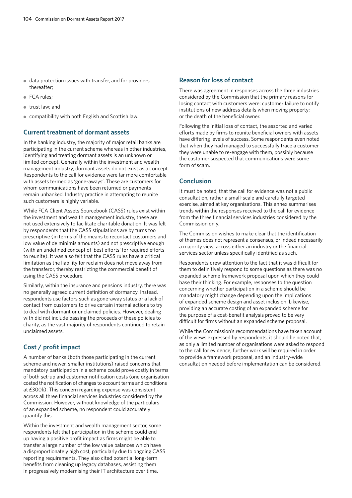- data protection issues with transfer, and for providers thereafter;
- FCA rules:
- trust law; and
- compatibility with both English and Scottish law.

## **Current treatment of dormant assets**

In the banking industry, the majority of major retail banks are participating in the current scheme whereas in other industries, identifying and treating dormant assets is an unknown or limited concept. Generally within the investment and wealth management industry, dormant assets do not exist as a concept. Respondents to the call for evidence were far more comfortable with assets termed as 'gone-aways'. These are customers for whom communications have been returned or payments remain unbanked. Industry practice in attempting to reunite such customers is highly variable.

While FCA Client Assets Sourcebook (CASS) rules exist within the investment and wealth management industry, these are not used extensively to facilitate charitable donation. It was felt by respondents that the CASS stipulations are by turns too prescriptive (in terms of the means to recontact customers and low value of de minimis amounts) and not prescriptive enough (with an undefined concept of 'best efforts' for required efforts to reunite). It was also felt that the CASS rules have a critical limitation as the liability for reclaim does not move away from the transferor, thereby restricting the commercial benefit of using the CASS procedure.

Similarly, within the insurance and pensions industry, there was no generally agreed current definition of dormancy. Instead, respondents use factors such as gone-away status or a lack of contact from customers to drive certain internal actions to try to deal with dormant or unclaimed policies. However, dealing with did not include passing the proceeds of these policies to charity, as the vast majority of respondents continued to retain unclaimed assets.

# **Cost / profit impact**

A number of banks (both those participating in the current scheme and newer, smaller institutions) raised concerns that mandatory participation in a scheme could prove costly in terms of both set-up and customer notification costs (one organisation costed the notification of changes to account terms and conditions at £300k). This concern regarding expense was consistent across all three financial services industries considered by the Commission. However, without knowledge of the particulars of an expanded scheme, no respondent could accurately quantify this.

Within the investment and wealth management sector, some respondents felt that participation in the scheme could end up having a positive profit impact as firms might be able to transfer a large number of the low value balances which have a disproportionately high cost, particularly due to ongoing CASS reporting requirements. They also cited potential long-term benefits from cleaning up legacy databases, assisting them in progressively modernising their IT architecture over time.

## **Reason for loss of contact**

There was agreement in responses across the three industries considered by the Commission that the primary reasons for losing contact with customers were: customer failure to notify institutions of new address details when moving property; or the death of the beneficial owner.

Following the initial loss of contact, the assorted and varied efforts made by firms to reunite beneficial owners with assets have differing levels of success. Some respondents even noted that when they had managed to successfully trace a customer they were unable to re-engage with them, possibly because the customer suspected that communications were some form of scam.

# **Conclusion**

It must be noted, that the call for evidence was not a public consultation; rather a small-scale and carefully targeted exercise, aimed at key organisations. This annex summarises trends within the responses received to the call for evidence from the three financial services industries considered by the Commission only.

The Commission wishes to make clear that the identification of themes does not represent a consensus, or indeed necessarily a majority view, across either an industry or the financial services sector unless specifically identified as such.

Respondents drew attention to the fact that it was difficult for them to definitively respond to some questions as there was no expanded scheme framework proposal upon which they could base their thinking. For example, responses to the question concerning whether participation in a scheme should be mandatory might change depending upon the implications of expanded scheme design and asset inclusion. Likewise, providing an accurate costing of an expanded scheme for the purpose of a cost-benefit analysis proved to be very difficult for firms without an expanded scheme proposal.

While the Commission's recommendations have taken account of the views expressed by respondents, it should be noted that, as only a limited number of organisations were asked to respond to the call for evidence, further work will be required in order to provide a framework proposal, and an industry-wide consultation needed before implementation can be considered.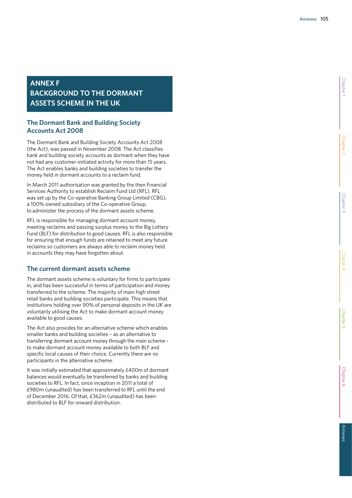# **ANNEX F BACKGROUND TO THE DORMANT ASSETS SCHEME IN THE UK**

# **The Dormant Bank and Building Society Accounts Act 2008**

The Dormant Bank and Building Society Accounts Act 2008 (the Act), was passed in November 2008. The Act classifies bank and building society accounts as dormant when they have not had any customer-initiated activity for more than 15 years. The Act enables banks and building societies to transfer the money held in dormant accounts to a reclaim fund.

In March 2011 authorisation was granted by the then Financial Services Authority to establish Reclaim Fund Ltd (RFL). RFL was set up by the Co-operative Banking Group Limited (CBG), a 100% owned subsidiary of the Co-operative Group, to administer the process of the dormant assets scheme.

RFL is responsible for managing dormant account money, meeting reclaims and passing surplus money to the Big Lottery Fund (BLF) for distribution to good causes. RFL is also responsible for ensuring that enough funds are retained to meet any future reclaims so customers are always able to reclaim money held in accounts they may have forgotten about.

# **The current dormant assets scheme**

The dormant assets scheme is voluntary for firms to participate in, and has been successful in terms of participation and money transferred to the scheme. The majority of main high street retail banks and building societies participate. This means that institutions holding over 90% of personal deposits in the UK are voluntarily utilising the Act to make dormant account money available to good causes.

The Act also provides for an alternative scheme which enables smaller banks and building societies – as an alternative to transferring dormant account money through the main scheme – to make dormant account money available to both BLF and specific local causes of their choice. Currently there are no participants in the alternative scheme.

It was initially estimated that approximately £400m of dormant balances would eventually be transferred by banks and building societies to RFL. In fact, since inception in 2011 a total of £980m (unaudited) has been transferred to RFL until the end of December 2016. Of that, £362m (unaudited) has been distributed to BLF for onward distribution.